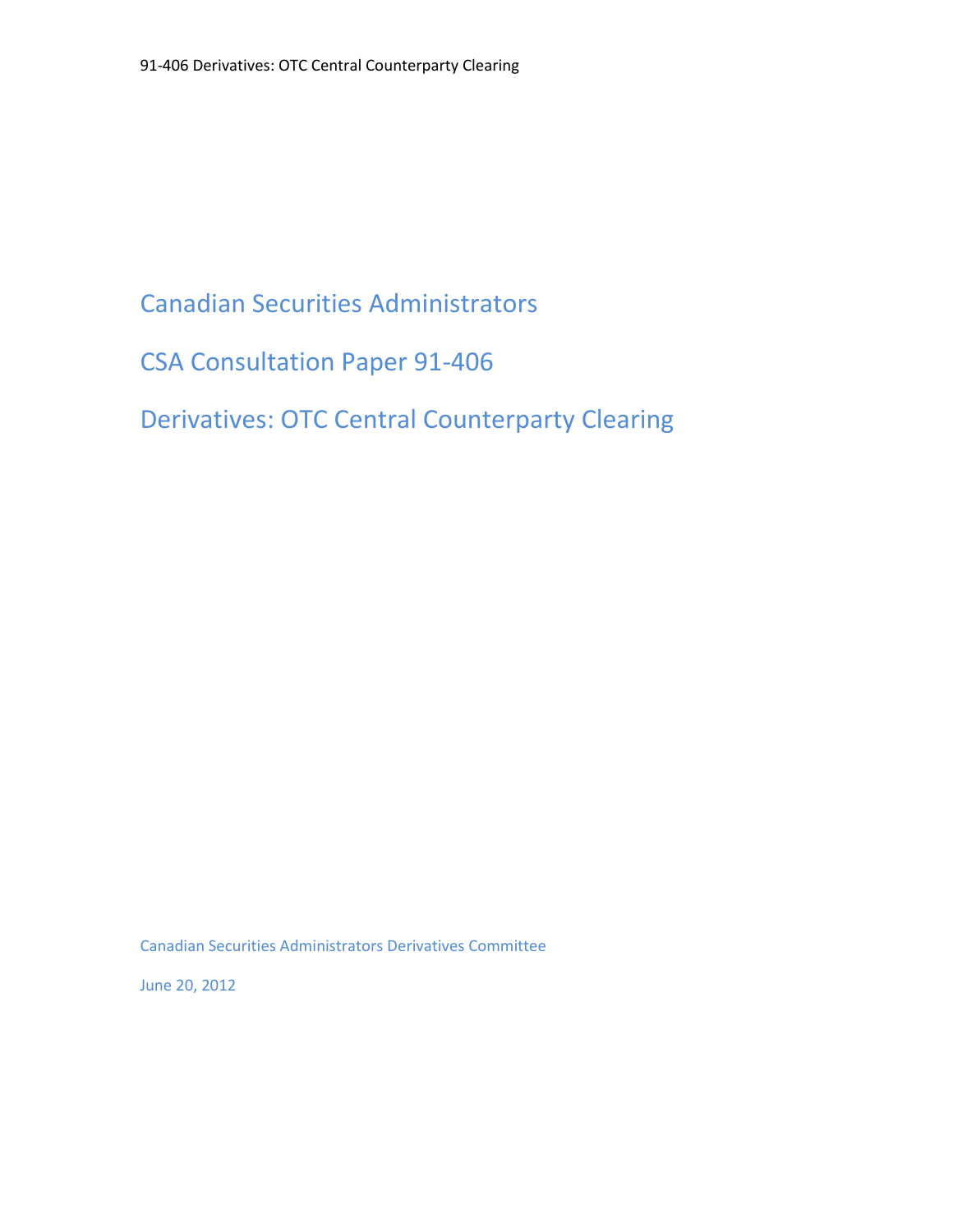Canadian Securities Administrators

CSA Consultation Paper 91-406

Derivatives: OTC Central Counterparty Clearing

Canadian Securities Administrators Derivatives Committee

June 20, 2012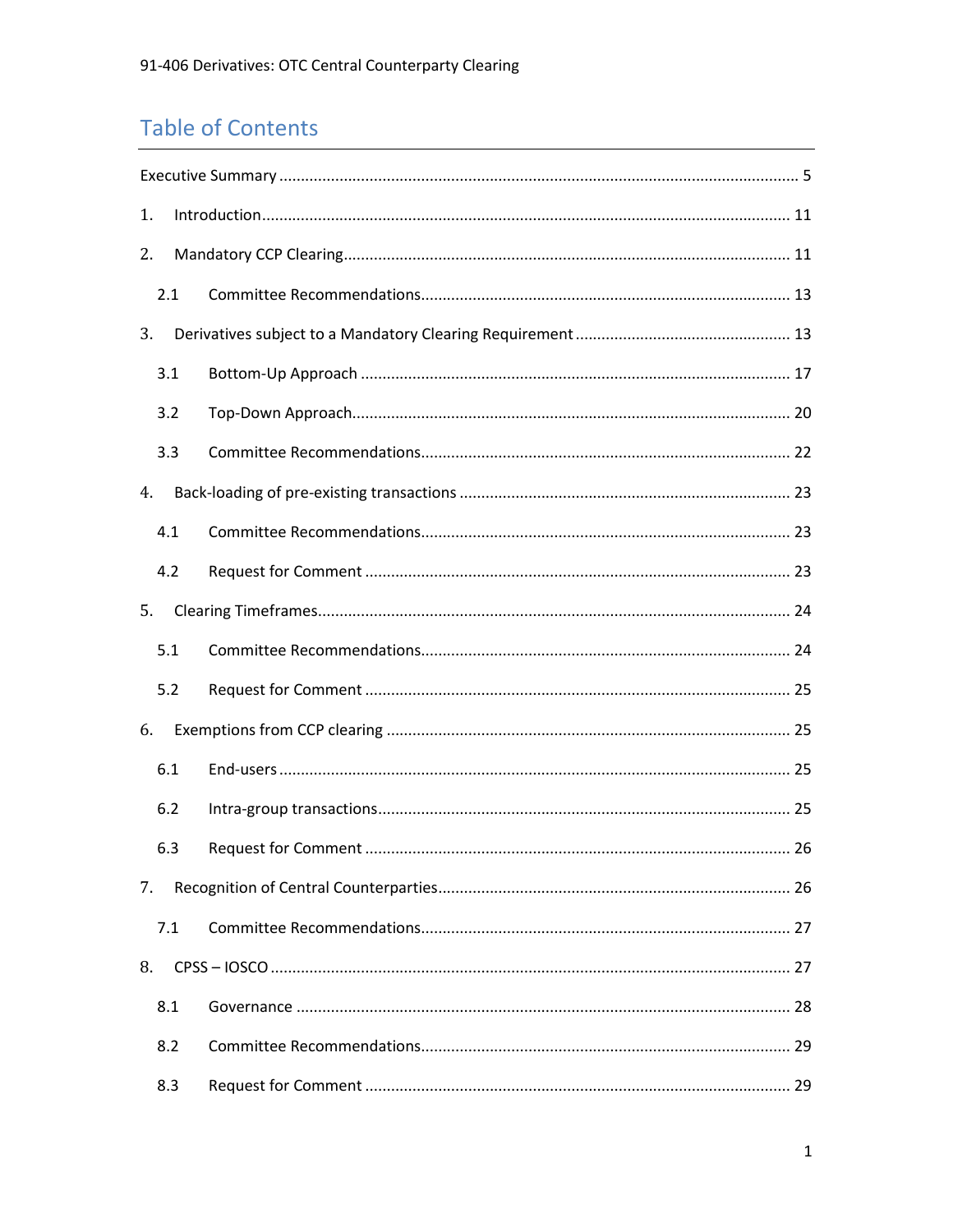# **Table of Contents**

| 1. |     |  |
|----|-----|--|
| 2. |     |  |
|    | 2.1 |  |
| 3. |     |  |
|    | 3.1 |  |
|    | 3.2 |  |
|    | 3.3 |  |
| 4. |     |  |
|    | 4.1 |  |
|    | 4.2 |  |
| 5. |     |  |
|    | 5.1 |  |
|    | 5.2 |  |
| 6. |     |  |
|    | 6.1 |  |
|    | 6.2 |  |
|    | 6.3 |  |
| 7. |     |  |
|    | 7.1 |  |
| 8. |     |  |
|    | 8.1 |  |
|    | 8.2 |  |
|    | 8.3 |  |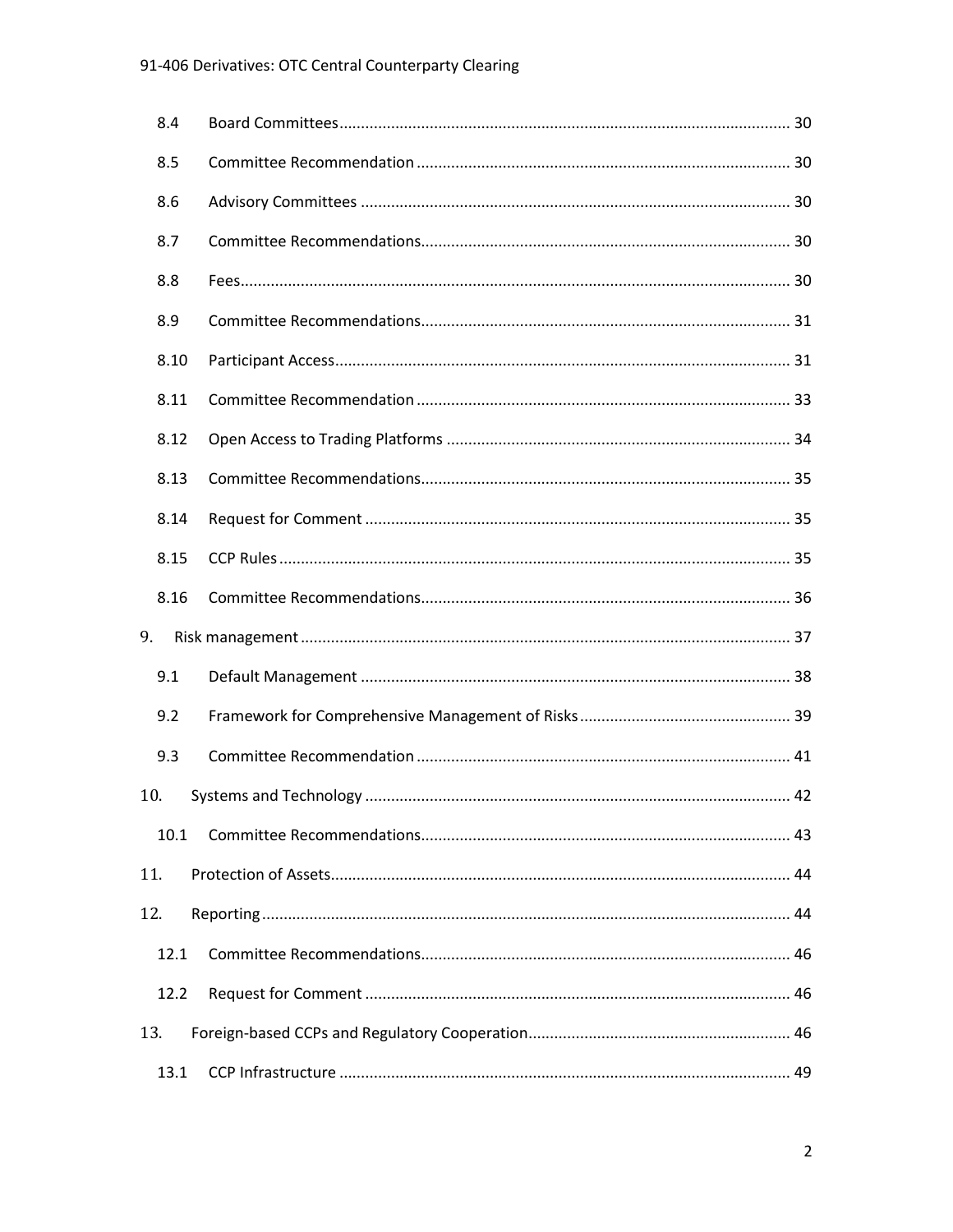|    | 8.4  |  |
|----|------|--|
|    | 8.5  |  |
|    | 8.6  |  |
|    | 8.7  |  |
|    | 8.8  |  |
|    | 8.9  |  |
|    | 8.10 |  |
|    | 8.11 |  |
|    | 8.12 |  |
|    | 8.13 |  |
|    | 8.14 |  |
|    | 8.15 |  |
|    | 8.16 |  |
| 9. |      |  |
|    | 9.1  |  |
|    | 9.2  |  |
|    | 9.3  |  |
|    | 10.  |  |
|    | 10.1 |  |
|    | 11.  |  |
|    | 12.  |  |
|    | 12.1 |  |
|    | 12.2 |  |
|    | 13.  |  |
|    | 13.1 |  |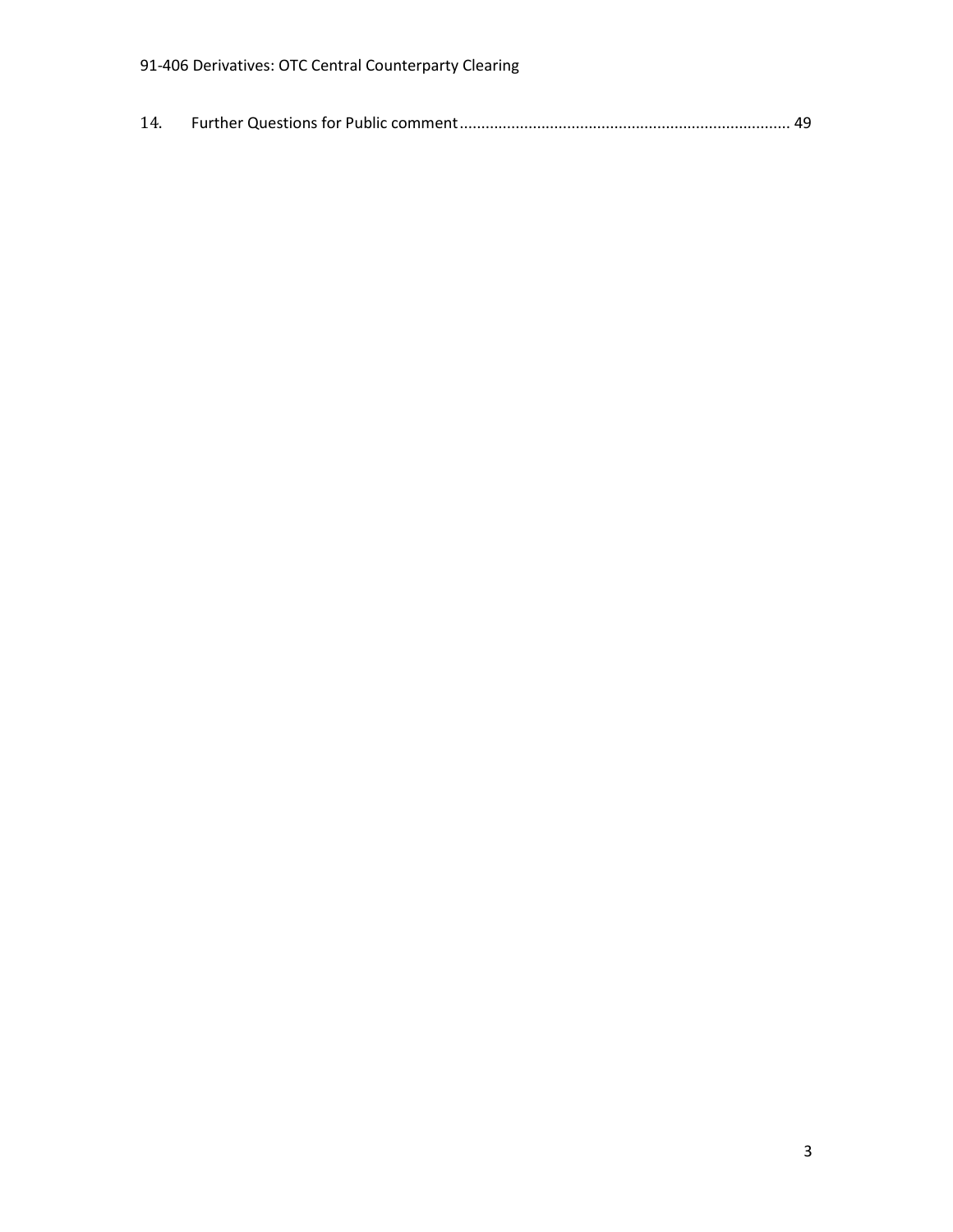| 14. |  |  |
|-----|--|--|
|-----|--|--|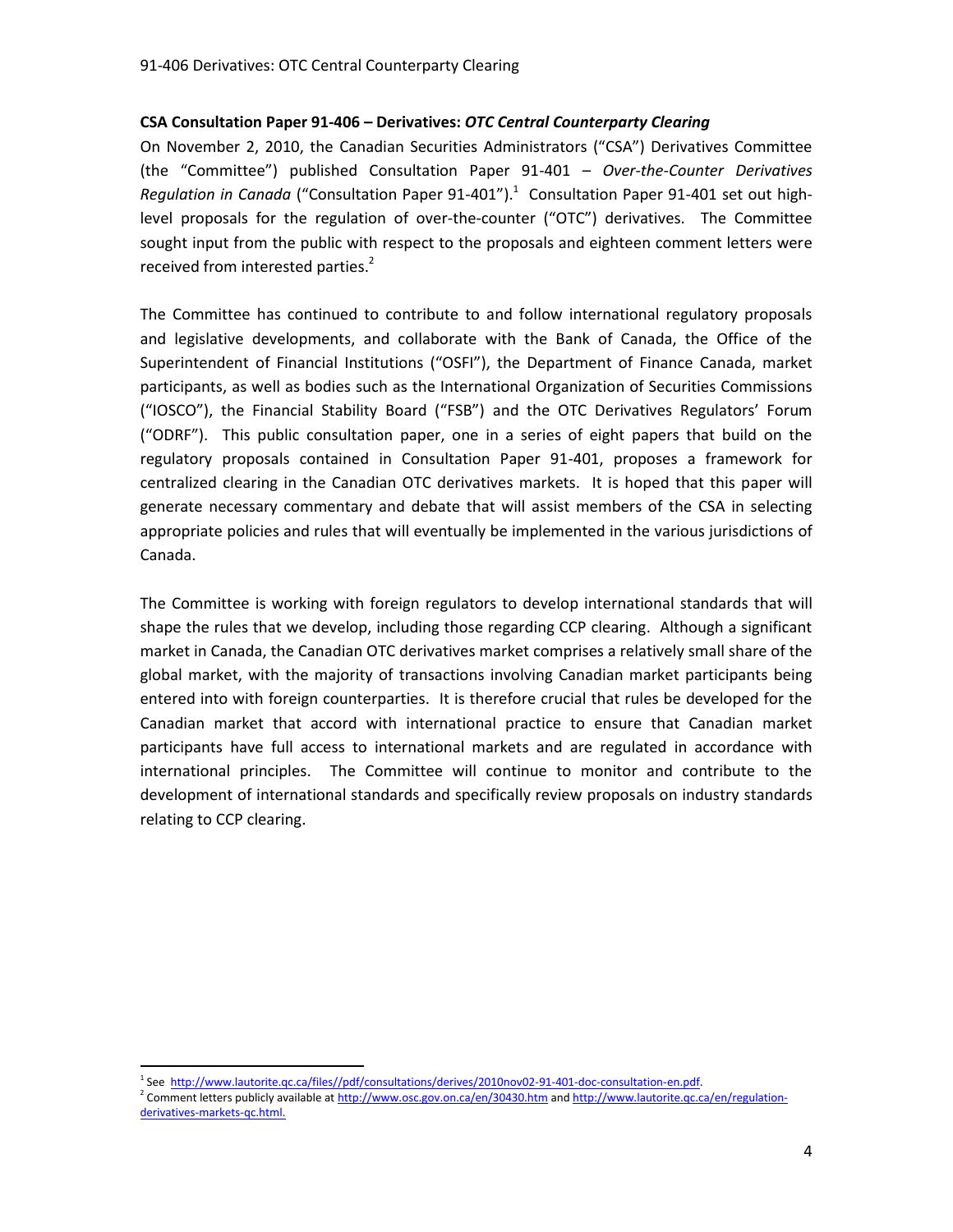On November 2, 2010, the Canadian Securities Administrators ("CSA") Derivatives Committee (the "Committee") published Consultation Paper 91-401 – *Over-the-Counter Derivatives*  Regulation in Canada ("Consultation Paper 91-401").<sup>1</sup> Consultation Paper 91-401 set out highlevel proposals for the regulation of over-the-counter ("OTC") derivatives. The Committee sought input from the public with respect to the proposals and eighteen comment letters were received from interested parties. $2$ 

The Committee has continued to contribute to and follow international regulatory proposals and legislative developments, and collaborate with the Bank of Canada, the Office of the Superintendent of Financial Institutions ("OSFI"), the Department of Finance Canada, market participants, as well as bodies such as the International Organization of Securities Commissions ("IOSCO"), the Financial Stability Board ("FSB") and the OTC Derivatives Regulators' Forum ("ODRF"). This public consultation paper, one in a series of eight papers that build on the regulatory proposals contained in Consultation Paper 91-401, proposes a framework for centralized clearing in the Canadian OTC derivatives markets. It is hoped that this paper will generate necessary commentary and debate that will assist members of the CSA in selecting appropriate policies and rules that will eventually be implemented in the various jurisdictions of Canada.

The Committee is working with foreign regulators to develop international standards that will shape the rules that we develop, including those regarding CCP clearing. Although a significant market in Canada, the Canadian OTC derivatives market comprises a relatively small share of the global market, with the majority of transactions involving Canadian market participants being entered into with foreign counterparties. It is therefore crucial that rules be developed for the Canadian market that accord with international practice to ensure that Canadian market participants have full access to international markets and are regulated in accordance with international principles. The Committee will continue to monitor and contribute to the development of international standards and specifically review proposals on industry standards relating to CCP clearing.

<span id="page-4-0"></span>l 1 See [http://www.lautorite.qc.ca/files//pdf/consultations/derives/2010nov02-91-401-doc-consultation-en.pdf.](http://www.lautorite.qc.ca/files/pdf/consultations/derives/2010nov02-91-401-doc-consultation-en.pdf)

<sup>&</sup>lt;sup>2</sup> Comment letters publicly available a[t http://www.osc.gov.on.ca/en/30430.htm](http://www.osc.gov.on.ca/en/30430.htm) and http://www.lautorite.qc.ca/en/regulationderivatives-markets-qc.html.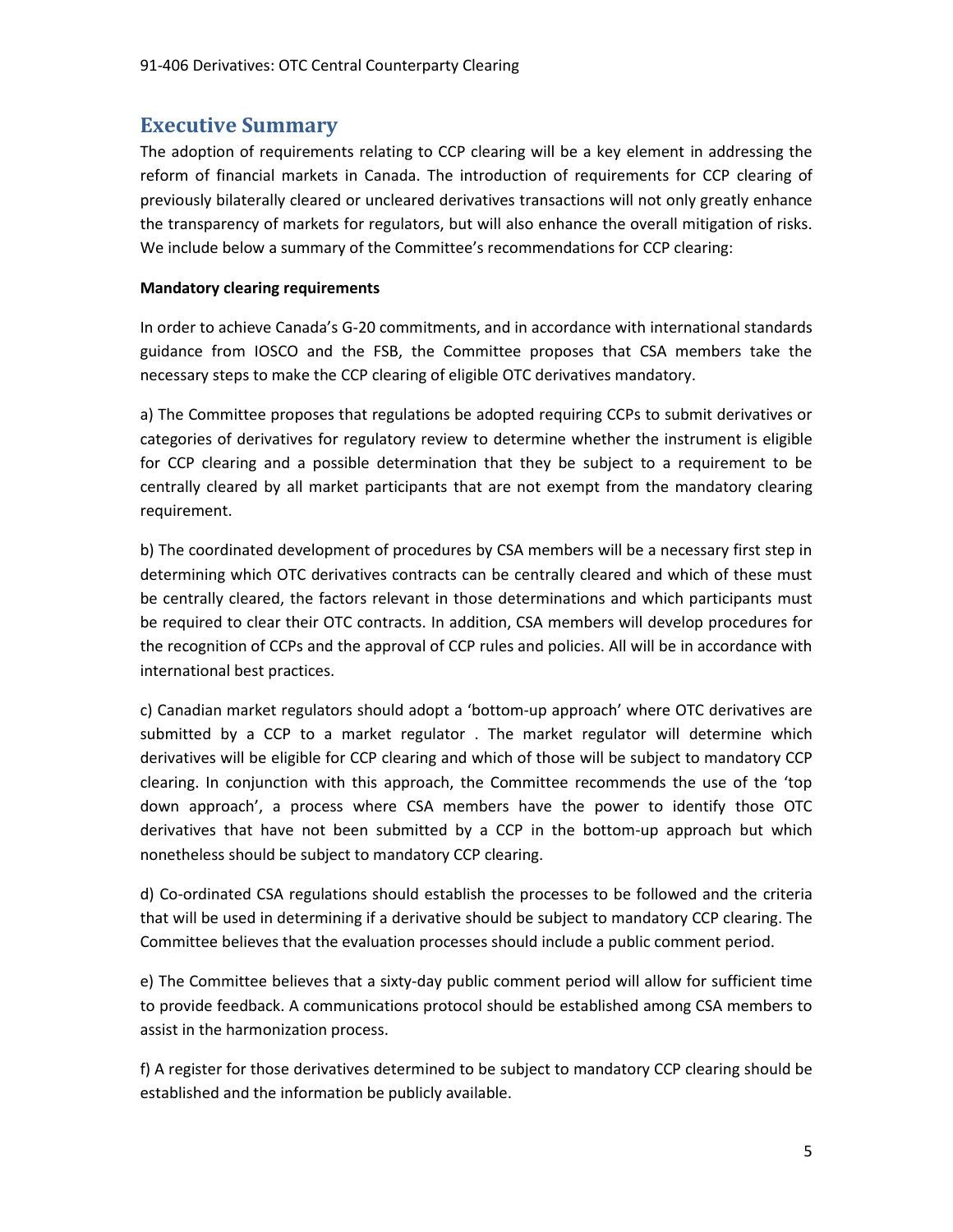# **Executive Summary**

The adoption of requirements relating to CCP clearing will be a key element in addressing the reform of financial markets in Canada. The introduction of requirements for CCP clearing of previously bilaterally cleared or uncleared derivatives transactions will not only greatly enhance the transparency of markets for regulators, but will also enhance the overall mitigation of risks. We include below a summary of the Committee's recommendations for CCP clearing:

## **Mandatory clearing requirements**

In order to achieve Canada's G-20 commitments, and in accordance with international standards guidance from IOSCO and the FSB, the Committee proposes that CSA members take the necessary steps to make the CCP clearing of eligible OTC derivatives mandatory.

a) The Committee proposes that regulations be adopted requiring CCPs to submit derivatives or categories of derivatives for regulatory review to determine whether the instrument is eligible for CCP clearing and a possible determination that they be subject to a requirement to be centrally cleared by all market participants that are not exempt from the mandatory clearing requirement.

b) The coordinated development of procedures by CSA members will be a necessary first step in determining which OTC derivatives contracts can be centrally cleared and which of these must be centrally cleared, the factors relevant in those determinations and which participants must be required to clear their OTC contracts. In addition, CSA members will develop procedures for the recognition of CCPs and the approval of CCP rules and policies. All will be in accordance with international best practices.

c) Canadian market regulators should adopt a 'bottom-up approach' where OTC derivatives are submitted by a CCP to a market regulator . The market regulator will determine which derivatives will be eligible for CCP clearing and which of those will be subject to mandatory CCP clearing. In conjunction with this approach, the Committee recommends the use of the 'top down approach', a process where CSA members have the power to identify those OTC derivatives that have not been submitted by a CCP in the bottom-up approach but which nonetheless should be subject to mandatory CCP clearing.

d) Co-ordinated CSA regulations should establish the processes to be followed and the criteria that will be used in determining if a derivative should be subject to mandatory CCP clearing. The Committee believes that the evaluation processes should include a public comment period.

e) The Committee believes that a sixty-day public comment period will allow for sufficient time to provide feedback. A communications protocol should be established among CSA members to assist in the harmonization process.

f) A register for those derivatives determined to be subject to mandatory CCP clearing should be established and the information be publicly available.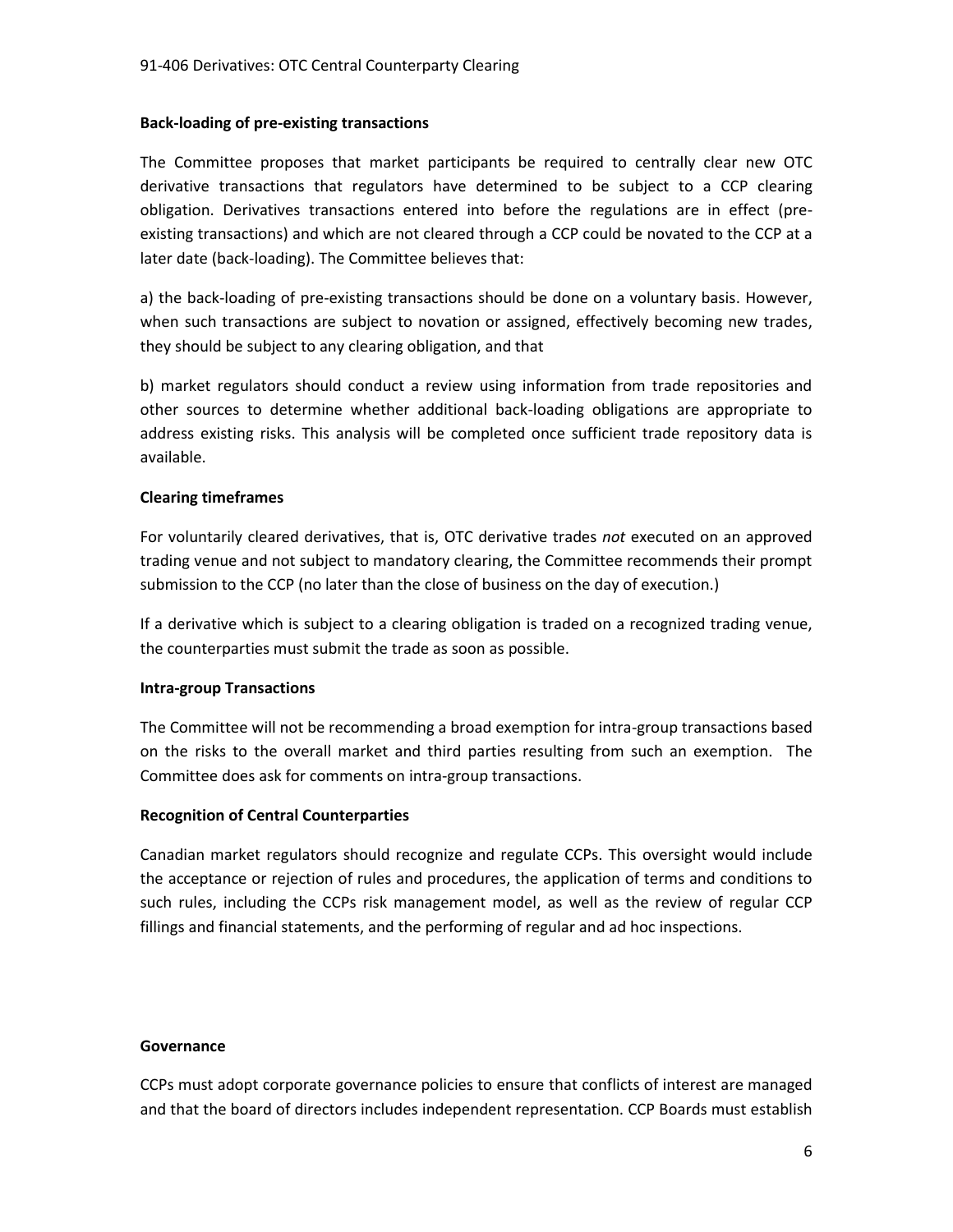## **Back-loading of pre-existing transactions**

The Committee proposes that market participants be required to centrally clear new OTC derivative transactions that regulators have determined to be subject to a CCP clearing obligation. Derivatives transactions entered into before the regulations are in effect (preexisting transactions) and which are not cleared through a CCP could be novated to the CCP at a later date (back-loading). The Committee believes that:

a) the back-loading of pre-existing transactions should be done on a voluntary basis. However, when such transactions are subject to novation or assigned, effectively becoming new trades, they should be subject to any clearing obligation, and that

b) market regulators should conduct a review using information from trade repositories and other sources to determine whether additional back-loading obligations are appropriate to address existing risks. This analysis will be completed once sufficient trade repository data is available.

## **Clearing timeframes**

For voluntarily cleared derivatives, that is, OTC derivative trades *not* executed on an approved trading venue and not subject to mandatory clearing, the Committee recommends their prompt submission to the CCP (no later than the close of business on the day of execution.)

If a derivative which is subject to a clearing obligation is traded on a recognized trading venue, the counterparties must submit the trade as soon as possible.

## **Intra-group Transactions**

The Committee will not be recommending a broad exemption for intra-group transactions based on the risks to the overall market and third parties resulting from such an exemption. The Committee does ask for comments on intra-group transactions.

## **Recognition of Central Counterparties**

Canadian market regulators should recognize and regulate CCPs. This oversight would include the acceptance or rejection of rules and procedures, the application of terms and conditions to such rules, including the CCPs risk management model, as well as the review of regular CCP fillings and financial statements, and the performing of regular and ad hoc inspections.

#### **Governance**

CCPs must adopt corporate governance policies to ensure that conflicts of interest are managed and that the board of directors includes independent representation. CCP Boards must establish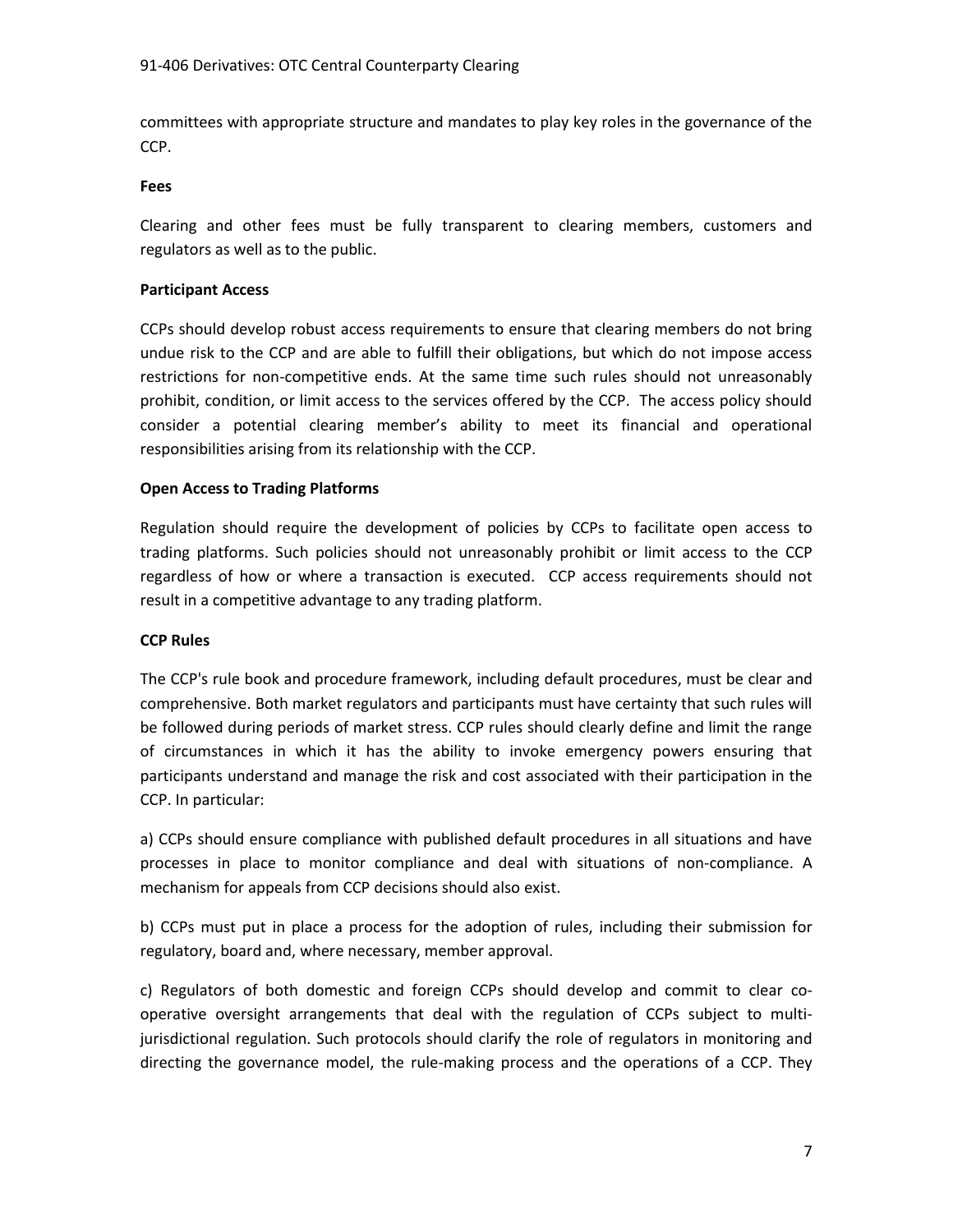committees with appropriate structure and mandates to play key roles in the governance of the CCP.

### **Fees**

Clearing and other fees must be fully transparent to clearing members, customers and regulators as well as to the public.

## **Participant Access**

CCPs should develop robust access requirements to ensure that clearing members do not bring undue risk to the CCP and are able to fulfill their obligations, but which do not impose access restrictions for non-competitive ends. At the same time such rules should not unreasonably prohibit, condition, or limit access to the services offered by the CCP. The access policy should consider a potential clearing member's ability to meet its financial and operational responsibilities arising from its relationship with the CCP.

## **Open Access to Trading Platforms**

Regulation should require the development of policies by CCPs to facilitate open access to trading platforms. Such policies should not unreasonably prohibit or limit access to the CCP regardless of how or where a transaction is executed. CCP access requirements should not result in a competitive advantage to any trading platform.

## **CCP Rules**

The CCP's rule book and procedure framework, including default procedures, must be clear and comprehensive. Both market regulators and participants must have certainty that such rules will be followed during periods of market stress. CCP rules should clearly define and limit the range of circumstances in which it has the ability to invoke emergency powers ensuring that participants understand and manage the risk and cost associated with their participation in the CCP. In particular:

a) CCPs should ensure compliance with published default procedures in all situations and have processes in place to monitor compliance and deal with situations of non-compliance. A mechanism for appeals from CCP decisions should also exist.

b) CCPs must put in place a process for the adoption of rules, including their submission for regulatory, board and, where necessary, member approval.

c) Regulators of both domestic and foreign CCPs should develop and commit to clear cooperative oversight arrangements that deal with the regulation of CCPs subject to multijurisdictional regulation. Such protocols should clarify the role of regulators in monitoring and directing the governance model, the rule-making process and the operations of a CCP. They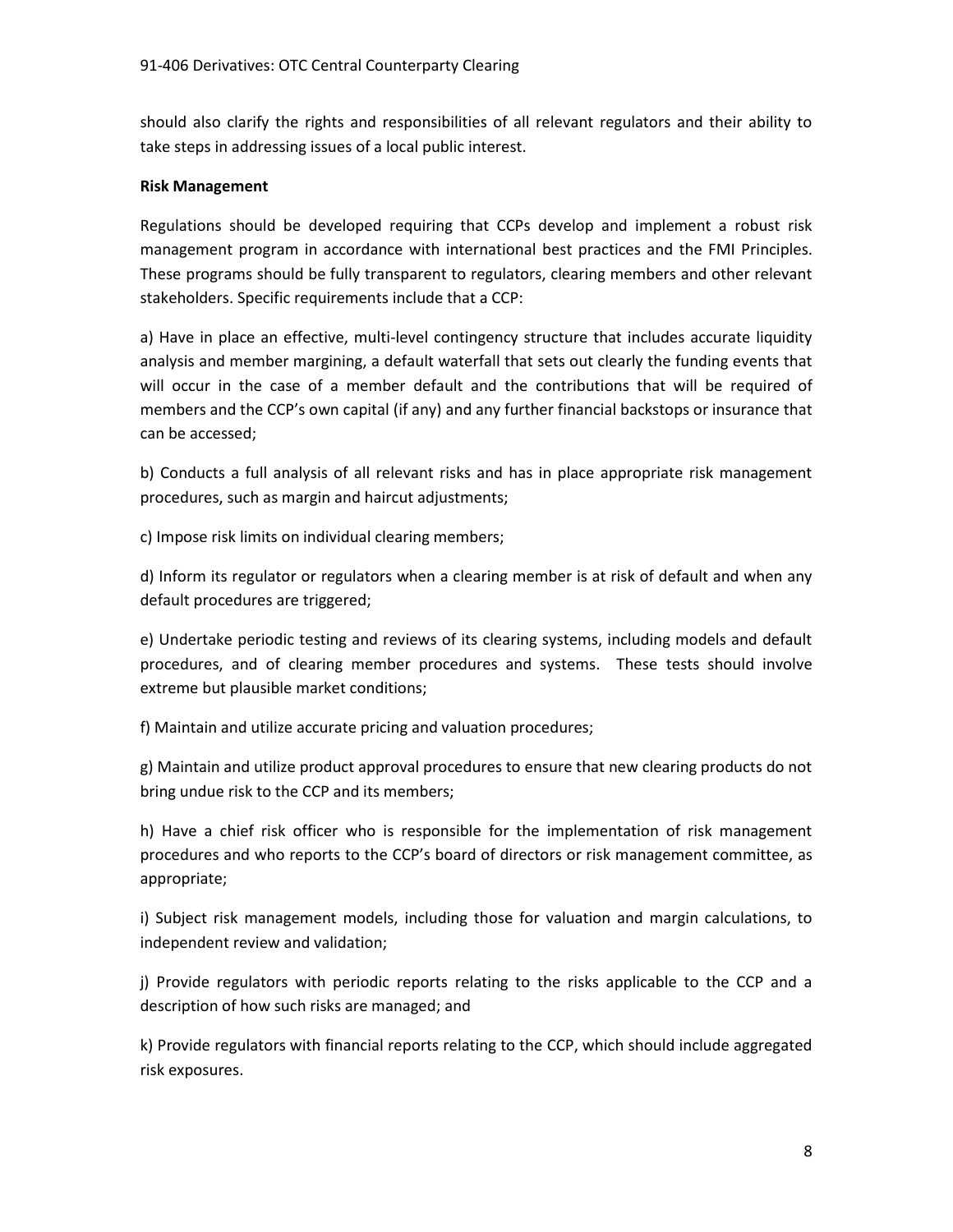should also clarify the rights and responsibilities of all relevant regulators and their ability to take steps in addressing issues of a local public interest.

## **Risk Management**

Regulations should be developed requiring that CCPs develop and implement a robust risk management program in accordance with international best practices and the FMI Principles. These programs should be fully transparent to regulators, clearing members and other relevant stakeholders. Specific requirements include that a CCP:

a) Have in place an effective, multi-level contingency structure that includes accurate liquidity analysis and member margining, a default waterfall that sets out clearly the funding events that will occur in the case of a member default and the contributions that will be required of members and the CCP's own capital (if any) and any further financial backstops or insurance that can be accessed;

b) Conducts a full analysis of all relevant risks and has in place appropriate risk management procedures, such as margin and haircut adjustments;

c) Impose risk limits on individual clearing members;

d) Inform its regulator or regulators when a clearing member is at risk of default and when any default procedures are triggered;

e) Undertake periodic testing and reviews of its clearing systems, including models and default procedures, and of clearing member procedures and systems. These tests should involve extreme but plausible market conditions;

f) Maintain and utilize accurate pricing and valuation procedures;

g) Maintain and utilize product approval procedures to ensure that new clearing products do not bring undue risk to the CCP and its members;

h) Have a chief risk officer who is responsible for the implementation of risk management procedures and who reports to the CCP's board of directors or risk management committee, as appropriate;

i) Subject risk management models, including those for valuation and margin calculations, to independent review and validation;

j) Provide regulators with periodic reports relating to the risks applicable to the CCP and a description of how such risks are managed; and

k) Provide regulators with financial reports relating to the CCP, which should include aggregated risk exposures.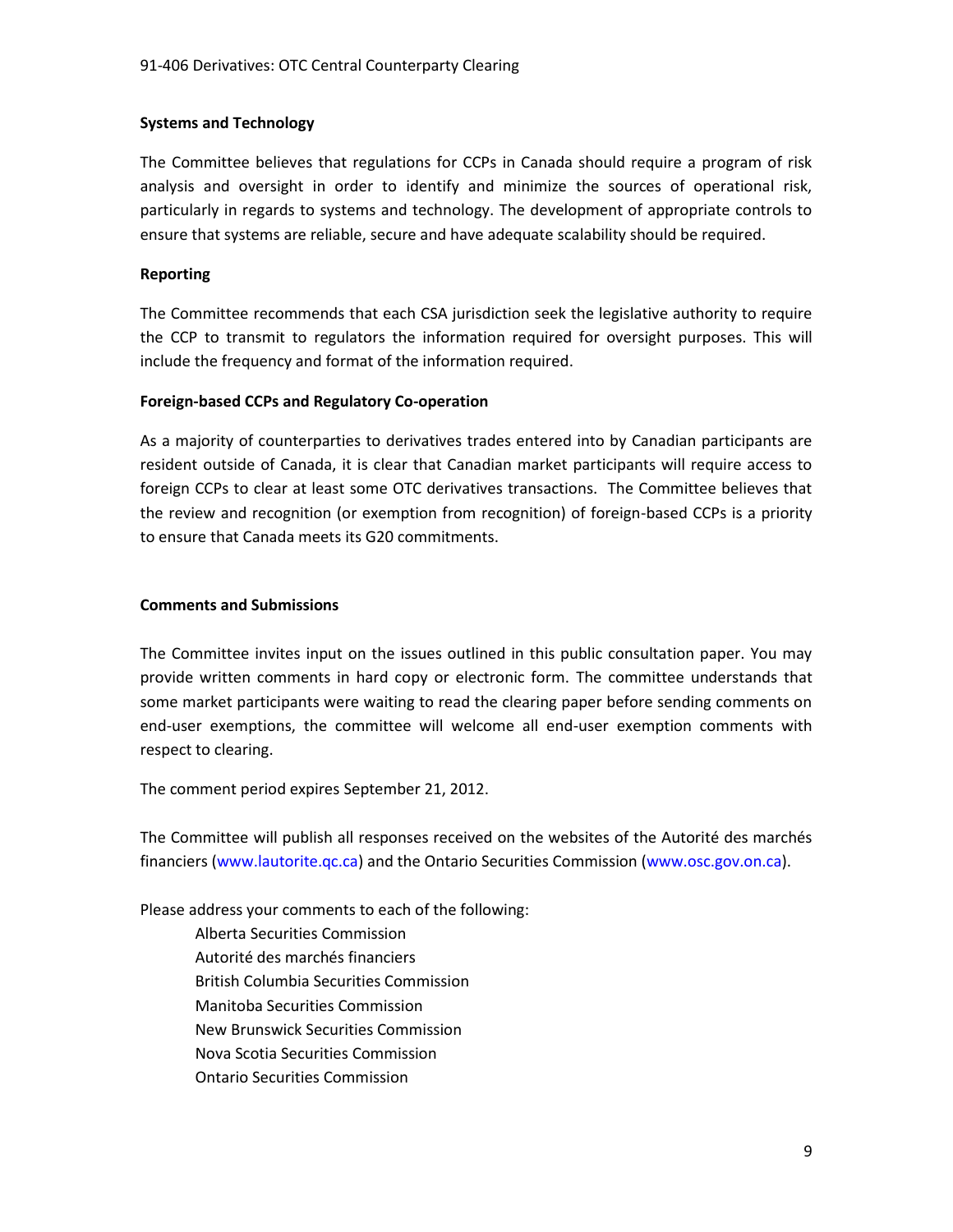## **Systems and Technology**

The Committee believes that regulations for CCPs in Canada should require a program of risk analysis and oversight in order to identify and minimize the sources of operational risk, particularly in regards to systems and technology. The development of appropriate controls to ensure that systems are reliable, secure and have adequate scalability should be required.

## **Reporting**

The Committee recommends that each CSA jurisdiction seek the legislative authority to require the CCP to transmit to regulators the information required for oversight purposes. This will include the frequency and format of the information required.

## **Foreign-based CCPs and Regulatory Co-operation**

As a majority of counterparties to derivatives trades entered into by Canadian participants are resident outside of Canada, it is clear that Canadian market participants will require access to foreign CCPs to clear at least some OTC derivatives transactions. The Committee believes that the review and recognition (or exemption from recognition) of foreign-based CCPs is a priority to ensure that Canada meets its G20 commitments.

## **Comments and Submissions**

The Committee invites input on the issues outlined in this public consultation paper. You may provide written comments in hard copy or electronic form. The committee understands that some market participants were waiting to read the clearing paper before sending comments on end-user exemptions, the committee will welcome all end-user exemption comments with respect to clearing.

The comment period expires September 21, 2012.

The Committee will publish all responses received on the websites of the Autorité des marchés financiers (www.lautorite.qc.ca) and the Ontario Securities Commission (www.osc.gov.on.ca).

Please address your comments to each of the following:

Alberta Securities Commission Autorité des marchés financiers British Columbia Securities Commission Manitoba Securities Commission New Brunswick Securities Commission Nova Scotia Securities Commission Ontario Securities Commission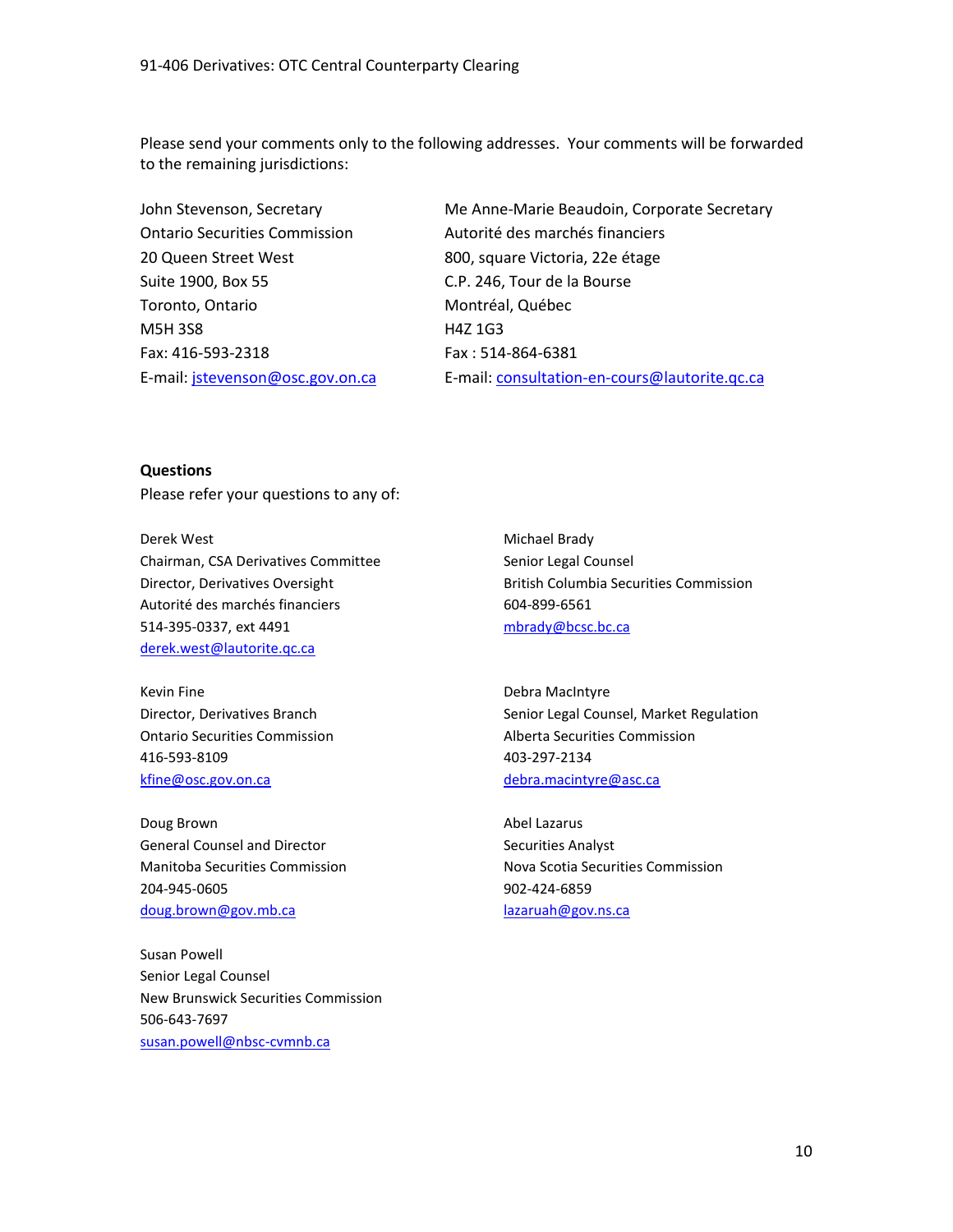Please send your comments only to the following addresses. Your comments will be forwarded to the remaining jurisdictions:

John Stevenson, Secretary Ontario Securities Commission 20 Queen Street West Suite 1900, Box 55 Toronto, Ontario M5H 3S8 Fax: 416-593-2318 E-mail: [jstevenson@osc.gov.on.ca](mailto:jstevenson@osc.gov.on.ca)  Me Anne-Marie Beaudoin, Corporate Secretary Autorité des marchés financiers 800, square Victoria, 22e étage C.P. 246, Tour de la Bourse Montréal, Québec H4Z 1G3 Fax : 514-864-6381 E-mail: [consultation-en-cours@lautorite.qc.ca](mailto:consultation-en-cours@lautorite.qc.ca)

**Questions**  Please refer your questions to any of:

Derek West Chairman, CSA Derivatives Committee Director, Derivatives Oversight Autorité des marchés financiers 514‐395‐0337, ext 4491 [derek.west@lautorite.qc.ca](mailto:derek.west@lautorite.qc.ca)

Kevin Fine Director, Derivatives Branch Ontario Securities Commission 416‐593‐8109 [kfine@osc.gov.on.ca](mailto:kfine@osc.gov.on.ca)

Doug Brown General Counsel and Director Manitoba Securities Commission 204‐945‐0605 [doug.brown@gov.mb.ca](mailto:doug.brown@gov.mb.ca)

Susan Powell Senior Legal Counsel New Brunswick Securities Commission 506-643-7697 [susan.powell@nbsc-cvmnb.ca](mailto:susan.powell@nbsc-cvmnb.ca)

Michael Brady Senior Legal Counsel British Columbia Securities Commission 604‐899‐6561 [mbrady@bcsc.bc.ca](mailto:mbrady@bcsc.bc.ca)

Debra MacIntyre Senior Legal Counsel, Market Regulation Alberta Securities Commission 403-297-2134 [debra.macintyre@asc.ca](mailto:debra.macintyre@asc.ca)

Abel Lazarus Securities Analyst Nova Scotia Securities Commission 902-424-6859 [lazaruah@gov.ns.ca](mailto:lazaruah@gov.ns.ca)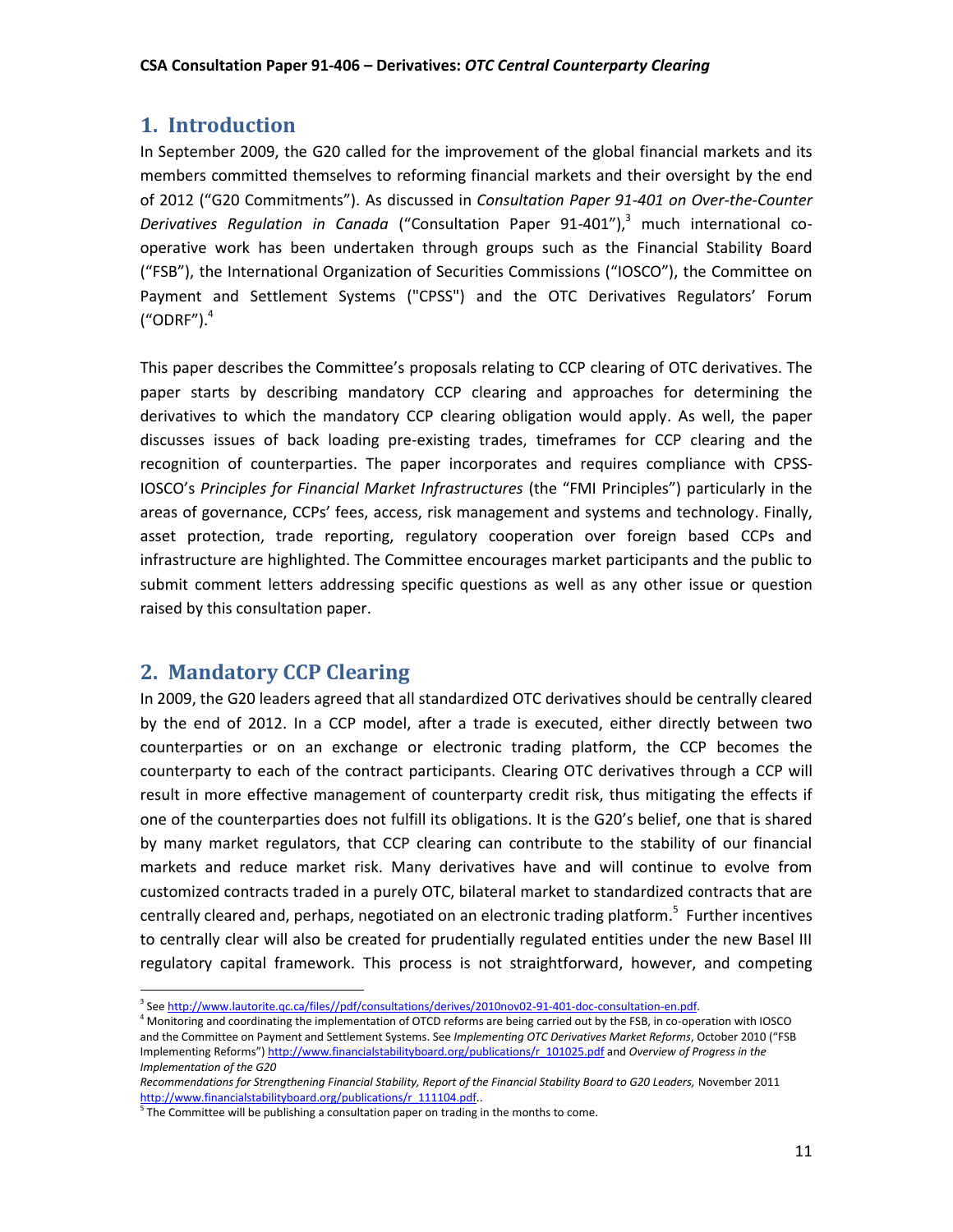# <span id="page-11-0"></span>**1. Introduction**

In September 2009, the G20 called for the improvement of the global financial markets and its members committed themselves to reforming financial markets and their oversight by the end of 2012 ("G20 Commitments"). As discussed in *Consultation Paper 91-401 on Over-the-Counter Derivatives Regulation in Canada* ("Consultation Paper 91-401"),<sup>3</sup> much international cooperative work has been undertaken through groups such as the Financial Stability Board ("FSB"), the International Organization of Securities Commissions ("IOSCO"), the Committee on Payment and Settlement Systems ("CPSS") and the OTC Derivatives Regulators' Forum ("ODRF"). $^4$ 

This paper describes the Committee's proposals relating to CCP clearing of OTC derivatives. The paper starts by describing mandatory CCP clearing and approaches for determining the derivatives to which the mandatory CCP clearing obligation would apply. As well, the paper discusses issues of back loading pre-existing trades, timeframes for CCP clearing and the recognition of counterparties. The paper incorporates and requires compliance with CPSS-IOSCO's *Principles for Financial Market Infrastructures* (the "FMI Principles") particularly in the areas of governance, CCPs' fees, access, risk management and systems and technology. Finally, asset protection, trade reporting, regulatory cooperation over foreign based CCPs and infrastructure are highlighted. The Committee encourages market participants and the public to submit comment letters addressing specific questions as well as any other issue or question raised by this consultation paper.

# <span id="page-11-1"></span>**2. Mandatory CCP Clearing**

 $\overline{\phantom{a}}$ 

In 2009, the G20 leaders agreed that all standardized OTC derivatives should be centrally cleared by the end of 2012. In a CCP model, after a trade is executed, either directly between two counterparties or on an exchange or electronic trading platform, the CCP becomes the counterparty to each of the contract participants. Clearing OTC derivatives through a CCP will result in more effective management of counterparty credit risk, thus mitigating the effects if one of the counterparties does not fulfill its obligations. It is the G20's belief, one that is shared by many market regulators, that CCP clearing can contribute to the stability of our financial markets and reduce market risk. Many derivatives have and will continue to evolve from customized contracts traded in a purely OTC, bilateral market to standardized contracts that are centrally cleared and, perhaps, negotiated on an electronic trading platform.<sup>5</sup> Further incentives to centrally clear will also be created for prudentially regulated entities under the new Basel III regulatory capital framework. This process is not straightforward, however, and competing

<sup>3</sup> Se[e http://www.lautorite.qc.ca/files//pdf/consultations/derives/2010nov02-91-401-doc-consultation-en.pdf.](http://www.lautorite.qc.ca/files/pdf/consultations/derives/2010nov02-91-401-doc-consultation-en.pdf) 

<sup>4</sup> Monitoring and coordinating the implementation of OTCD reforms are being carried out by the FSB, in co-operation with IOSCO and the Committee on Payment and Settlement Systems. See *Implementing OTC Derivatives Market Reforms*, October 2010 ("FSB Implementing Reforms") [http://www.financialstabilityboard.org/publications/r\\_101025.pdf](http://www.financialstabilityboard.org/publications/r_101025.pdf) and *Overview of Progress in the Implementation of the G20* 

Recommendations for Strengthening Financial Stability, Report of the Financial Stability Board to G20 Leaders, November 2011 [http://www.financialstabilityboard.org/publications/r\\_111104.pdf.](http://www.financialstabilityboard.org/publications/r_111104.pdf).

<sup>&</sup>lt;sup>5</sup> The Committee will be publishing a consultation paper on trading in the months to come.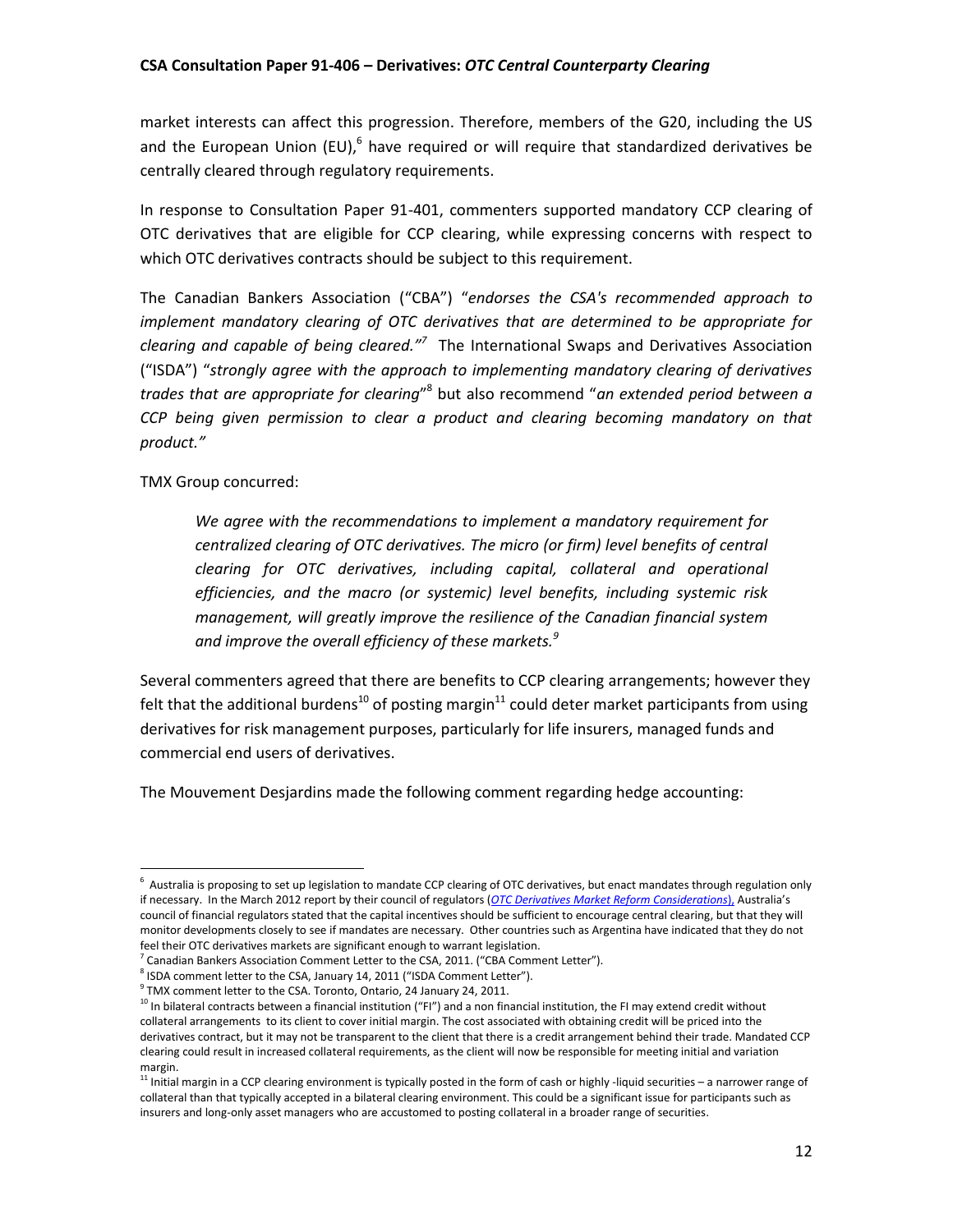market interests can affect this progression. Therefore, members of the G20, including the US and the European Union (EU),  $6$  have required or will require that standardized derivatives be centrally cleared through regulatory requirements.

In response to Consultation Paper 91-401, commenters supported mandatory CCP clearing of OTC derivatives that are eligible for CCP clearing, while expressing concerns with respect to which OTC derivatives contracts should be subject to this requirement.

The Canadian Bankers Association ("CBA") "*endorses the CSA's recommended approach to implement mandatory clearing of OTC derivatives that are determined to be appropriate for clearing and capable of being cleared."<sup>7</sup>* The International Swaps and Derivatives Association ("ISDA") "*strongly agree with the approach to implementing mandatory clearing of derivatives*  trades that are appropriate for clearing"<sup>8</sup> but also recommend "an extended period between a *CCP being given permission to clear a product and clearing becoming mandatory on that product."*

TMX Group concurred:

*We agree with the recommendations to implement a mandatory requirement for centralized clearing of OTC derivatives. The micro (or firm) level benefits of central clearing for OTC derivatives, including capital, collateral and operational efficiencies, and the macro (or systemic) level benefits, including systemic risk management, will greatly improve the resilience of the Canadian financial system and improve the overall efficiency of these markets.<sup>9</sup>*

Several commenters agreed that there are benefits to CCP clearing arrangements; however they felt that the additional burdens<sup>10</sup> of posting margin<sup>11</sup> could deter market participants from using derivatives for risk management purposes, particularly for life insurers, managed funds and commercial end users of derivatives.

The Mouvement Desjardins made the following comment regarding hedge accounting:

 $\overline{\phantom{a}}$ <sup>6</sup> Australia is proposing to set up legislation to mandate CCP clearing of OTC derivatives, but enact mandates through regulation only if necessary. In the March 2012 report by their council of regulators (*[OTC Derivatives Market Reform Considerations](http://www.treasury.gov.au/~/media/Treasury/Publications%20and%20Media/Publications/2012/CFR%20report%20on%20over%20the%20counter%20derivatives/Downloads/PDF/CFR%20Report.ashx)*), Australia's council of financial regulators stated that the capital incentives should be sufficient to encourage central clearing, but that they will monitor developments closely to see if mandates are necessary. Other countries such as Argentina have indicated that they do not feel their OTC derivatives markets are significant enough to warrant legislation.

 $^7$  Canadian Bankers Association Comment Letter to the CSA, 2011. ("CBA Comment Letter").

 $^8$  ISDA comment letter to the CSA, January 14, 2011 ("ISDA Comment Letter").

<sup>&</sup>lt;sup>9</sup> TMX comment letter to the CSA. Toronto, Ontario, 24 January 24, 2011.

<sup>&</sup>lt;sup>10</sup> In bilateral contracts between a financial institution ("FI") and a non financial institution, the FI may extend credit without collateral arrangements to its client to cover initial margin. The cost associated with obtaining credit will be priced into the derivatives contract, but it may not be transparent to the client that there is a credit arrangement behind their trade. Mandated CCP clearing could result in increased collateral requirements, as the client will now be responsible for meeting initial and variation margin.

 $11$  Initial margin in a CCP clearing environment is typically posted in the form of cash or highly -liquid securities – a narrower range of collateral than that typically accepted in a bilateral clearing environment. This could be a significant issue for participants such as insurers and long-only asset managers who are accustomed to posting collateral in a broader range of securities.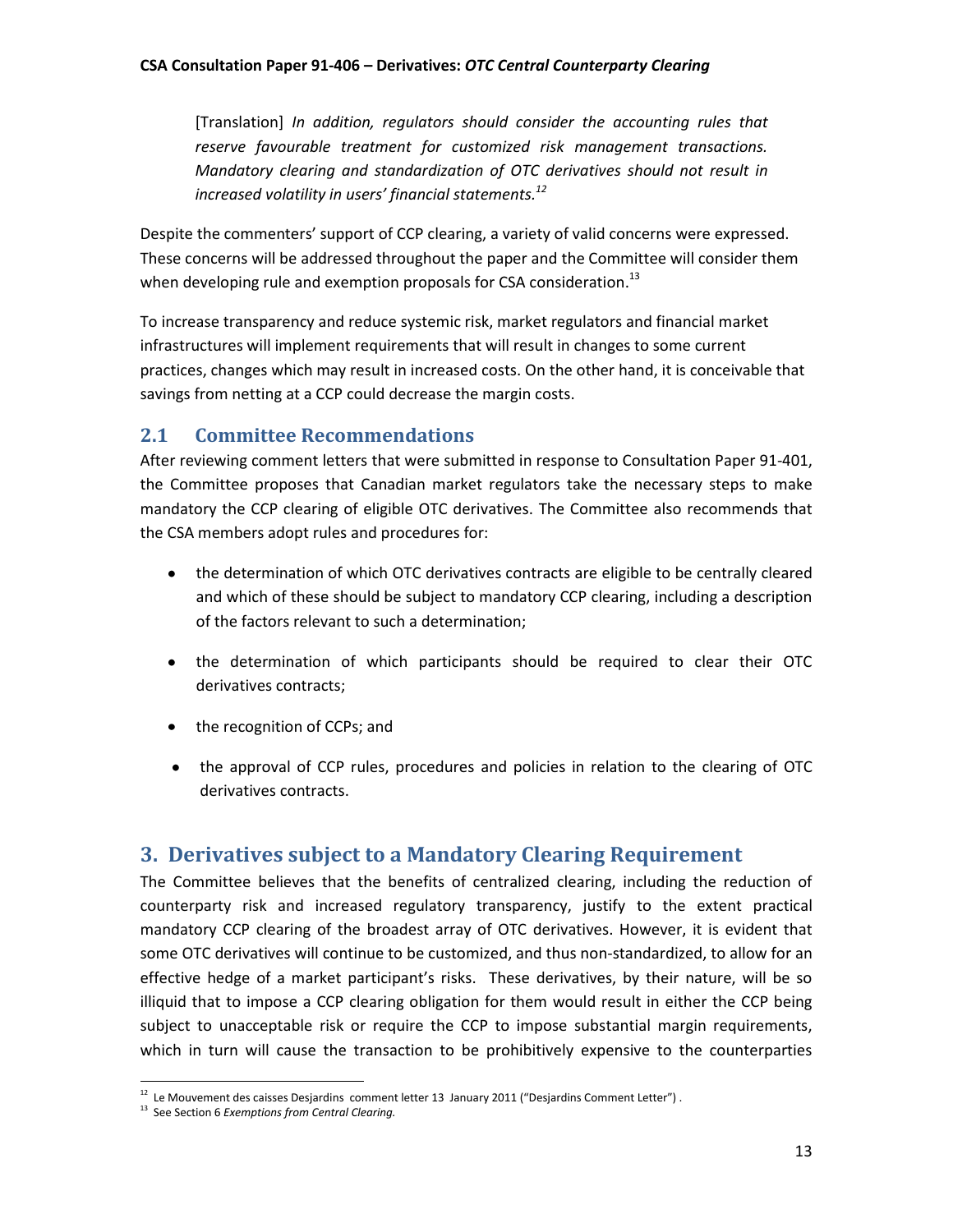[Translation] *In addition, regulators should consider the accounting rules that reserve favourable treatment for customized risk management transactions. Mandatory clearing and standardization of OTC derivatives should not result in increased volatility in users' financial statements.<sup>12</sup>*

Despite the commenters' support of CCP clearing, a variety of valid concerns were expressed. These concerns will be addressed throughout the paper and the Committee will consider them when developing rule and exemption proposals for CSA consideration.<sup>13</sup>

To increase transparency and reduce systemic risk, market regulators and financial market infrastructures will implement requirements that will result in changes to some current practices, changes which may result in increased costs. On the other hand, it is conceivable that savings from netting at a CCP could decrease the margin costs.

# <span id="page-13-0"></span>**2.1 Committee Recommendations**

After reviewing comment letters that were submitted in response to Consultation Paper 91-401, the Committee proposes that Canadian market regulators take the necessary steps to make mandatory the CCP clearing of eligible OTC derivatives. The Committee also recommends that the CSA members adopt rules and procedures for:

- the determination of which OTC derivatives contracts are eligible to be centrally cleared and which of these should be subject to mandatory CCP clearing, including a description of the factors relevant to such a determination;
- the determination of which participants should be required to clear their OTC derivatives contracts;
- the recognition of CCPs; and
- the approval of CCP rules, procedures and policies in relation to the clearing of OTC derivatives contracts.

# <span id="page-13-1"></span>**3. Derivatives subject to a Mandatory Clearing Requirement**

The Committee believes that the benefits of centralized clearing, including the reduction of counterparty risk and increased regulatory transparency, justify to the extent practical mandatory CCP clearing of the broadest array of OTC derivatives. However, it is evident that some OTC derivatives will continue to be customized, and thus non-standardized, to allow for an effective hedge of a market participant's risks. These derivatives, by their nature, will be so illiquid that to impose a CCP clearing obligation for them would result in either the CCP being subject to unacceptable risk or require the CCP to impose substantial margin requirements, which in turn will cause the transaction to be prohibitively expensive to the counterparties

 12 Le Mouvement des caisses Desjardins comment letter 13 January 2011 ("Desjardins Comment Letter") .

<sup>13</sup> See Sectio[n 6](#page-25-1) *Exemptions from Central Clearing.*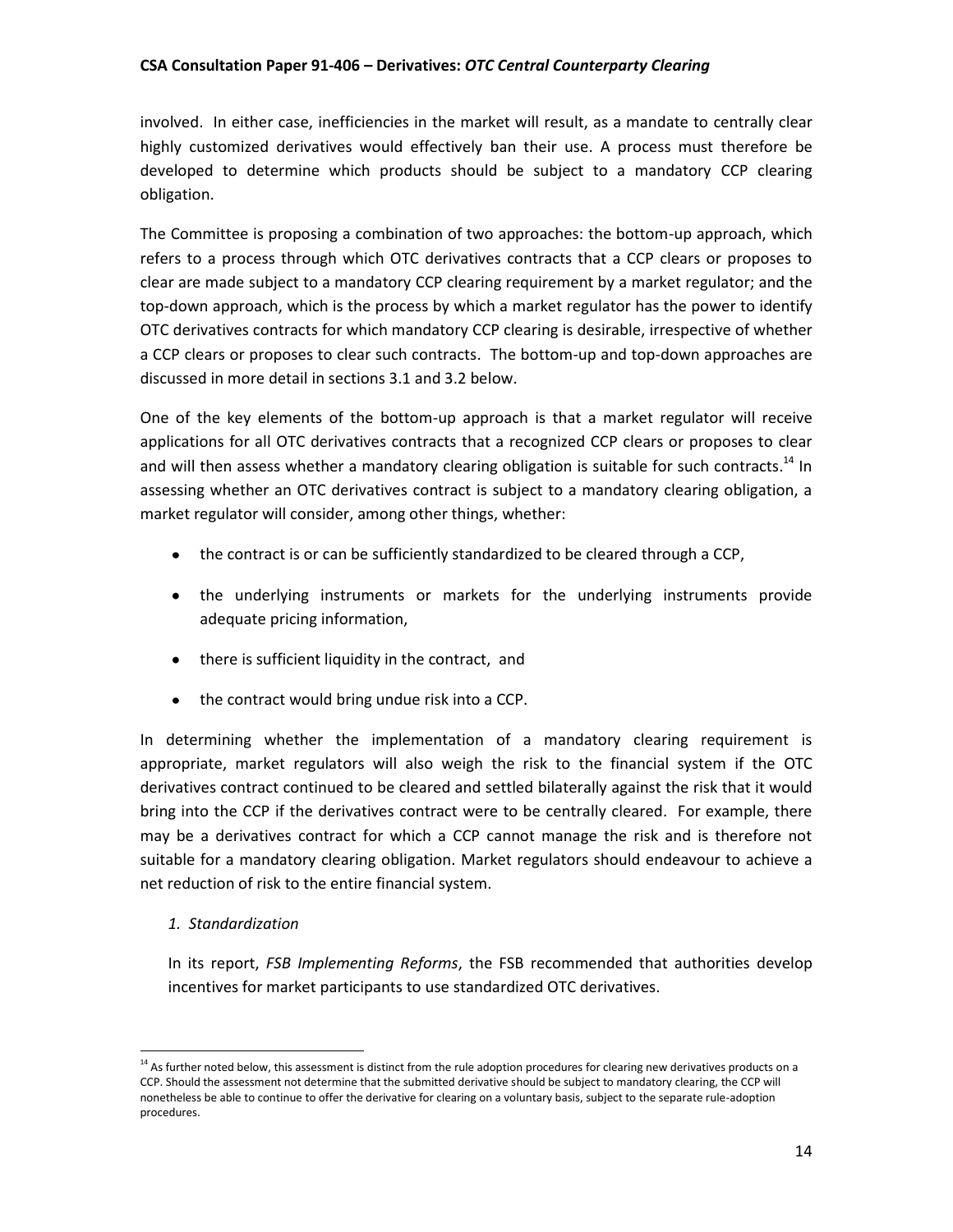involved. In either case, inefficiencies in the market will result, as a mandate to centrally clear highly customized derivatives would effectively ban their use. A process must therefore be developed to determine which products should be subject to a mandatory CCP clearing obligation.

The Committee is proposing a combination of two approaches: the bottom-up approach, which refers to a process through which OTC derivatives contracts that a CCP clears or proposes to clear are made subject to a mandatory CCP clearing requirement by a market regulator; and the top-down approach, which is the process by which a market regulator has the power to identify OTC derivatives contracts for which mandatory CCP clearing is desirable, irrespective of whether a CCP clears or proposes to clear such contracts. The bottom-up and top-down approaches are discussed in more detail in sections 3.1 and 3.2 below.

One of the key elements of the bottom-up approach is that a market regulator will receive applications for all OTC derivatives contracts that a recognized CCP clears or proposes to clear and will then assess whether a mandatory clearing obligation is suitable for such contracts.<sup>14</sup> In assessing whether an OTC derivatives contract is subject to a mandatory clearing obligation, a market regulator will consider, among other things, whether:

- $\bullet$ the contract is or can be sufficiently standardized to be cleared through a CCP,
- the underlying instruments or markets for the underlying instruments provide  $\bullet$ adequate pricing information,
- there is sufficient liquidity in the contract, and  $\bullet$
- $\bullet$ the contract would bring undue risk into a CCP.

In determining whether the implementation of a mandatory clearing requirement is appropriate, market regulators will also weigh the risk to the financial system if the OTC derivatives contract continued to be cleared and settled bilaterally against the risk that it would bring into the CCP if the derivatives contract were to be centrally cleared. For example, there may be a derivatives contract for which a CCP cannot manage the risk and is therefore not suitable for a mandatory clearing obligation. Market regulators should endeavour to achieve a net reduction of risk to the entire financial system.

*1. Standardization*

l

In its report, *FSB Implementing Reforms*, the FSB recommended that authorities develop incentives for market participants to use standardized OTC derivatives.

 $14$  As further noted below, this assessment is distinct from the rule adoption procedures for clearing new derivatives products on a CCP. Should the assessment not determine that the submitted derivative should be subject to mandatory clearing, the CCP will nonetheless be able to continue to offer the derivative for clearing on a voluntary basis, subject to the separate rule-adoption procedures.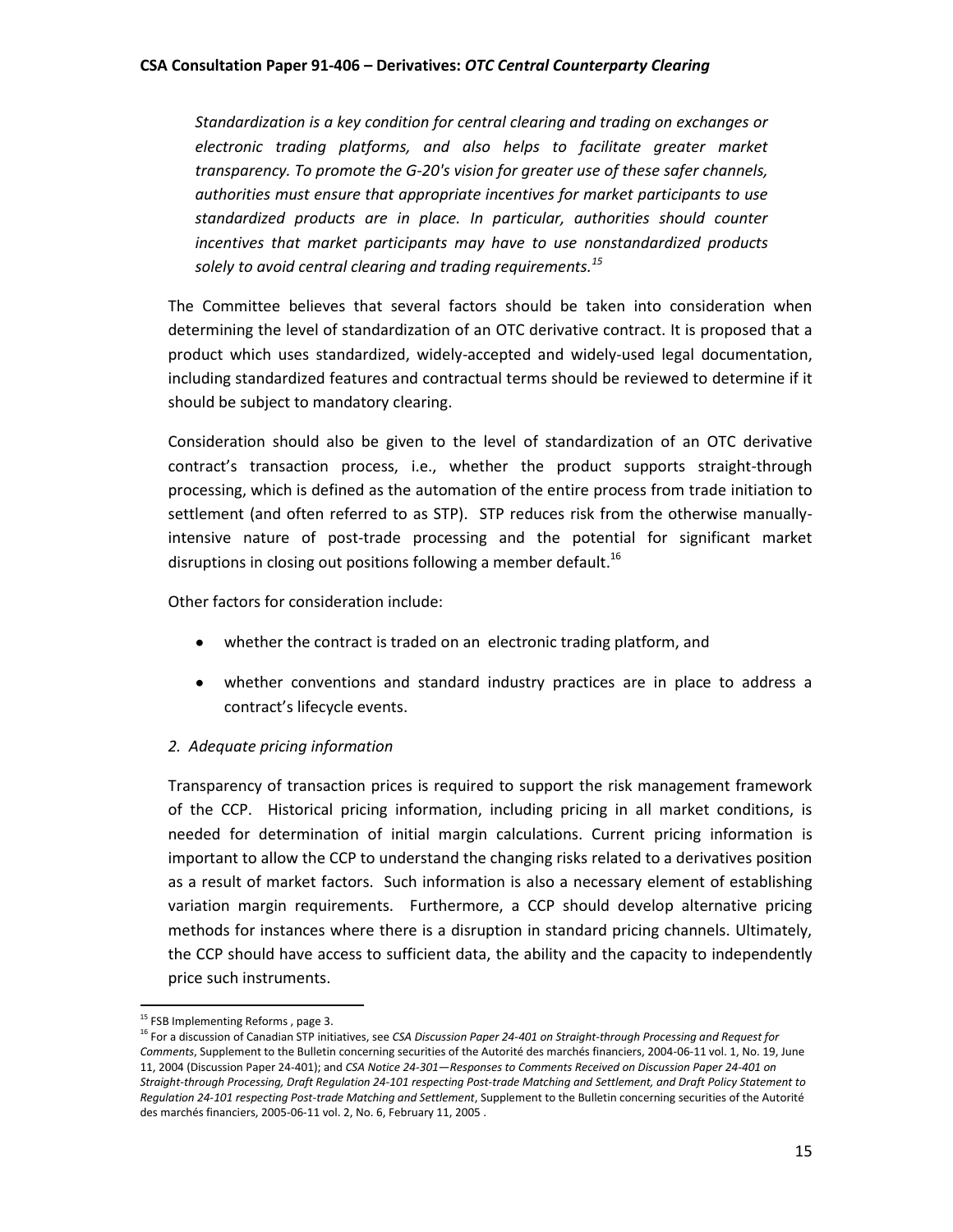*Standardization is a key condition for central clearing and trading on exchanges or electronic trading platforms, and also helps to facilitate greater market transparency. To promote the G-20's vision for greater use of these safer channels, authorities must ensure that appropriate incentives for market participants to use standardized products are in place. In particular, authorities should counter incentives that market participants may have to use nonstandardized products solely to avoid central clearing and trading requirements.<sup>15</sup>*

The Committee believes that several factors should be taken into consideration when determining the level of standardization of an OTC derivative contract. It is proposed that a product which uses standardized, widely-accepted and widely-used legal documentation, including standardized features and contractual terms should be reviewed to determine if it should be subject to mandatory clearing.

Consideration should also be given to the level of standardization of an OTC derivative contract's transaction process, i.e., whether the product supports straight-through processing, which is defined as the automation of the entire process from trade initiation to settlement (and often referred to as STP). STP reduces risk from the otherwise manuallyintensive nature of post-trade processing and the potential for significant market disruptions in closing out positions following a member default.<sup>16</sup>

Other factors for consideration include:

- whether the contract is traded on an electronic trading platform, and
- $\bullet$ whether conventions and standard industry practices are in place to address a contract's lifecycle events.

## *2. Adequate pricing information*

Transparency of transaction prices is required to support the risk management framework of the CCP. Historical pricing information, including pricing in all market conditions, is needed for determination of initial margin calculations. Current pricing information is important to allow the CCP to understand the changing risks related to a derivatives position as a result of market factors. Such information is also a necessary element of establishing variation margin requirements. Furthermore, a CCP should develop alternative pricing methods for instances where there is a disruption in standard pricing channels. Ultimately, the CCP should have access to sufficient data, the ability and the capacity to independently price such instruments.

 $\overline{\phantom{a}}$ 

<sup>&</sup>lt;sup>15</sup> FSB Implementing Reforms, page 3.

<sup>16</sup> For a discussion of Canadian STP initiatives, see *CSA Discussion Paper 24-401 on Straight-through Processing and Request for Comments*, Supplement to the Bulletin concerning securities of the Autorité des marchés financiers, 2004-06-11 vol. 1, No. 19, June 11, 2004 (Discussion Paper 24-401); and *CSA Notice 24-301—Responses to Comments Received on Discussion Paper 24-401 on Straight-through Processing, Draft Regulation 24-101 respecting Post-trade Matching and Settlement, and Draft Policy Statement to Regulation 24-101 respecting Post-trade Matching and Settlement*, Supplement to the Bulletin concerning securities of the Autorité des marchés financiers, 2005-06-11 vol. 2, No. 6, February 11, 2005 .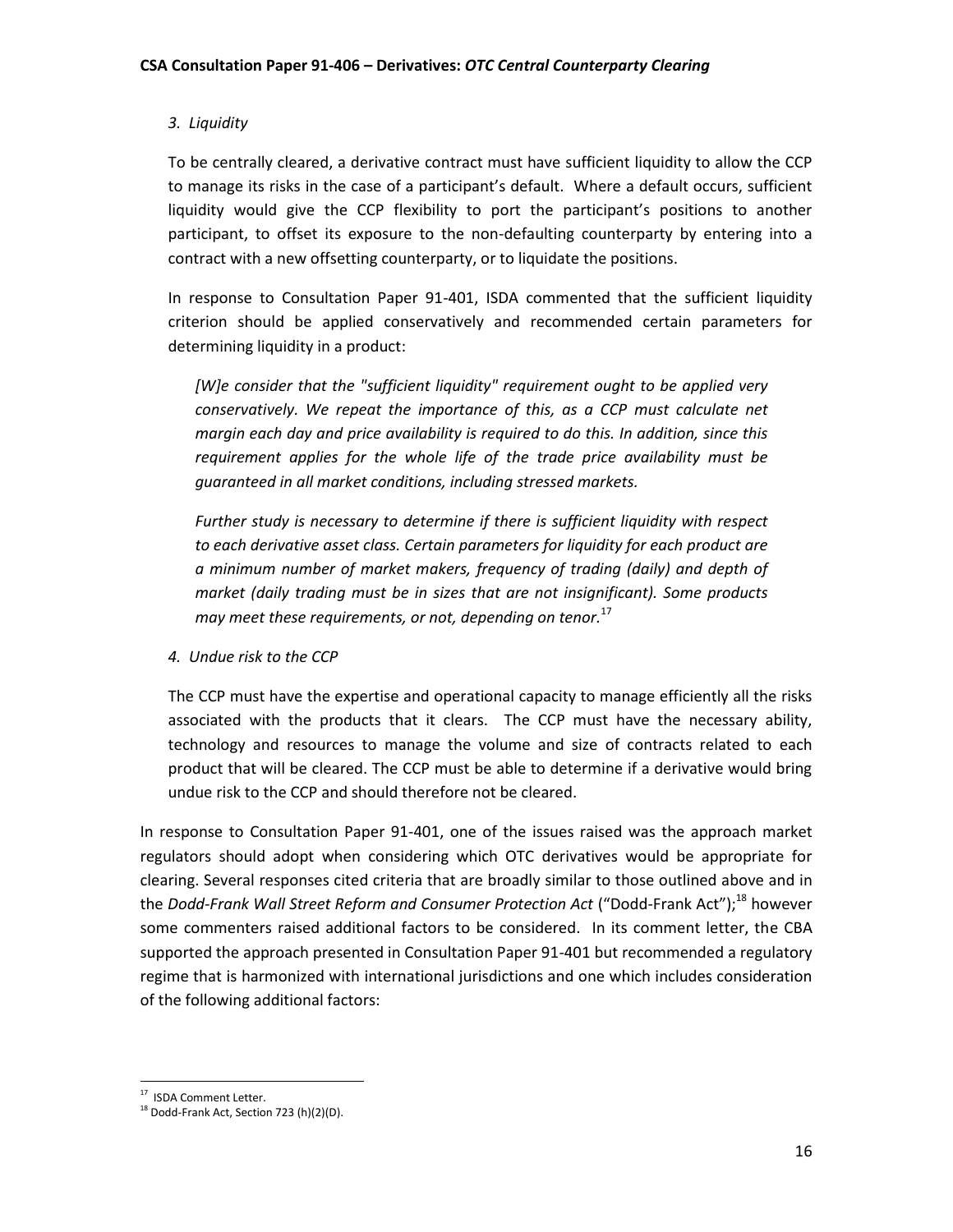## *3. Liquidity*

To be centrally cleared, a derivative contract must have sufficient liquidity to allow the CCP to manage its risks in the case of a participant's default. Where a default occurs, sufficient liquidity would give the CCP flexibility to port the participant's positions to another participant, to offset its exposure to the non-defaulting counterparty by entering into a contract with a new offsetting counterparty, or to liquidate the positions.

In response to Consultation Paper 91-401, ISDA commented that the sufficient liquidity criterion should be applied conservatively and recommended certain parameters for determining liquidity in a product:

*[W]e consider that the "sufficient liquidity" requirement ought to be applied very conservatively. We repeat the importance of this, as a CCP must calculate net margin each day and price availability is required to do this. In addition, since this requirement applies for the whole life of the trade price availability must be guaranteed in all market conditions, including stressed markets.*

*Further study is necessary to determine if there is sufficient liquidity with respect to each derivative asset class. Certain parameters for liquidity for each product are a minimum number of market makers, frequency of trading (daily) and depth of market (daily trading must be in sizes that are not insignificant). Some products may meet these requirements, or not, depending on tenor.*<sup>17</sup>

*4. Undue risk to the CCP*

The CCP must have the expertise and operational capacity to manage efficiently all the risks associated with the products that it clears. The CCP must have the necessary ability, technology and resources to manage the volume and size of contracts related to each product that will be cleared. The CCP must be able to determine if a derivative would bring undue risk to the CCP and should therefore not be cleared.

In response to Consultation Paper 91-401, one of the issues raised was the approach market regulators should adopt when considering which OTC derivatives would be appropriate for clearing. Several responses cited criteria that are broadly similar to those outlined above and in the *Dodd-Frank Wall Street Reform and Consumer Protection Act* ("Dodd-Frank Act"); <sup>18</sup> however some commenters raised additional factors to be considered. In its comment letter, the CBA supported the approach presented in Consultation Paper 91-401 but recommended a regulatory regime that is harmonized with international jurisdictions and one which includes consideration of the following additional factors:

<sup>17&</sup>lt;br><sup>17</sup> ISDA Comment Letter.

<sup>&</sup>lt;sup>18</sup> Dodd-Frank Act, Section 723 (h)(2)(D).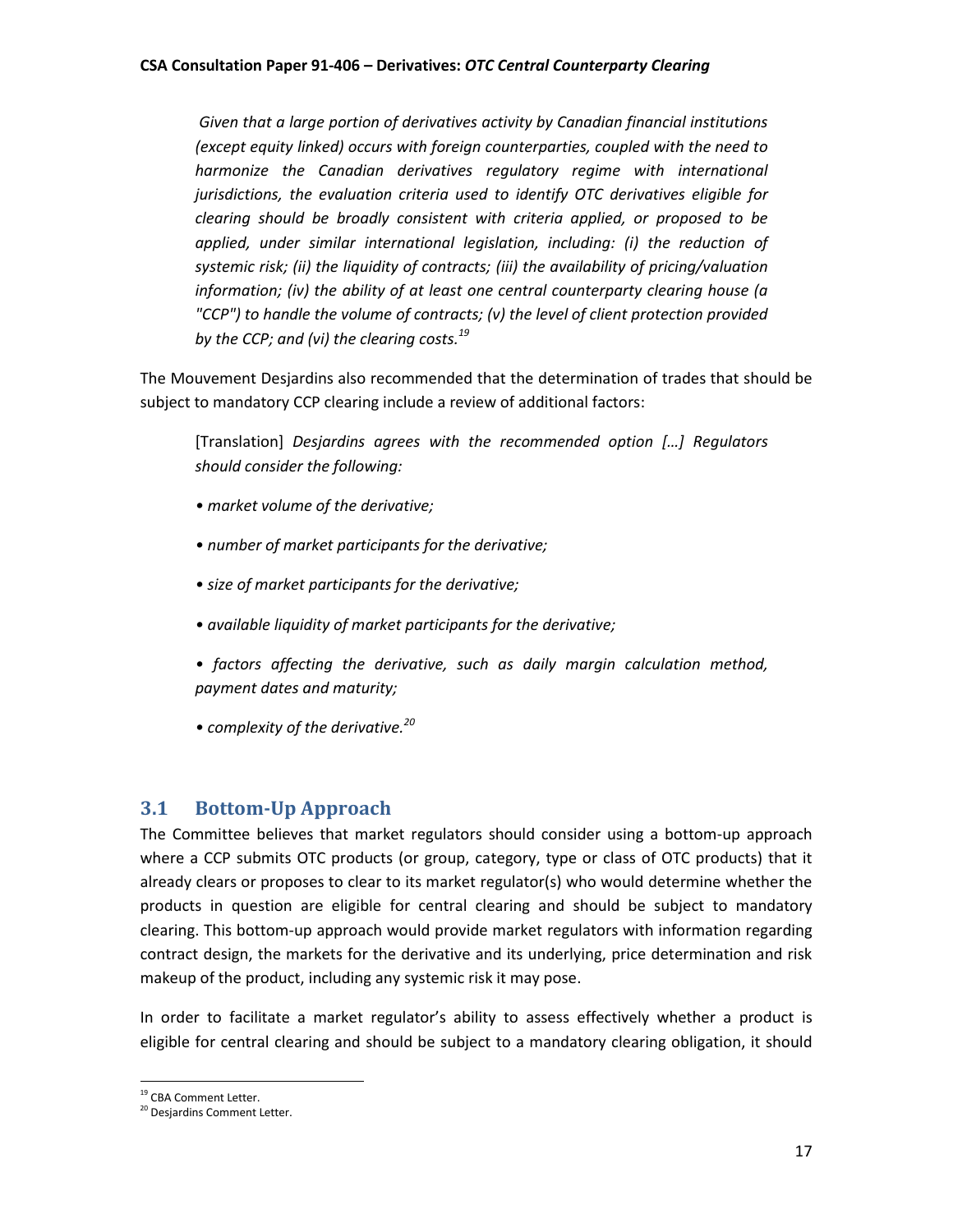*Given that a large portion of derivatives activity by Canadian financial institutions (except equity linked) occurs with foreign counterparties, coupled with the need to harmonize the Canadian derivatives regulatory regime with international jurisdictions, the evaluation criteria used to identify OTC derivatives eligible for clearing should be broadly consistent with criteria applied, or proposed to be applied, under similar international legislation, including: (i) the reduction of systemic risk; (ii) the liquidity of contracts; (iii) the availability of pricing/valuation information; (iv) the ability of at least one central counterparty clearing house (a "CCP") to handle the volume of contracts; (v) the level of client protection provided by the CCP; and (vi) the clearing costs.<sup>19</sup>*

The Mouvement Desjardins also recommended that the determination of trades that should be subject to mandatory CCP clearing include a review of additional factors:

[Translation] *Desjardins agrees with the recommended option […] Regulators should consider the following:*

- *market volume of the derivative;*
- *number of market participants for the derivative;*
- *size of market participants for the derivative;*
- *available liquidity of market participants for the derivative;*
- *factors affecting the derivative, such as daily margin calculation method, payment dates and maturity;*
- *complexity of the derivative. 20*

# <span id="page-17-0"></span>**3.1 Bottom-Up Approach**

The Committee believes that market regulators should consider using a bottom-up approach where a CCP submits OTC products (or group, category, type or class of OTC products) that it already clears or proposes to clear to its market regulator(s) who would determine whether the products in question are eligible for central clearing and should be subject to mandatory clearing. This bottom-up approach would provide market regulators with information regarding contract design, the markets for the derivative and its underlying, price determination and risk makeup of the product, including any systemic risk it may pose.

In order to facilitate a market regulator's ability to assess effectively whether a product is eligible for central clearing and should be subject to a mandatory clearing obligation, it should

 $\overline{a}$ 

<sup>&</sup>lt;sup>19</sup> CBA Comment Letter.

<sup>&</sup>lt;sup>20</sup> Desiardins Comment Letter.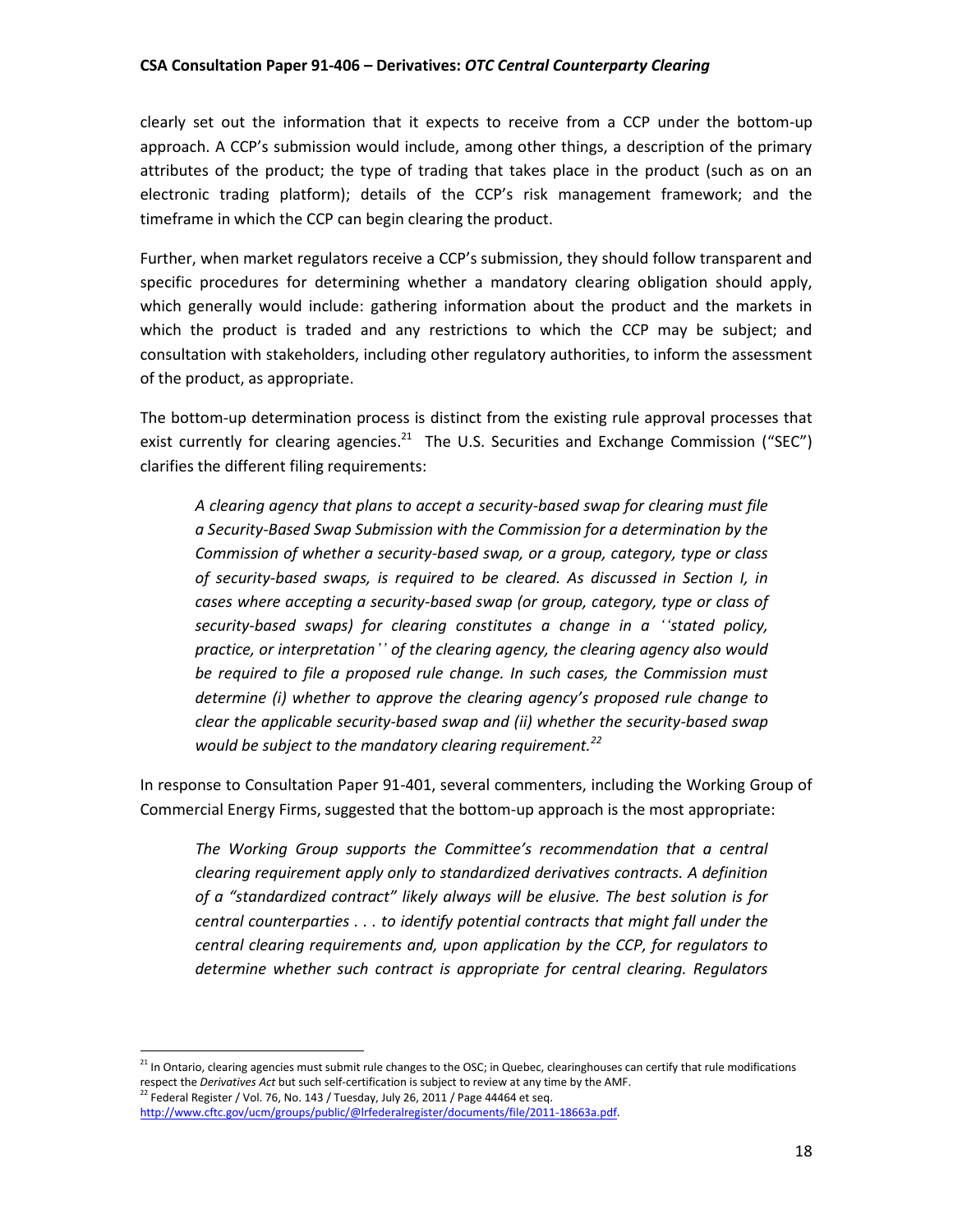clearly set out the information that it expects to receive from a CCP under the bottom-up approach. A CCP's submission would include, among other things, a description of the primary attributes of the product; the type of trading that takes place in the product (such as on an electronic trading platform); details of the CCP's risk management framework; and the timeframe in which the CCP can begin clearing the product.

Further, when market regulators receive a CCP's submission, they should follow transparent and specific procedures for determining whether a mandatory clearing obligation should apply, which generally would include: gathering information about the product and the markets in which the product is traded and any restrictions to which the CCP may be subject; and consultation with stakeholders, including other regulatory authorities, to inform the assessment of the product, as appropriate.

The bottom-up determination process is distinct from the existing rule approval processes that exist currently for clearing agencies.<sup>21</sup> The U.S. Securities and Exchange Commission ("SEC") clarifies the different filing requirements:

*A clearing agency that plans to accept a security-based swap for clearing must file a Security-Based Swap Submission with the Commission for a determination by the Commission of whether a security-based swap, or a group, category, type or class of security-based swaps, is required to be cleared. As discussed in Section I, in cases where accepting a security-based swap (or group, category, type or class of security-based swaps) for clearing constitutes a change in a ''stated policy, practice, or interpretation'' of the clearing agency, the clearing agency also would be required to file a proposed rule change. In such cases, the Commission must determine (i) whether to approve the clearing agency's proposed rule change to clear the applicable security-based swap and (ii) whether the security-based swap would be subject to the mandatory clearing requirement.<sup>22</sup>*

In response to Consultation Paper 91-401, several commenters, including the Working Group of Commercial Energy Firms, suggested that the bottom-up approach is the most appropriate:

*The Working Group supports the Committee's recommendation that a central clearing requirement apply only to standardized derivatives contracts. A definition of a "standardized contract" likely always will be elusive. The best solution is for central counterparties . . . to identify potential contracts that might fall under the central clearing requirements and, upon application by the CCP, for regulators to determine whether such contract is appropriate for central clearing. Regulators* 

l

 $21$  In Ontario, clearing agencies must submit rule changes to the OSC; in Quebec, clearinghouses can certify that rule modifications respect the *Derivatives Act* but such self-certification is subject to review at any time by the AMF.  $^{22}$  Federal Register / Vol. 76, No. 143 / Tuesday, July 26, 2011 / Page 44464 et seq.

[http://www.cftc.gov/ucm/groups/public/@lrfederalregister/documents/file/2011-18663a.pdf.](http://www.cftc.gov/ucm/groups/public/@lrfederalregister/documents/file/2011-18663a.pdf)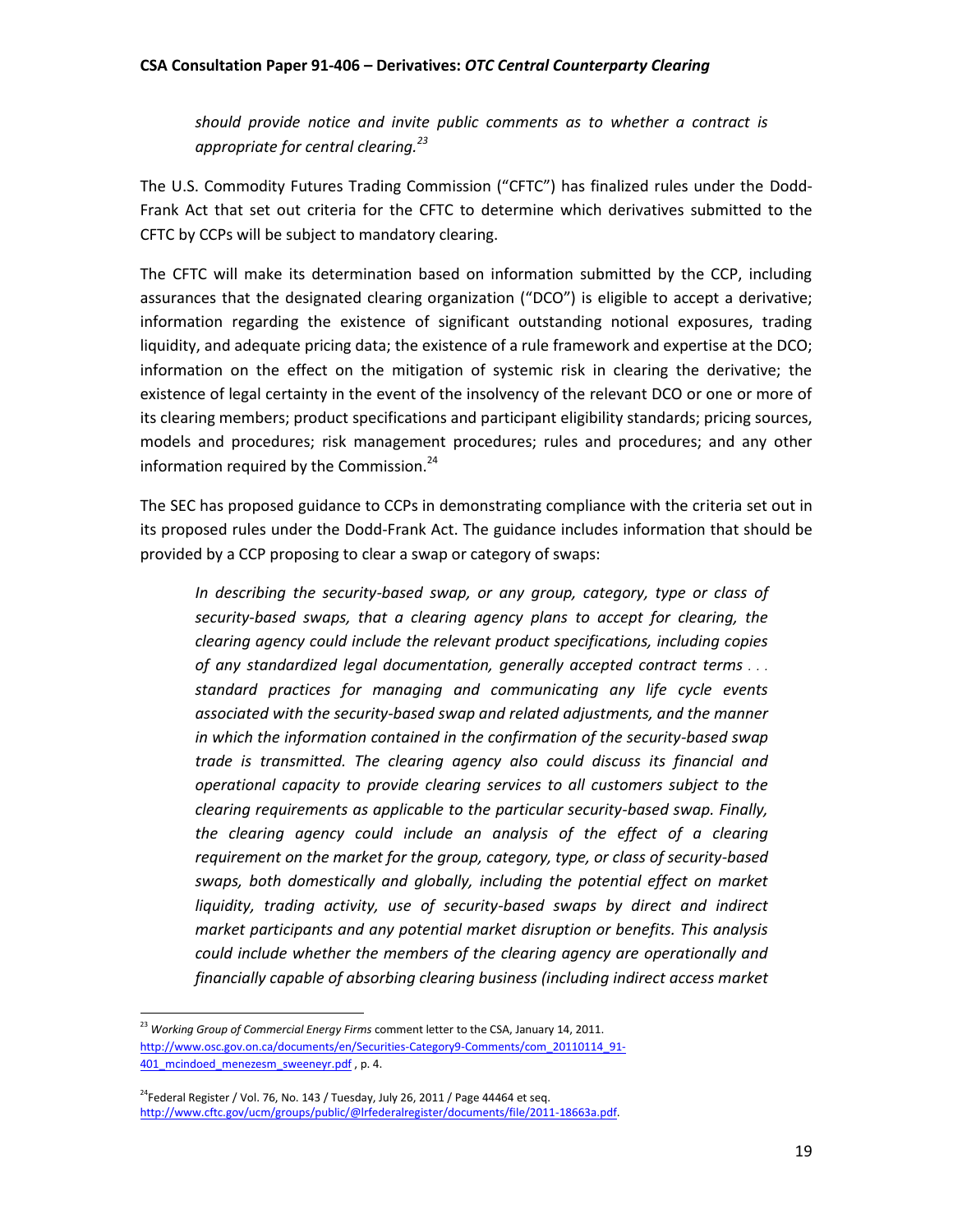*should provide notice and invite public comments as to whether a contract is appropriate for central clearing.<sup>23</sup>*

The U.S. Commodity Futures Trading Commission ("CFTC") has finalized rules under the Dodd-Frank Act that set out criteria for the CFTC to determine which derivatives submitted to the CFTC by CCPs will be subject to mandatory clearing.

The CFTC will make its determination based on information submitted by the CCP, including assurances that the designated clearing organization ("DCO") is eligible to accept a derivative; information regarding the existence of significant outstanding notional exposures, trading liquidity, and adequate pricing data; the existence of a rule framework and expertise at the DCO; information on the effect on the mitigation of systemic risk in clearing the derivative; the existence of legal certainty in the event of the insolvency of the relevant DCO or one or more of its clearing members; product specifications and participant eligibility standards; pricing sources, models and procedures; risk management procedures; rules and procedures; and any other information required by the Commission. $24$ 

The SEC has proposed guidance to CCPs in demonstrating compliance with the criteria set out in its proposed rules under the Dodd-Frank Act. The guidance includes information that should be provided by a CCP proposing to clear a swap or category of swaps:

*In describing the security-based swap, or any group, category, type or class of security-based swaps, that a clearing agency plans to accept for clearing, the clearing agency could include the relevant product specifications, including copies of any standardized legal documentation, generally accepted contract terms . . . standard practices for managing and communicating any life cycle events associated with the security-based swap and related adjustments, and the manner in which the information contained in the confirmation of the security-based swap trade is transmitted. The clearing agency also could discuss its financial and operational capacity to provide clearing services to all customers subject to the clearing requirements as applicable to the particular security-based swap. Finally, the clearing agency could include an analysis of the effect of a clearing requirement on the market for the group, category, type, or class of security-based swaps, both domestically and globally, including the potential effect on market liquidity, trading activity, use of security-based swaps by direct and indirect market participants and any potential market disruption or benefits. This analysis could include whether the members of the clearing agency are operationally and financially capable of absorbing clearing business (including indirect access market* 

 $\overline{\phantom{a}}$ 

<sup>&</sup>lt;sup>23</sup> Working Group of Commercial Energy Firms comment letter to the CSA, January 14, 2011. [http://www.osc.gov.on.ca/documents/en/Securities-Category9-Comments/com\\_20110114\\_91-](http://www.osc.gov.on.ca/documents/en/Securities-Category9-Comments/com_20110114_91-401_mcindoed_menezesm_sweeneyr.pdf) 401 mcindoed menezesm sweeneyr.pdf, p. 4.

 $^{24}$ Federal Register / Vol. 76, No. 143 / Tuesday, July 26, 2011 / Page 44464 et seq. [http://www.cftc.gov/ucm/groups/public/@lrfederalregister/documents/file/2011-18663a.pdf.](http://www.cftc.gov/ucm/groups/public/@lrfederalregister/documents/file/2011-18663a.pdf)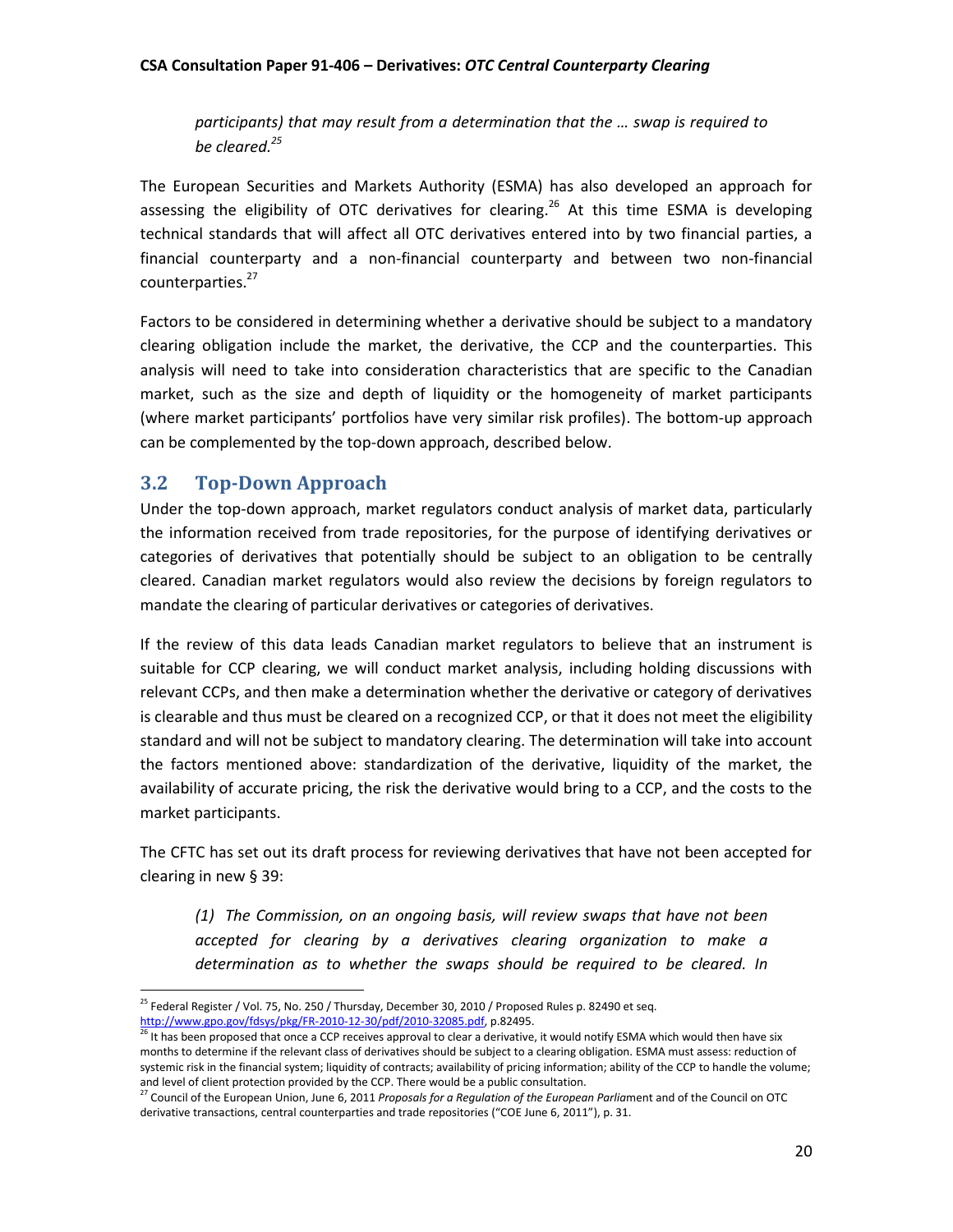*participants) that may result from a determination that the … swap is required to be cleared.<sup>25</sup>*

The European Securities and Markets Authority (ESMA) has also developed an approach for assessing the eligibility of OTC derivatives for clearing.<sup>26</sup> At this time ESMA is developing technical standards that will affect all OTC derivatives entered into by two financial parties, a financial counterparty and a non-financial counterparty and between two non-financial counterparties.<sup>27</sup>

Factors to be considered in determining whether a derivative should be subject to a mandatory clearing obligation include the market, the derivative, the CCP and the counterparties. This analysis will need to take into consideration characteristics that are specific to the Canadian market, such as the size and depth of liquidity or the homogeneity of market participants (where market participants' portfolios have very similar risk profiles). The bottom-up approach can be complemented by the top-down approach, described below.

# <span id="page-20-0"></span>**3.2 Top-Down Approach**

 $\overline{\phantom{a}}$ 

Under the top-down approach, market regulators conduct analysis of market data, particularly the information received from trade repositories, for the purpose of identifying derivatives or categories of derivatives that potentially should be subject to an obligation to be centrally cleared. Canadian market regulators would also review the decisions by foreign regulators to mandate the clearing of particular derivatives or categories of derivatives.

If the review of this data leads Canadian market regulators to believe that an instrument is suitable for CCP clearing, we will conduct market analysis, including holding discussions with relevant CCPs, and then make a determination whether the derivative or category of derivatives is clearable and thus must be cleared on a recognized CCP, or that it does not meet the eligibility standard and will not be subject to mandatory clearing. The determination will take into account the factors mentioned above: standardization of the derivative, liquidity of the market, the availability of accurate pricing, the risk the derivative would bring to a CCP, and the costs to the market participants.

The CFTC has set out its draft process for reviewing derivatives that have not been accepted for clearing in new § 39:

*(1) The Commission, on an ongoing basis, will review swaps that have not been accepted for clearing by a derivatives clearing organization to make a determination as to whether the swaps should be required to be cleared. In* 

<sup>&</sup>lt;sup>25</sup> Federal Register / Vol. 75, No. 250 / Thursday, December 30, 2010 / Proposed Rules p. 82490 et seq. [http://www.gpo.gov/fdsys/pkg/FR-2010-12-30/pdf/2010-32085.pdf,](http://www.gpo.gov/fdsys/pkg/FR-2010-12-30/pdf/2010-32085.pdf) p.82495.

<sup>&</sup>lt;sup>26</sup> It has been proposed that once a CCP receives approval to clear a derivative, it would notify ESMA which would then have six months to determine if the relevant class of derivatives should be subject to a clearing obligation. ESMA must assess: reduction of systemic risk in the financial system; liquidity of contracts; availability of pricing information; ability of the CCP to handle the volume; and level of client protection provided by the CCP. There would be a public consultation.

<sup>27</sup> Council of the European Union, June 6, 2011 *Proposals for a Regulation of the European Parlia*ment and of the Council on OTC derivative transactions, central counterparties and trade repositories ("COE June 6, 2011"), p. 31.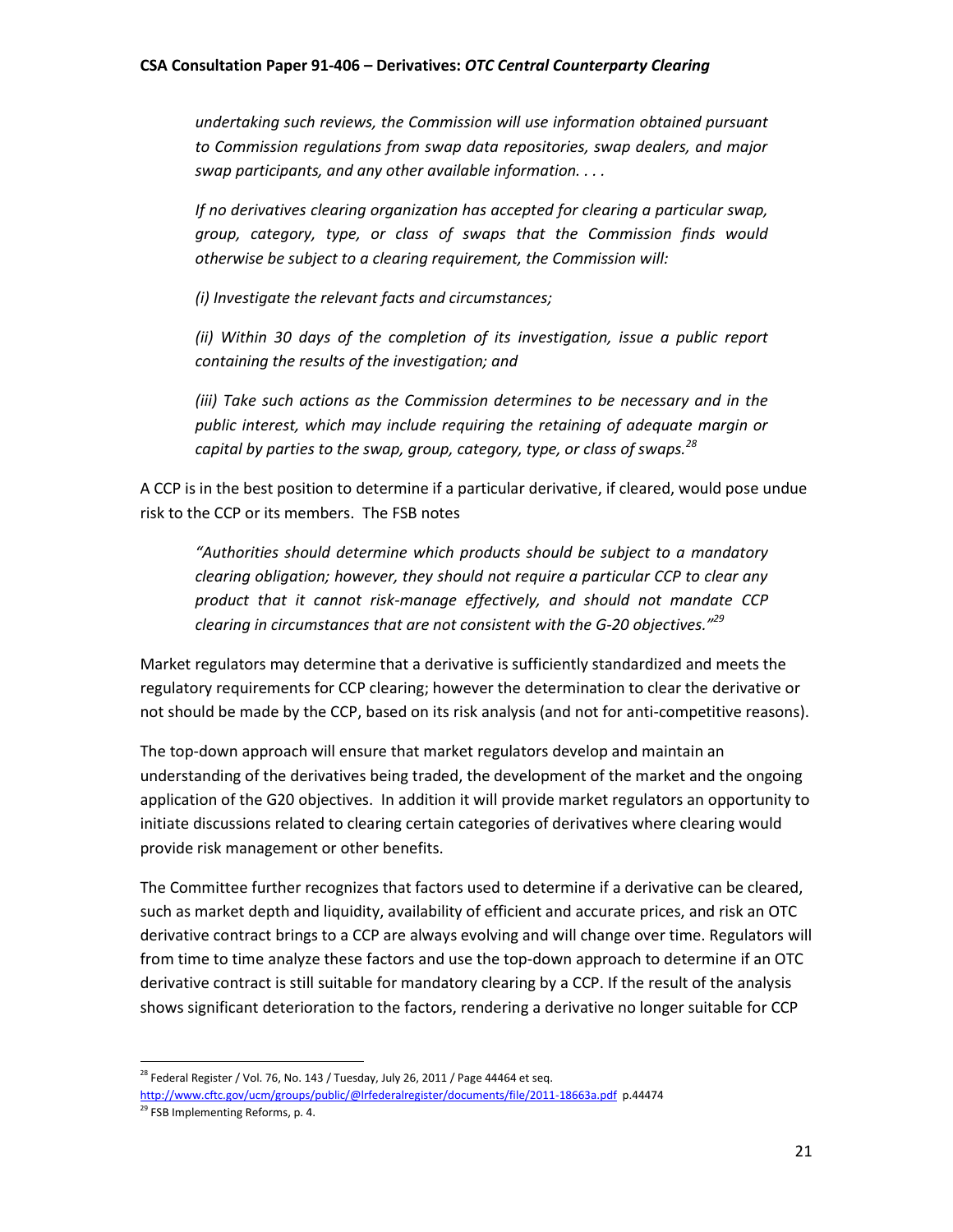*undertaking such reviews, the Commission will use information obtained pursuant to Commission regulations from swap data repositories, swap dealers, and major swap participants, and any other available information. . . .* 

*If no derivatives clearing organization has accepted for clearing a particular swap, group, category, type, or class of swaps that the Commission finds would otherwise be subject to a clearing requirement, the Commission will:*

*(i) Investigate the relevant facts and circumstances;*

*(ii) Within 30 days of the completion of its investigation, issue a public report containing the results of the investigation; and*

*(iii) Take such actions as the Commission determines to be necessary and in the public interest, which may include requiring the retaining of adequate margin or capital by parties to the swap, group, category, type, or class of swaps.<sup>28</sup>*

A CCP is in the best position to determine if a particular derivative, if cleared, would pose undue risk to the CCP or its members. The FSB notes

*"Authorities should determine which products should be subject to a mandatory clearing obligation; however, they should not require a particular CCP to clear any product that it cannot risk-manage effectively, and should not mandate CCP clearing in circumstances that are not consistent with the G-20 objectives."<sup>29</sup>*

Market regulators may determine that a derivative is sufficiently standardized and meets the regulatory requirements for CCP clearing; however the determination to clear the derivative or not should be made by the CCP, based on its risk analysis (and not for anti-competitive reasons).

The top-down approach will ensure that market regulators develop and maintain an understanding of the derivatives being traded, the development of the market and the ongoing application of the G20 objectives. In addition it will provide market regulators an opportunity to initiate discussions related to clearing certain categories of derivatives where clearing would provide risk management or other benefits.

The Committee further recognizes that factors used to determine if a derivative can be cleared, such as market depth and liquidity, availability of efficient and accurate prices, and risk an OTC derivative contract brings to a CCP are always evolving and will change over time. Regulators will from time to time analyze these factors and use the top-down approach to determine if an OTC derivative contract is still suitable for mandatory clearing by a CCP. If the result of the analysis shows significant deterioration to the factors, rendering a derivative no longer suitable for CCP

 $\overline{\phantom{a}}$  $^{28}$  Federal Register / Vol. 76, No. 143 / Tuesday, July 26, 2011 / Page 44464 et seq. <http://www.cftc.gov/ucm/groups/public/@lrfederalregister/documents/file/2011-18663a.pdf> p.44474

<sup>&</sup>lt;sup>29</sup> FSB Implementing Reforms, p. 4.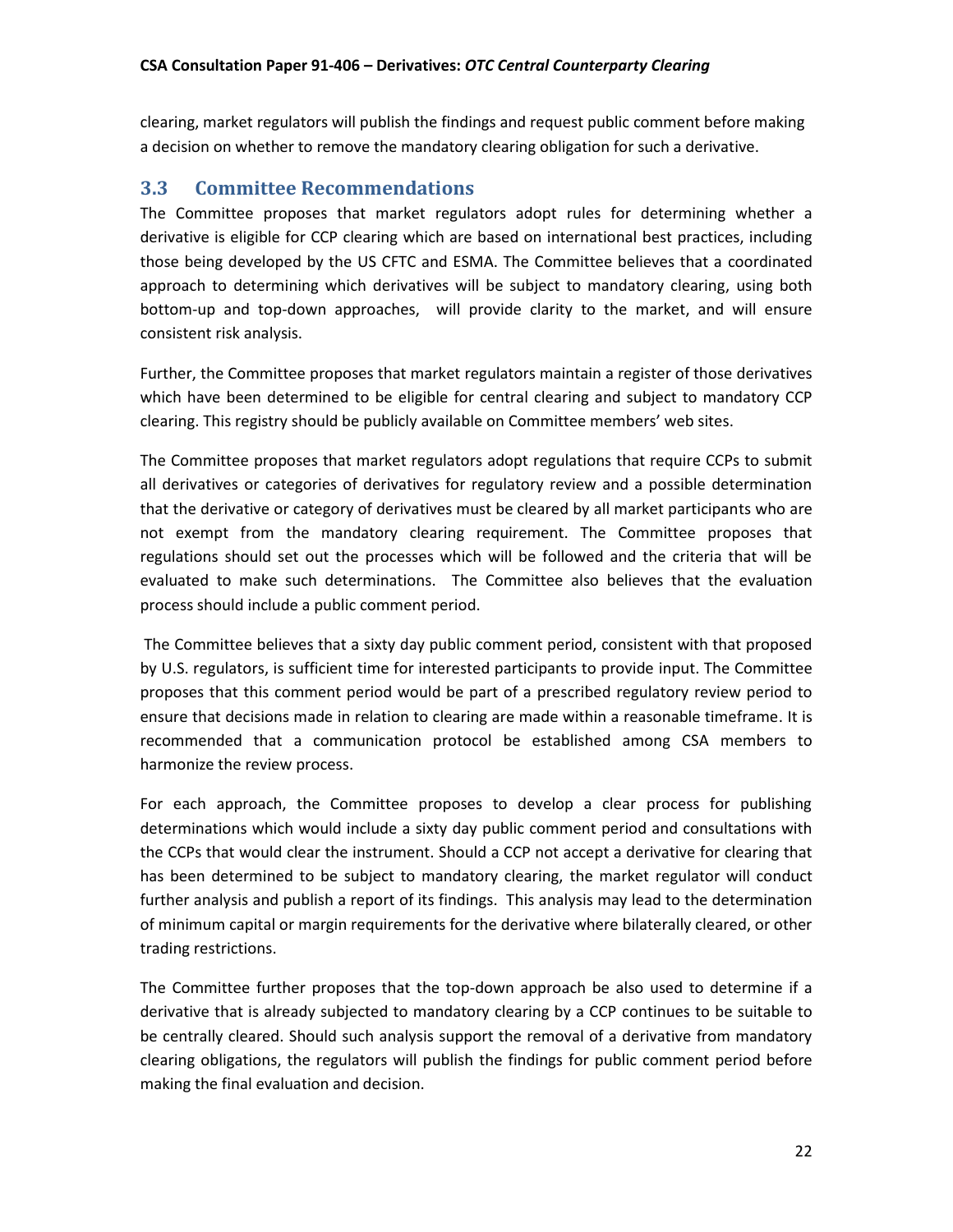clearing, market regulators will publish the findings and request public comment before making a decision on whether to remove the mandatory clearing obligation for such a derivative.

# <span id="page-22-0"></span>**3.3 Committee Recommendations**

The Committee proposes that market regulators adopt rules for determining whether a derivative is eligible for CCP clearing which are based on international best practices, including those being developed by the US CFTC and ESMA. The Committee believes that a coordinated approach to determining which derivatives will be subject to mandatory clearing, using both bottom-up and top-down approaches, will provide clarity to the market, and will ensure consistent risk analysis.

Further, the Committee proposes that market regulators maintain a register of those derivatives which have been determined to be eligible for central clearing and subject to mandatory CCP clearing. This registry should be publicly available on Committee members' web sites.

The Committee proposes that market regulators adopt regulations that require CCPs to submit all derivatives or categories of derivatives for regulatory review and a possible determination that the derivative or category of derivatives must be cleared by all market participants who are not exempt from the mandatory clearing requirement. The Committee proposes that regulations should set out the processes which will be followed and the criteria that will be evaluated to make such determinations. The Committee also believes that the evaluation process should include a public comment period.

The Committee believes that a sixty day public comment period, consistent with that proposed by U.S. regulators, is sufficient time for interested participants to provide input. The Committee proposes that this comment period would be part of a prescribed regulatory review period to ensure that decisions made in relation to clearing are made within a reasonable timeframe. It is recommended that a communication protocol be established among CSA members to harmonize the review process.

For each approach, the Committee proposes to develop a clear process for publishing determinations which would include a sixty day public comment period and consultations with the CCPs that would clear the instrument. Should a CCP not accept a derivative for clearing that has been determined to be subject to mandatory clearing, the market regulator will conduct further analysis and publish a report of its findings. This analysis may lead to the determination of minimum capital or margin requirements for the derivative where bilaterally cleared, or other trading restrictions.

The Committee further proposes that the top-down approach be also used to determine if a derivative that is already subjected to mandatory clearing by a CCP continues to be suitable to be centrally cleared. Should such analysis support the removal of a derivative from mandatory clearing obligations, the regulators will publish the findings for public comment period before making the final evaluation and decision.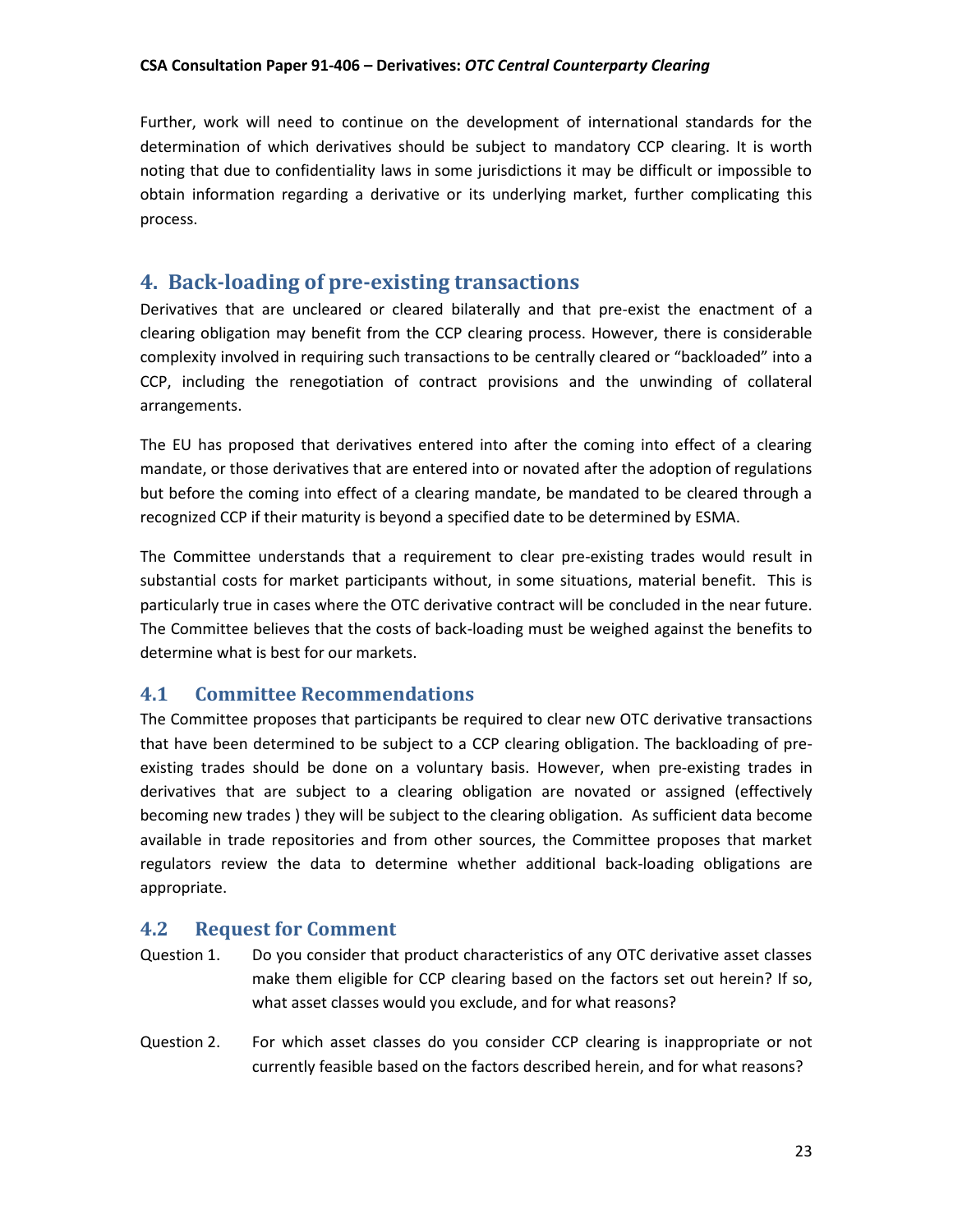Further, work will need to continue on the development of international standards for the determination of which derivatives should be subject to mandatory CCP clearing. It is worth noting that due to confidentiality laws in some jurisdictions it may be difficult or impossible to obtain information regarding a derivative or its underlying market, further complicating this process.

# <span id="page-23-0"></span>**4. Back-loading of pre-existing transactions**

Derivatives that are uncleared or cleared bilaterally and that pre-exist the enactment of a clearing obligation may benefit from the CCP clearing process. However, there is considerable complexity involved in requiring such transactions to be centrally cleared or "backloaded" into a CCP, including the renegotiation of contract provisions and the unwinding of collateral arrangements.

The EU has proposed that derivatives entered into after the coming into effect of a clearing mandate, or those derivatives that are entered into or novated after the adoption of regulations but before the coming into effect of a clearing mandate, be mandated to be cleared through a recognized CCP if their maturity is beyond a specified date to be determined by ESMA.

The Committee understands that a requirement to clear pre-existing trades would result in substantial costs for market participants without, in some situations, material benefit. This is particularly true in cases where the OTC derivative contract will be concluded in the near future. The Committee believes that the costs of back-loading must be weighed against the benefits to determine what is best for our markets.

# <span id="page-23-1"></span>**4.1 Committee Recommendations**

The Committee proposes that participants be required to clear new OTC derivative transactions that have been determined to be subject to a CCP clearing obligation. The backloading of preexisting trades should be done on a voluntary basis. However, when pre-existing trades in derivatives that are subject to a clearing obligation are novated or assigned (effectively becoming new trades ) they will be subject to the clearing obligation. As sufficient data become available in trade repositories and from other sources, the Committee proposes that market regulators review the data to determine whether additional back-loading obligations are appropriate.

# <span id="page-23-2"></span>**4.2 Request for Comment**

- Question 1. Do you consider that product characteristics of any OTC derivative asset classes make them eligible for CCP clearing based on the factors set out herein? If so, what asset classes would you exclude, and for what reasons?
- Question 2. For which asset classes do you consider CCP clearing is inappropriate or not currently feasible based on the factors described herein, and for what reasons?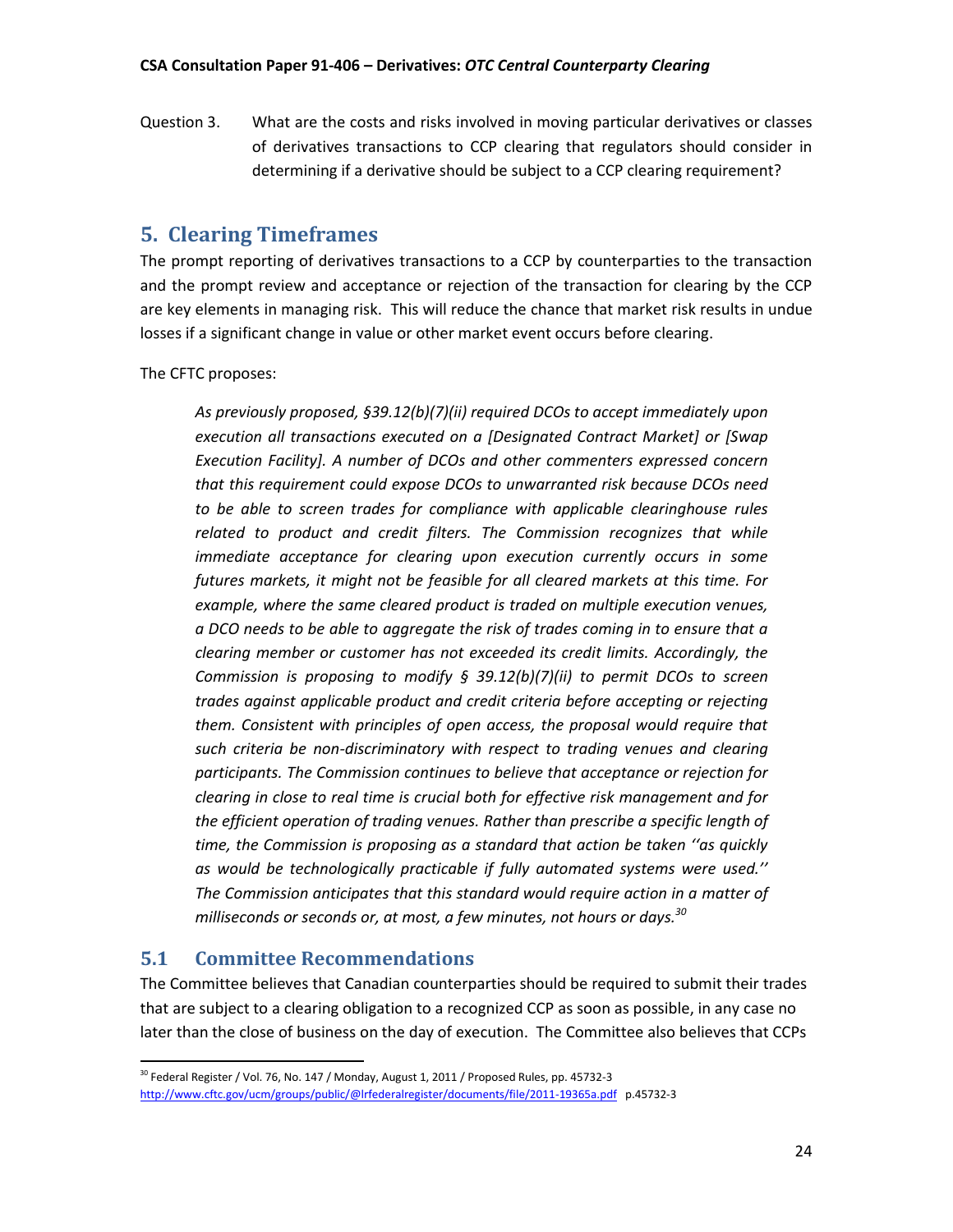Question 3. What are the costs and risks involved in moving particular derivatives or classes of derivatives transactions to CCP clearing that regulators should consider in determining if a derivative should be subject to a CCP clearing requirement?

# <span id="page-24-0"></span>**5. Clearing Timeframes**

The prompt reporting of derivatives transactions to a CCP by counterparties to the transaction and the prompt review and acceptance or rejection of the transaction for clearing by the CCP are key elements in managing risk. This will reduce the chance that market risk results in undue losses if a significant change in value or other market event occurs before clearing.

The CFTC proposes:

*As previously proposed, §39.12(b)(7)(ii) required DCOs to accept immediately upon execution all transactions executed on a [Designated Contract Market] or [Swap Execution Facility]. A number of DCOs and other commenters expressed concern that this requirement could expose DCOs to unwarranted risk because DCOs need to be able to screen trades for compliance with applicable clearinghouse rules related to product and credit filters. The Commission recognizes that while immediate acceptance for clearing upon execution currently occurs in some futures markets, it might not be feasible for all cleared markets at this time. For example, where the same cleared product is traded on multiple execution venues, a DCO needs to be able to aggregate the risk of trades coming in to ensure that a clearing member or customer has not exceeded its credit limits. Accordingly, the Commission is proposing to modify § 39.12(b)(7)(ii) to permit DCOs to screen trades against applicable product and credit criteria before accepting or rejecting them. Consistent with principles of open access, the proposal would require that such criteria be non-discriminatory with respect to trading venues and clearing participants. The Commission continues to believe that acceptance or rejection for clearing in close to real time is crucial both for effective risk management and for the efficient operation of trading venues. Rather than prescribe a specific length of time, the Commission is proposing as a standard that action be taken ''as quickly as would be technologically practicable if fully automated systems were used.'' The Commission anticipates that this standard would require action in a matter of milliseconds or seconds or, at most, a few minutes, not hours or days.<sup>30</sup>*

# <span id="page-24-1"></span>**5.1 Committee Recommendations**

 $\overline{\phantom{a}}$ 

The Committee believes that Canadian counterparties should be required to submit their trades that are subject to a clearing obligation to a recognized CCP as soon as possible, in any case no later than the close of business on the day of execution. The Committee also believes that CCPs

 $30$  Federal Register / Vol. 76, No. 147 / Monday, August 1, 2011 / Proposed Rules, pp. 45732-3 <http://www.cftc.gov/ucm/groups/public/@lrfederalregister/documents/file/2011-19365a.pdf> p.45732-3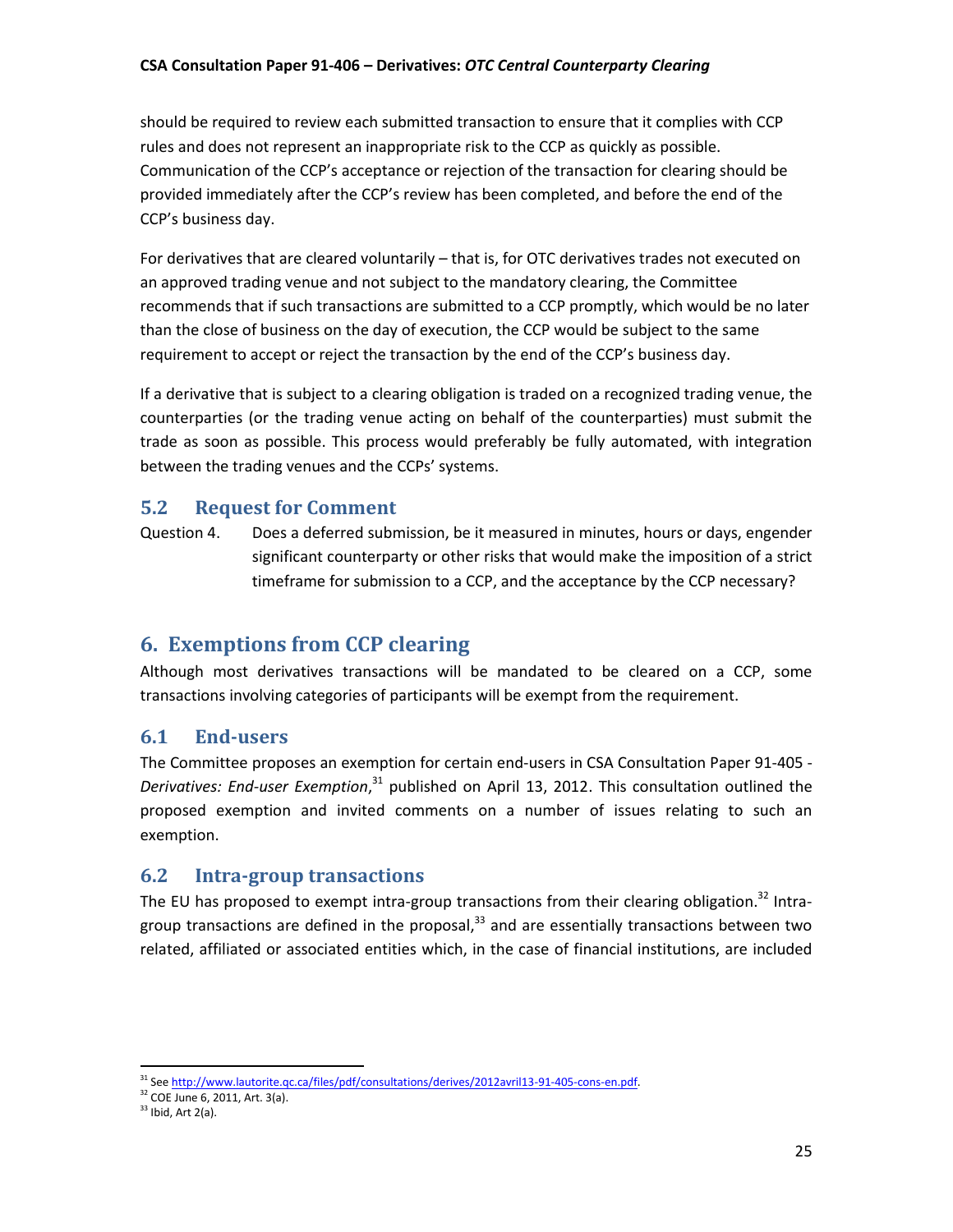should be required to review each submitted transaction to ensure that it complies with CCP rules and does not represent an inappropriate risk to the CCP as quickly as possible. Communication of the CCP's acceptance or rejection of the transaction for clearing should be provided immediately after the CCP's review has been completed, and before the end of the CCP's business day.

For derivatives that are cleared voluntarily – that is, for OTC derivatives trades not executed on an approved trading venue and not subject to the mandatory clearing, the Committee recommends that if such transactions are submitted to a CCP promptly, which would be no later than the close of business on the day of execution, the CCP would be subject to the same requirement to accept or reject the transaction by the end of the CCP's business day.

If a derivative that is subject to a clearing obligation is traded on a recognized trading venue, the counterparties (or the trading venue acting on behalf of the counterparties) must submit the trade as soon as possible. This process would preferably be fully automated, with integration between the trading venues and the CCPs' systems.

# <span id="page-25-0"></span>**5.2 Request for Comment**

Question 4. Does a deferred submission, be it measured in minutes, hours or days, engender significant counterparty or other risks that would make the imposition of a strict timeframe for submission to a CCP, and the acceptance by the CCP necessary?

# <span id="page-25-1"></span>**6. Exemptions from CCP clearing**

Although most derivatives transactions will be mandated to be cleared on a CCP, some transactions involving categories of participants will be exempt from the requirement.

# <span id="page-25-2"></span>**6.1 End-users**

The Committee proposes an exemption for certain end-users in CSA Consultation Paper 91-405 - Derivatives: End-user Exemption,<sup>31</sup> published on April 13, 2012. This consultation outlined the proposed exemption and invited comments on a number of issues relating to such an exemption.

# <span id="page-25-3"></span>**6.2 Intra-group transactions**

The EU has proposed to exempt intra-group transactions from their clearing obligation.<sup>32</sup> Intragroup transactions are defined in the proposal,<sup>33</sup> and are essentially transactions between two related, affiliated or associated entities which, in the case of financial institutions, are included

l <sup>31</sup> Se[e http://www.lautorite.qc.ca/files/pdf/consultations/derives/2012avril13-91-405-cons-en.pdf.](http://www.lautorite.qc.ca/files/pdf/consultations/derives/2012avril13-91-405-cons-en.pdf)

<sup>32</sup> COE June 6, 2011, Art. 3(a).

 $33$  Ibid, Art 2(a).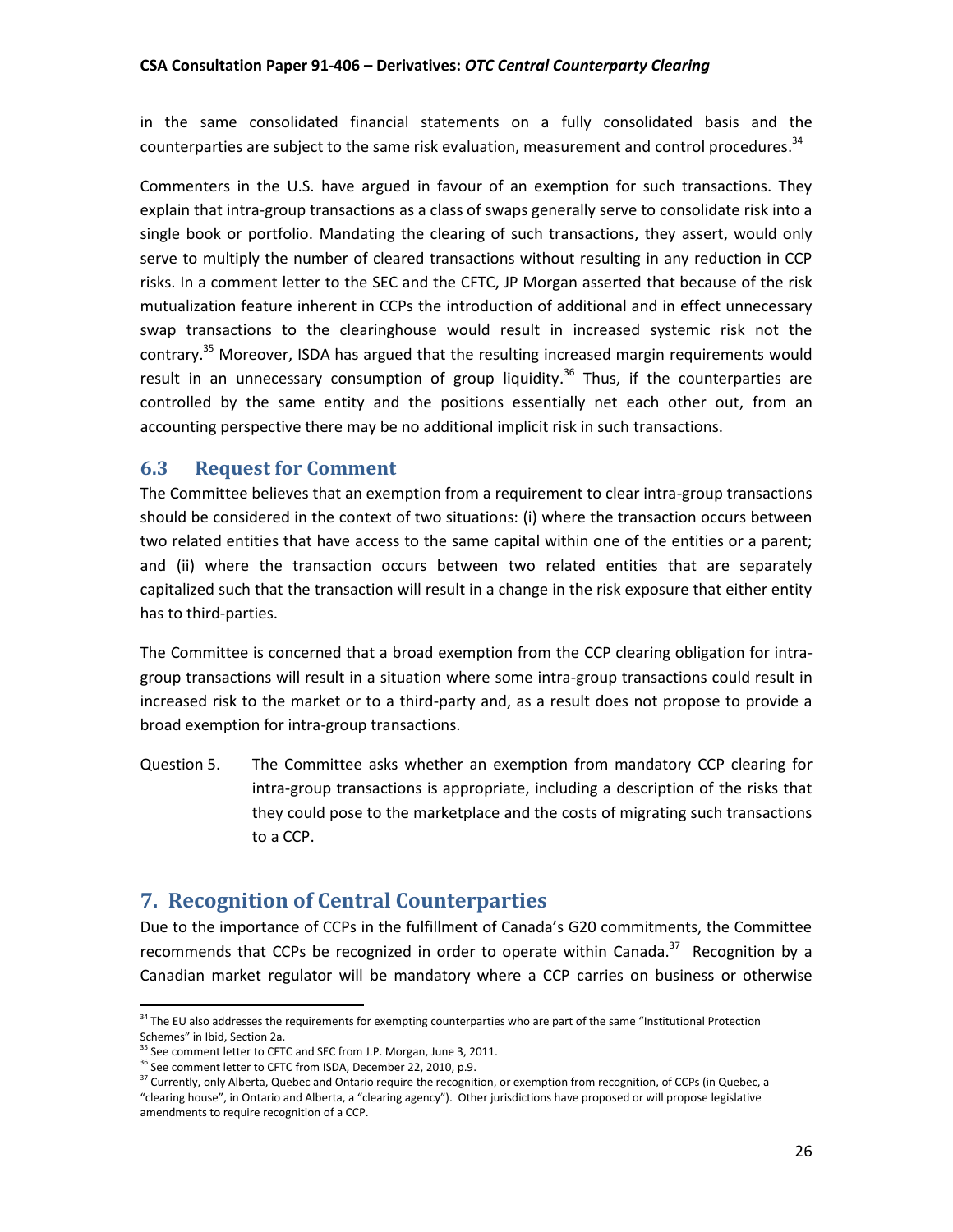in the same consolidated financial statements on a fully consolidated basis and the counterparties are subject to the same risk evaluation, measurement and control procedures.<sup>34</sup>

Commenters in the U.S. have argued in favour of an exemption for such transactions. They explain that intra-group transactions as a class of swaps generally serve to consolidate risk into a single book or portfolio. Mandating the clearing of such transactions, they assert, would only serve to multiply the number of cleared transactions without resulting in any reduction in CCP risks. In a comment letter to the SEC and the CFTC, JP Morgan asserted that because of the risk mutualization feature inherent in CCPs the introduction of additional and in effect unnecessary swap transactions to the clearinghouse would result in increased systemic risk not the contrary.<sup>35</sup> Moreover, ISDA has argued that the resulting increased margin requirements would result in an unnecessary consumption of group liquidity.<sup>36</sup> Thus, if the counterparties are controlled by the same entity and the positions essentially net each other out, from an accounting perspective there may be no additional implicit risk in such transactions.

# <span id="page-26-0"></span>**6.3 Request for Comment**

The Committee believes that an exemption from a requirement to clear intra-group transactions should be considered in the context of two situations: (i) where the transaction occurs between two related entities that have access to the same capital within one of the entities or a parent; and (ii) where the transaction occurs between two related entities that are separately capitalized such that the transaction will result in a change in the risk exposure that either entity has to third-parties.

The Committee is concerned that a broad exemption from the CCP clearing obligation for intragroup transactions will result in a situation where some intra-group transactions could result in increased risk to the market or to a third-party and, as a result does not propose to provide a broad exemption for intra-group transactions.

Question 5. The Committee asks whether an exemption from mandatory CCP clearing for intra-group transactions is appropriate, including a description of the risks that they could pose to the marketplace and the costs of migrating such transactions to a CCP.

# <span id="page-26-1"></span>**7. Recognition of Central Counterparties**

Due to the importance of CCPs in the fulfillment of Canada's G20 commitments, the Committee recommends that CCPs be recognized in order to operate within Canada. $37$  Recognition by a Canadian market regulator will be mandatory where a CCP carries on business or otherwise

 $\overline{\phantom{a}}$ <sup>34</sup> The EU also addresses the requirements for exempting counterparties who are part of the same "Institutional Protection Schemes" in Ibid, Section 2a.

<sup>&</sup>lt;sup>35</sup> See comment letter to CFTC and SEC from J.P. Morgan, June 3, 2011.

<sup>&</sup>lt;sup>36</sup> See comment letter to CFTC from ISDA, December 22, 2010, p.9.

<sup>&</sup>lt;sup>37</sup> Currently, only Alberta, Quebec and Ontario require the recognition, or exemption from recognition, of CCPs (in Quebec, a "clearing house", in Ontario and Alberta, a "clearing agency"). Other jurisdictions have proposed or will propose legislative amendments to require recognition of a CCP.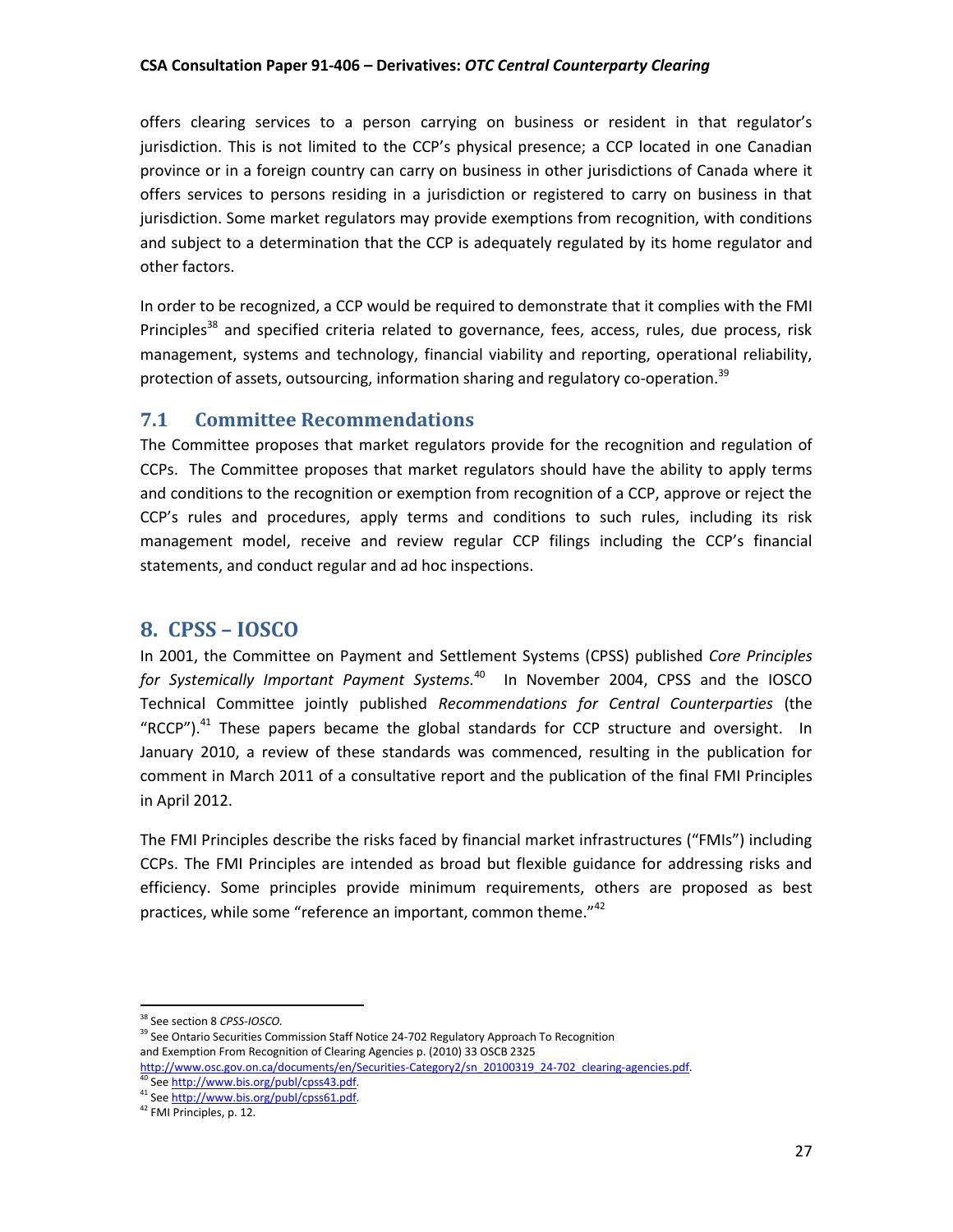offers clearing services to a person carrying on business or resident in that regulator's jurisdiction. This is not limited to the CCP's physical presence; a CCP located in one Canadian province or in a foreign country can carry on business in other jurisdictions of Canada where it offers services to persons residing in a jurisdiction or registered to carry on business in that jurisdiction. Some market regulators may provide exemptions from recognition, with conditions and subject to a determination that the CCP is adequately regulated by its home regulator and other factors.

In order to be recognized, a CCP would be required to demonstrate that it complies with the FMI Principles<sup>38</sup> and specified criteria related to governance, fees, access, rules, due process, risk management, systems and technology, financial viability and reporting, operational reliability, protection of assets, outsourcing, information sharing and regulatory co-operation.<sup>39</sup>

# <span id="page-27-0"></span>**7.1 Committee Recommendations**

The Committee proposes that market regulators provide for the recognition and regulation of CCPs. The Committee proposes that market regulators should have the ability to apply terms and conditions to the recognition or exemption from recognition of a CCP, approve or reject the CCP's rules and procedures, apply terms and conditions to such rules, including its risk management model, receive and review regular CCP filings including the CCP's financial statements, and conduct regular and ad hoc inspections.

# <span id="page-27-1"></span>**8. CPSS – IOSCO**

In 2001, the Committee on Payment and Settlement Systems (CPSS) published *Core Principles*  for Systemically Important Payment Systems.<sup>40</sup> In November 2004, CPSS and the IOSCO Technical Committee jointly published *Recommendations for Central Counterparties* (the "RCCP"). $41$  These papers became the global standards for CCP structure and oversight. In January 2010, a review of these standards was commenced, resulting in the publication for comment in March 2011 of a consultative report and the publication of the final FMI Principles in April 2012.

The FMI Principles describe the risks faced by financial market infrastructures ("FMIs") including CCPs. The FMI Principles are intended as broad but flexible guidance for addressing risks and efficiency. Some principles provide minimum requirements, others are proposed as best practices, while some "reference an important, common theme."<sup>42</sup>

 $\overline{\phantom{a}}$ 

<sup>39</sup> See Ontario Securities Commission Staff Notice 24-702 Regulatory Approach To Recognition and Exemption From Recognition of Clearing Agencies p. (2010) 33 OSCB 2325 [http://www.osc.gov.on.ca/documents/en/Securities-Category2/sn\\_20100319\\_24-702\\_clearing-agencies.pdf.](http://www.osc.gov.on.ca/documents/en/Securities-Category2/sn_20100319_24-702_clearing-agencies.pdf)

<sup>38</sup> See sectio[n 8](#page-27-1) *CPSS-IOSCO.*

<sup>&</sup>lt;sup>40</sup> Se[e http://www.bis.org/publ/cpss43.pdf.](http://www.bis.org/publ/cpss43.pdf)

<sup>&</sup>lt;sup>41</sup> Se[e http://www.bis.org/publ/cpss61.pdf.](http://www.bis.org/publ/cpss61.pdf)

<sup>&</sup>lt;sup>42</sup> FMI Principles, p. 12.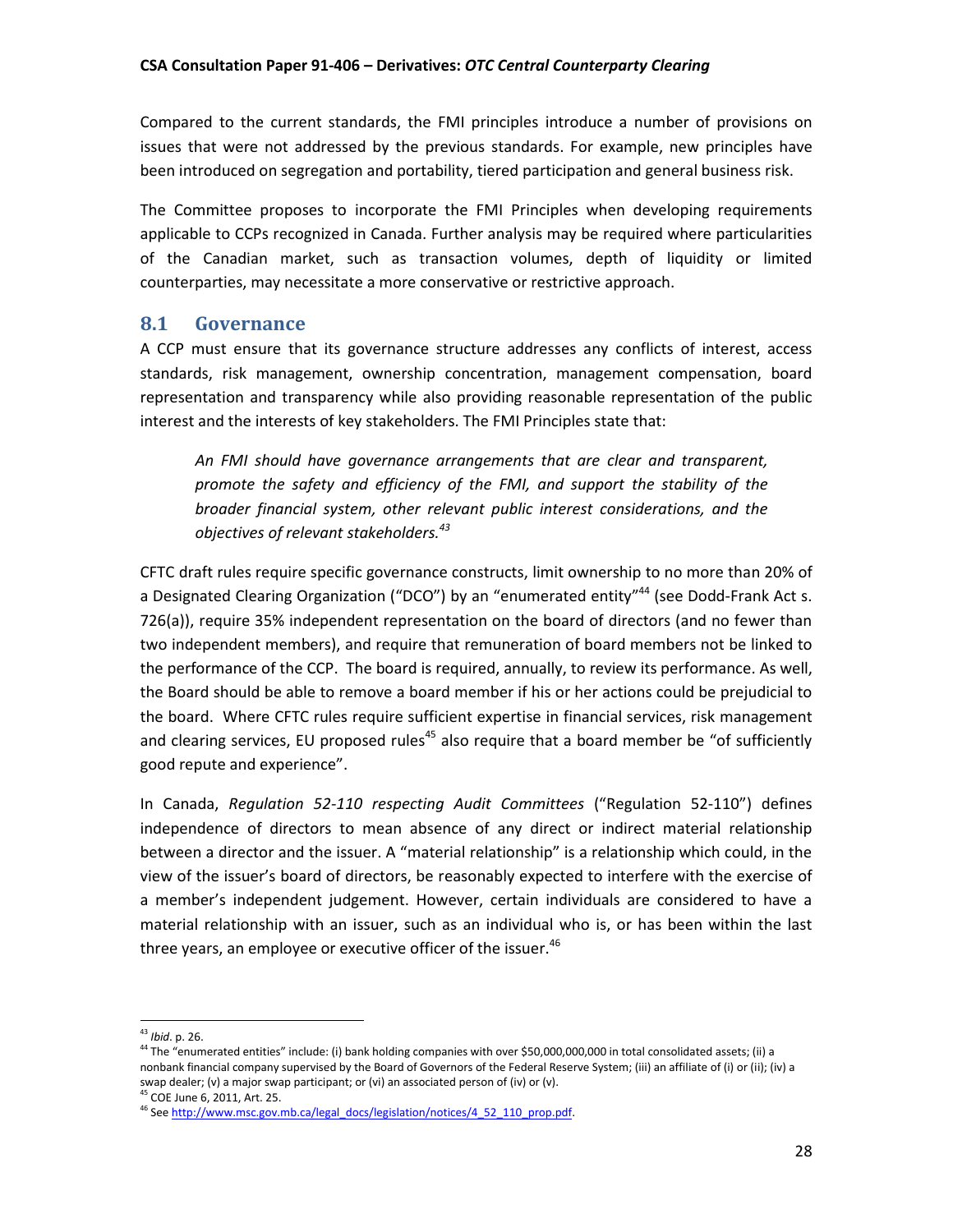Compared to the current standards, the FMI principles introduce a number of provisions on issues that were not addressed by the previous standards. For example, new principles have been introduced on segregation and portability, tiered participation and general business risk.

The Committee proposes to incorporate the FMI Principles when developing requirements applicable to CCPs recognized in Canada. Further analysis may be required where particularities of the Canadian market, such as transaction volumes, depth of liquidity or limited counterparties, may necessitate a more conservative or restrictive approach.

# <span id="page-28-0"></span>**8.1 Governance**

A CCP must ensure that its governance structure addresses any conflicts of interest, access standards, risk management, ownership concentration, management compensation, board representation and transparency while also providing reasonable representation of the public interest and the interests of key stakeholders. The FMI Principles state that:

*An FMI should have governance arrangements that are clear and transparent, promote the safety and efficiency of the FMI, and support the stability of the broader financial system, other relevant public interest considerations, and the objectives of relevant stakeholders.<sup>43</sup>*

CFTC draft rules require specific governance constructs, limit ownership to no more than 20% of a Designated Clearing Organization ("DCO") by an "enumerated entity"<sup>44</sup> (see Dodd-Frank Act s. 726(a)), require 35% independent representation on the board of directors (and no fewer than two independent members), and require that remuneration of board members not be linked to the performance of the CCP. The board is required, annually, to review its performance. As well, the Board should be able to remove a board member if his or her actions could be prejudicial to the board. Where CFTC rules require sufficient expertise in financial services, risk management and clearing services, EU proposed rules<sup>45</sup> also require that a board member be "of sufficiently good repute and experience".

In Canada, *Regulation 52-110 respecting Audit Committees* ("Regulation 52-110") defines independence of directors to mean absence of any direct or indirect material relationship between a director and the issuer. A "material relationship" is a relationship which could, in the view of the issuer's board of directors, be reasonably expected to interfere with the exercise of a member's independent judgement. However, certain individuals are considered to have a material relationship with an issuer, such as an individual who is, or has been within the last three years, an employee or executive officer of the issuer.  $46$ 

 $\overline{a}$ 

<sup>43</sup> *Ibid*. p. 26.

<sup>&</sup>lt;sup>44</sup> The "enumerated entities" include: (i) bank holding companies with over \$50,000,000,000 in total consolidated assets; (ii) a nonbank financial company supervised by the Board of Governors of the Federal Reserve System; (iii) an affiliate of (i) or (ii); (iv) a swap dealer; (v) a major swap participant; or (vi) an associated person of (iv) or (v).

<sup>45</sup> COE June 6, 2011, Art. 25.

<sup>&</sup>lt;sup>46</sup> Se[e http://www.msc.gov.mb.ca/legal\\_docs/legislation/notices/4\\_52\\_110\\_prop.pdf.](http://www.msc.gov.mb.ca/legal_docs/legislation/notices/4_52_110_prop.pdf)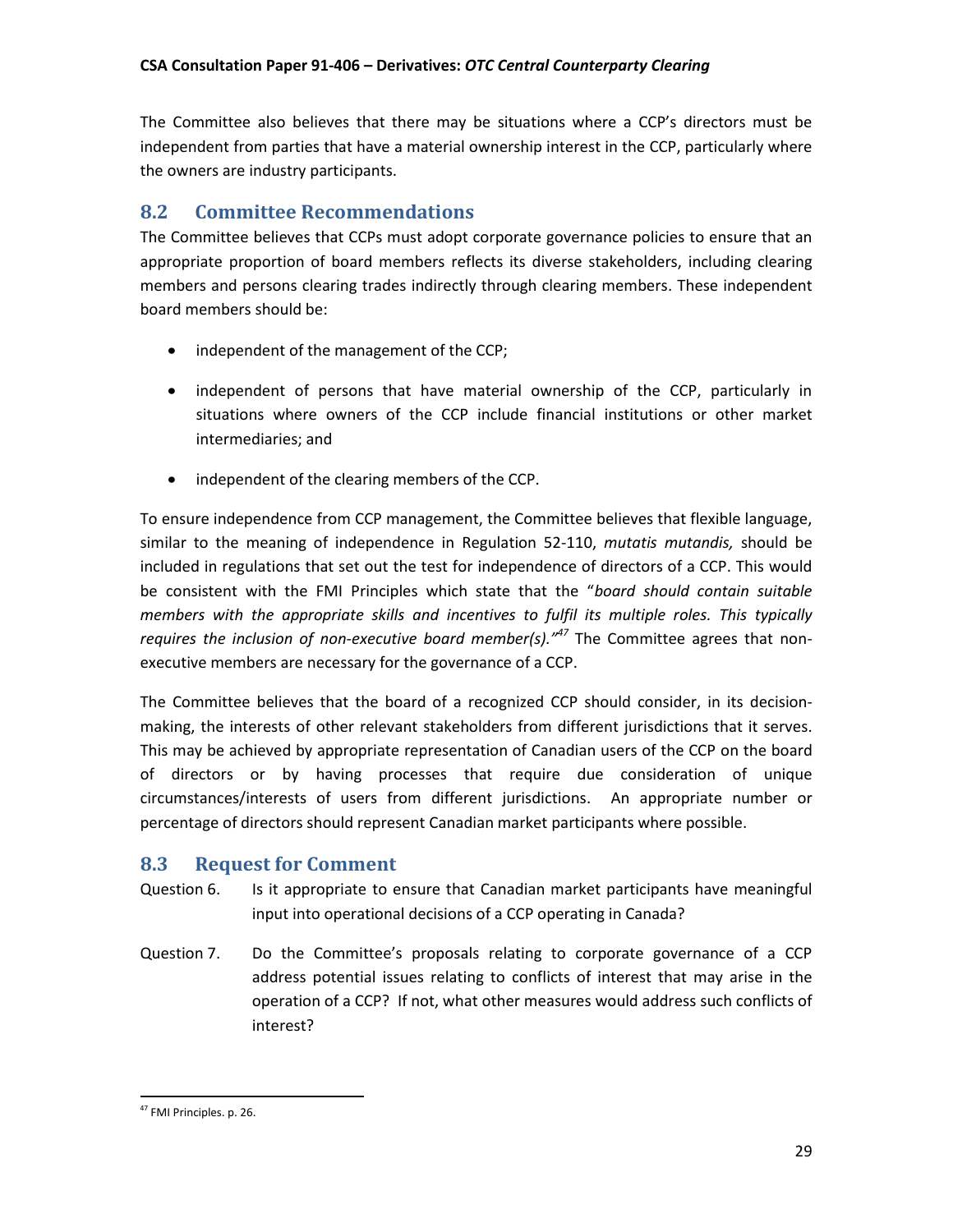The Committee also believes that there may be situations where a CCP's directors must be independent from parties that have a material ownership interest in the CCP, particularly where the owners are industry participants.

# <span id="page-29-0"></span>**8.2 Committee Recommendations**

The Committee believes that CCPs must adopt corporate governance policies to ensure that an appropriate proportion of board members reflects its diverse stakeholders, including clearing members and persons clearing trades indirectly through clearing members. These independent board members should be:

- independent of the management of the CCP;
- independent of persons that have material ownership of the CCP, particularly in situations where owners of the CCP include financial institutions or other market intermediaries; and
- independent of the clearing members of the CCP.

To ensure independence from CCP management, the Committee believes that flexible language, similar to the meaning of independence in Regulation 52-110, *mutatis mutandis,* should be included in regulations that set out the test for independence of directors of a CCP. This would be consistent with the FMI Principles which state that the "*board should contain suitable members with the appropriate skills and incentives to fulfil its multiple roles. This typically requires the inclusion of non-executive board member(s)."<sup>47</sup>* The Committee agrees that nonexecutive members are necessary for the governance of a CCP.

The Committee believes that the board of a recognized CCP should consider, in its decisionmaking, the interests of other relevant stakeholders from different jurisdictions that it serves. This may be achieved by appropriate representation of Canadian users of the CCP on the board of directors or by having processes that require due consideration of unique circumstances/interests of users from different jurisdictions. An appropriate number or percentage of directors should represent Canadian market participants where possible.

# <span id="page-29-1"></span>**8.3 Request for Comment**

- Question 6. Is it appropriate to ensure that Canadian market participants have meaningful input into operational decisions of a CCP operating in Canada?
- Question 7. Do the Committee's proposals relating to corporate governance of a CCP address potential issues relating to conflicts of interest that may arise in the operation of a CCP? If not, what other measures would address such conflicts of interest?

 $\overline{\phantom{a}}$ <sup>47</sup> FMI Principles. p. 26.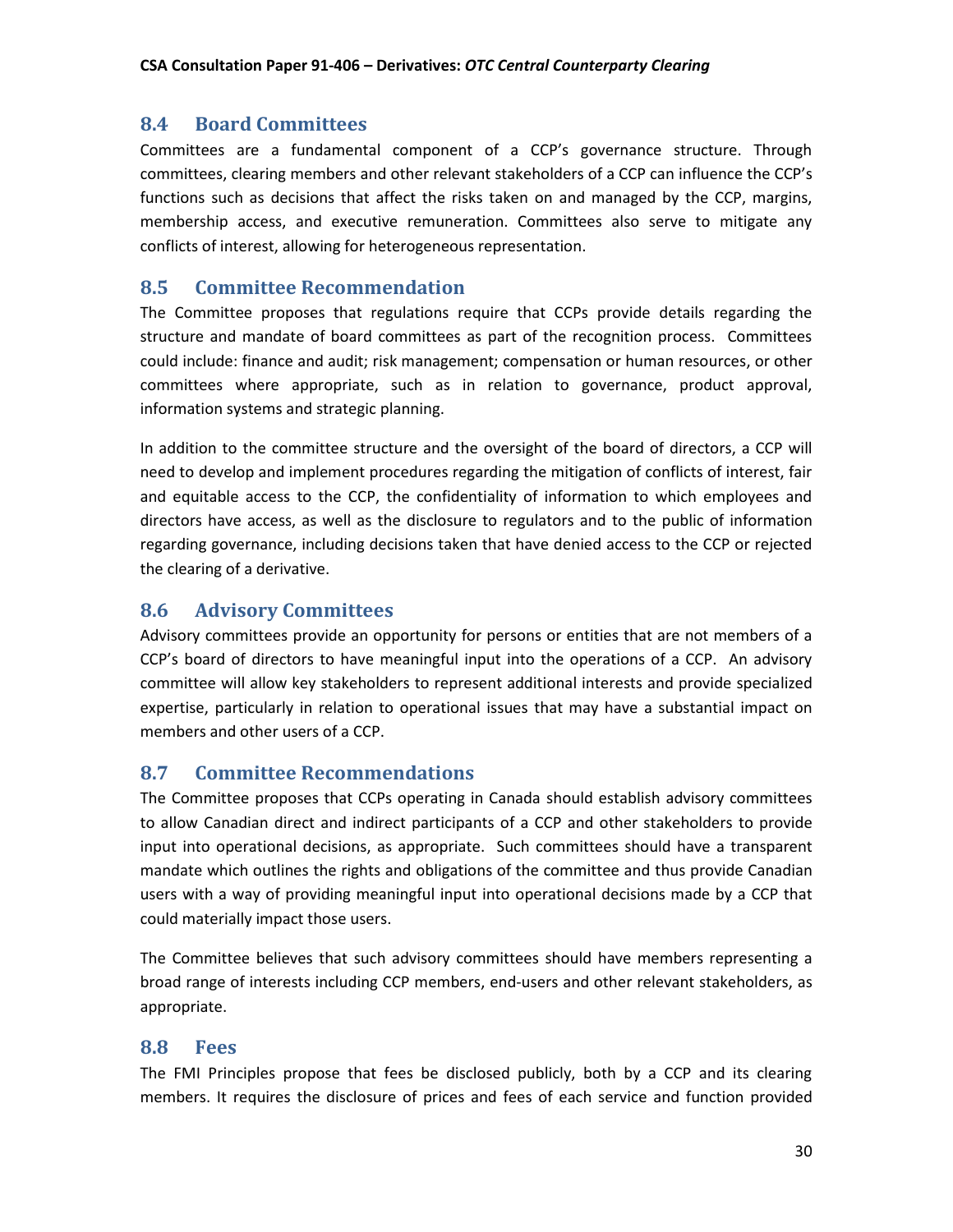# <span id="page-30-0"></span>**8.4 Board Committees**

Committees are a fundamental component of a CCP's governance structure. Through committees, clearing members and other relevant stakeholders of a CCP can influence the CCP's functions such as decisions that affect the risks taken on and managed by the CCP, margins, membership access, and executive remuneration. Committees also serve to mitigate any conflicts of interest, allowing for heterogeneous representation.

# <span id="page-30-1"></span>**8.5 Committee Recommendation**

The Committee proposes that regulations require that CCPs provide details regarding the structure and mandate of board committees as part of the recognition process. Committees could include: finance and audit; risk management; compensation or human resources, or other committees where appropriate, such as in relation to governance, product approval, information systems and strategic planning.

In addition to the committee structure and the oversight of the board of directors, a CCP will need to develop and implement procedures regarding the mitigation of conflicts of interest, fair and equitable access to the CCP, the confidentiality of information to which employees and directors have access, as well as the disclosure to regulators and to the public of information regarding governance, including decisions taken that have denied access to the CCP or rejected the clearing of a derivative.

# <span id="page-30-2"></span>**8.6 Advisory Committees**

Advisory committees provide an opportunity for persons or entities that are not members of a CCP's board of directors to have meaningful input into the operations of a CCP. An advisory committee will allow key stakeholders to represent additional interests and provide specialized expertise, particularly in relation to operational issues that may have a substantial impact on members and other users of a CCP.

# <span id="page-30-3"></span>**8.7 Committee Recommendations**

The Committee proposes that CCPs operating in Canada should establish advisory committees to allow Canadian direct and indirect participants of a CCP and other stakeholders to provide input into operational decisions, as appropriate. Such committees should have a transparent mandate which outlines the rights and obligations of the committee and thus provide Canadian users with a way of providing meaningful input into operational decisions made by a CCP that could materially impact those users.

The Committee believes that such advisory committees should have members representing a broad range of interests including CCP members, end-users and other relevant stakeholders, as appropriate.

# <span id="page-30-4"></span>**8.8 Fees**

The FMI Principles propose that fees be disclosed publicly, both by a CCP and its clearing members. It requires the disclosure of prices and fees of each service and function provided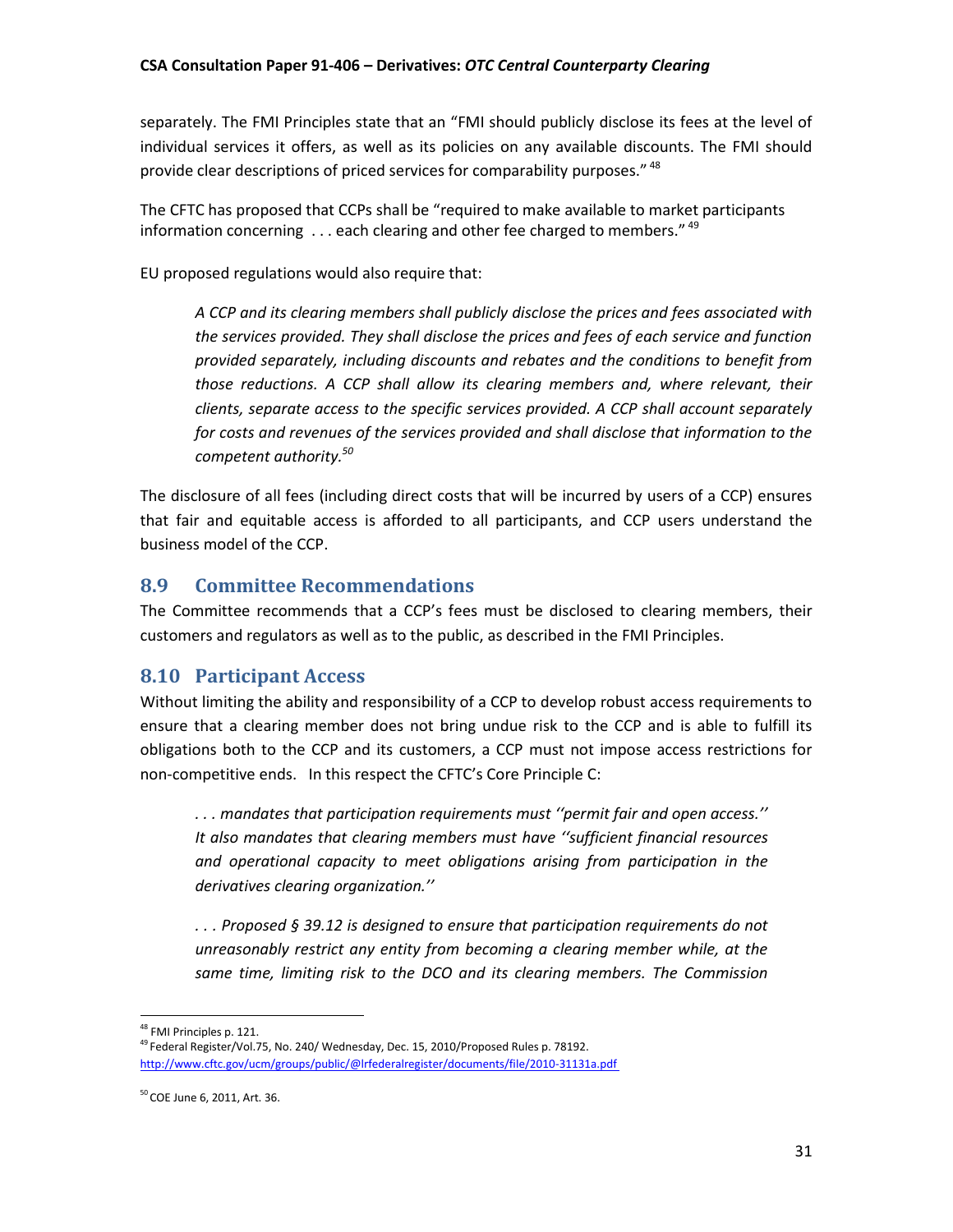separately. The FMI Principles state that an "FMI should publicly disclose its fees at the level of individual services it offers, as well as its policies on any available discounts. The FMI should provide clear descriptions of priced services for comparability purposes." <sup>48</sup>

The CFTC has proposed that CCPs shall be "required to make available to market participants information concerning . . . each clearing and other fee charged to members." 49

EU proposed regulations would also require that:

*A CCP and its clearing members shall publicly disclose the prices and fees associated with the services provided. They shall disclose the prices and fees of each service and function provided separately, including discounts and rebates and the conditions to benefit from those reductions. A CCP shall allow its clearing members and, where relevant, their clients, separate access to the specific services provided. A CCP shall account separately for costs and revenues of the services provided and shall disclose that information to the competent authority.<sup>50</sup>*

The disclosure of all fees (including direct costs that will be incurred by users of a CCP) ensures that fair and equitable access is afforded to all participants, and CCP users understand the business model of the CCP.

# <span id="page-31-0"></span>**8.9 Committee Recommendations**

The Committee recommends that a CCP's fees must be disclosed to clearing members, their customers and regulators as well as to the public, as described in the FMI Principles.

# <span id="page-31-1"></span>**8.10 Participant Access**

Without limiting the ability and responsibility of a CCP to develop robust access requirements to ensure that a clearing member does not bring undue risk to the CCP and is able to fulfill its obligations both to the CCP and its customers, a CCP must not impose access restrictions for non-competitive ends. In this respect the CFTC's Core Principle C:

*. . . mandates that participation requirements must ''permit fair and open access.'' It also mandates that clearing members must have ''sufficient financial resources and operational capacity to meet obligations arising from participation in the derivatives clearing organization.''*

*. . . Proposed § 39.12 is designed to ensure that participation requirements do not unreasonably restrict any entity from becoming a clearing member while, at the same time, limiting risk to the DCO and its clearing members. The Commission* 

 $\overline{\phantom{a}}$ 

<sup>&</sup>lt;sup>48</sup> FMI Principles p. 121.

<sup>&</sup>lt;sup>49</sup> Federal Register/Vol.75, No. 240/ Wednesday, Dec. 15, 2010/Proposed Rules p. 78192. <http://www.cftc.gov/ucm/groups/public/@lrfederalregister/documents/file/2010-31131a.pdf>

<sup>50</sup> COE June 6, 2011, Art. 36.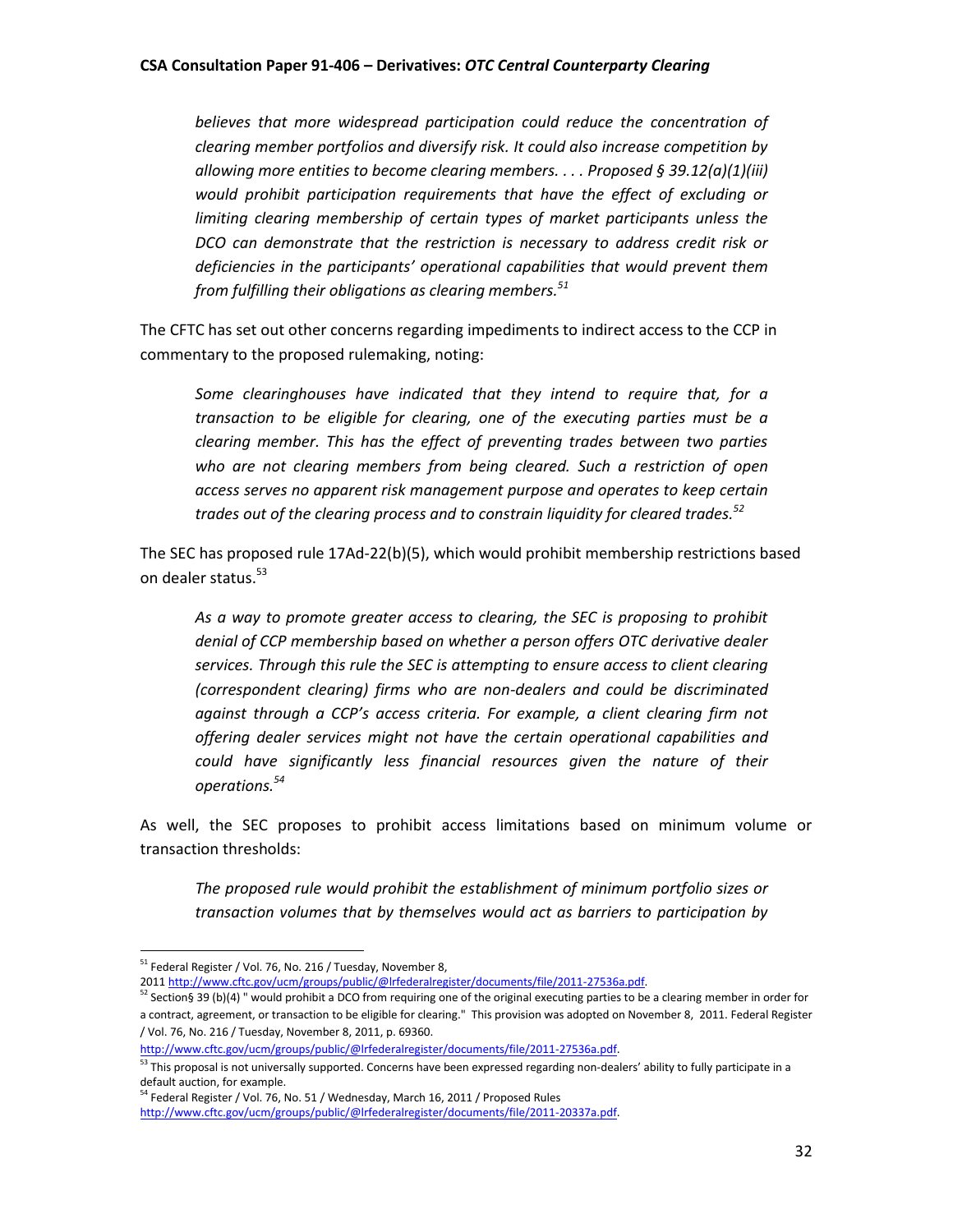believes that more widespread participation could reduce the concentration of *clearing member portfolios and diversify risk. It could also increase competition by allowing more entities to become clearing members. . . . Proposed § 39.12(a)(1)(iii) would prohibit participation requirements that have the effect of excluding or limiting clearing membership of certain types of market participants unless the DCO can demonstrate that the restriction is necessary to address credit risk or deficiencies in the participants' operational capabilities that would prevent them from fulfilling their obligations as clearing members.<sup>51</sup>*

The CFTC has set out other concerns regarding impediments to indirect access to the CCP in commentary to the proposed rulemaking, noting:

*Some clearinghouses have indicated that they intend to require that, for a transaction to be eligible for clearing, one of the executing parties must be a clearing member. This has the effect of preventing trades between two parties who are not clearing members from being cleared. Such a restriction of open access serves no apparent risk management purpose and operates to keep certain trades out of the clearing process and to constrain liquidity for cleared trades.<sup>52</sup>*

The SEC has proposed rule 17Ad-22(b)(5), which would prohibit membership restrictions based on dealer status. 53

*As a way to promote greater access to clearing, the SEC is proposing to prohibit denial of CCP membership based on whether a person offers OTC derivative dealer services. Through this rule the SEC is attempting to ensure access to client clearing (correspondent clearing) firms who are non-dealers and could be discriminated against through a CCP's access criteria. For example, a client clearing firm not offering dealer services might not have the certain operational capabilities and could have significantly less financial resources given the nature of their operations.<sup>54</sup>*

As well, the SEC proposes to prohibit access limitations based on minimum volume or transaction thresholds:

*The proposed rule would prohibit the establishment of minimum portfolio sizes or transaction volumes that by themselves would act as barriers to participation by* 

 $\overline{a}$ 

[http://www.cftc.gov/ucm/groups/public/@lrfederalregister/documents/file/2011-27536a.pdf.](http://www.cftc.gov/ucm/groups/public/@lrfederalregister/documents/file/2011-27536a.pdf)

<sup>&</sup>lt;sup>51</sup> Federal Register / Vol. 76, No. 216 / Tuesday, November 8,

<sup>2011</sup> [http://www.cftc.gov/ucm/groups/public/@lrfederalregister/documents/file/2011-27536a.pdf.](http://www.cftc.gov/ucm/groups/public/@lrfederalregister/documents/file/2011-27536a.pdf)

 $52$  Section§ 39 (b)(4) " would prohibit a DCO from requiring one of the original executing parties to be a clearing member in order for a contract, agreement, or transaction to be eligible for clearing." This provision was adopted on November 8, 2011. Federal Register / Vol. 76, No. 216 / Tuesday, November 8, 2011, p. 69360.

<sup>&</sup>lt;sup>53</sup> This proposal is not universally supported. Concerns have been expressed regarding non-dealers' ability to fully participate in a default auction, for example.

<sup>&</sup>lt;sup>54</sup> Federal Register / Vol. 76, No. 51 / Wednesday, March 16, 2011 / Proposed Rules

[http://www.cftc.gov/ucm/groups/public/@lrfederalregister/documents/file/2011-20337a.pdf.](http://www.cftc.gov/ucm/groups/public/@lrfederalregister/documents/file/2011-20337a.pdf)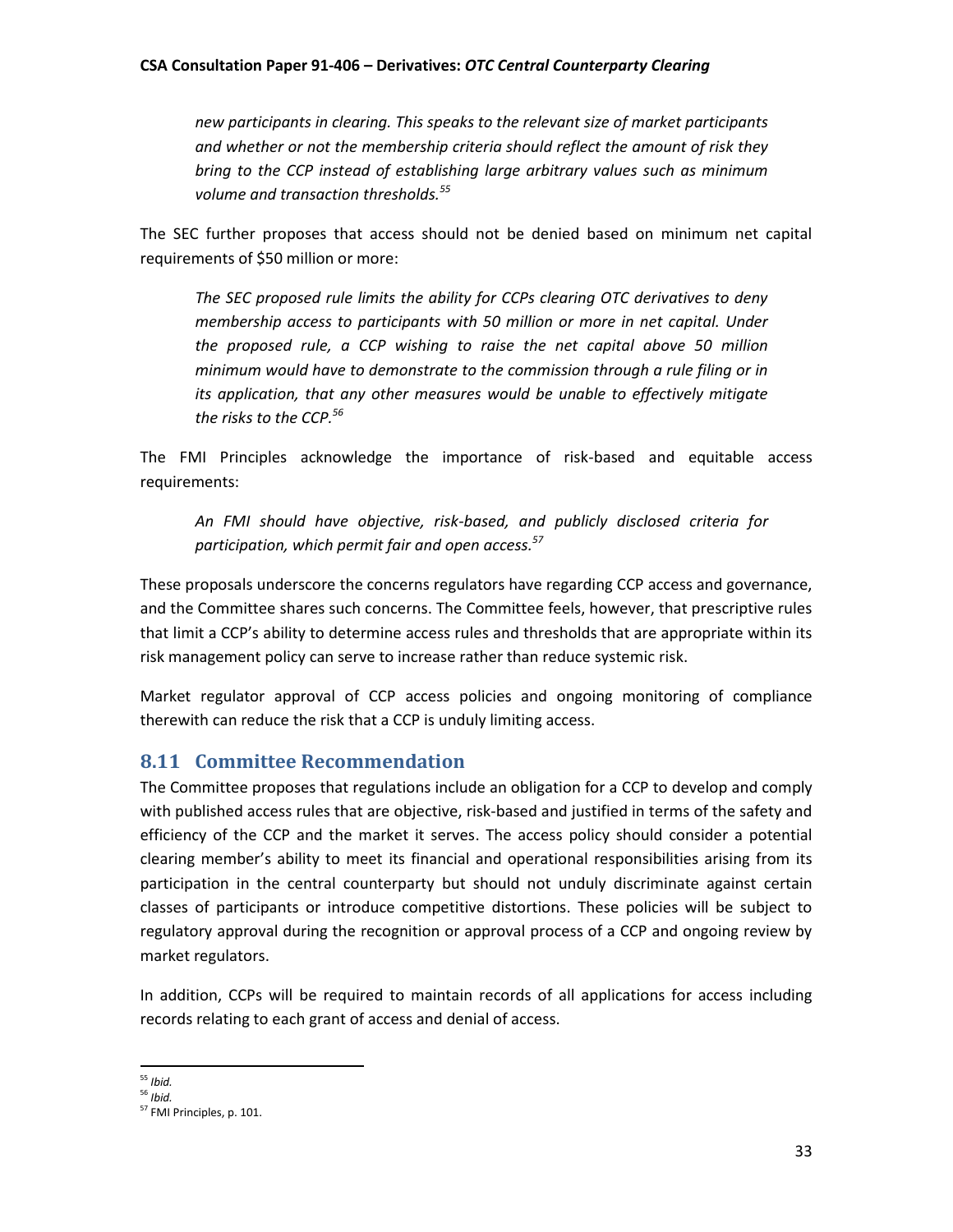*new participants in clearing. This speaks to the relevant size of market participants and whether or not the membership criteria should reflect the amount of risk they bring to the CCP instead of establishing large arbitrary values such as minimum volume and transaction thresholds.<sup>55</sup>*

The SEC further proposes that access should not be denied based on minimum net capital requirements of \$50 million or more:

*The SEC proposed rule limits the ability for CCPs clearing OTC derivatives to deny membership access to participants with 50 million or more in net capital. Under the proposed rule, a CCP wishing to raise the net capital above 50 million minimum would have to demonstrate to the commission through a rule filing or in its application, that any other measures would be unable to effectively mitigate the risks to the CCP.<sup>56</sup>*

The FMI Principles acknowledge the importance of risk-based and equitable access requirements:

*An FMI should have objective, risk-based, and publicly disclosed criteria for participation, which permit fair and open access.<sup>57</sup>*

These proposals underscore the concerns regulators have regarding CCP access and governance, and the Committee shares such concerns. The Committee feels, however, that prescriptive rules that limit a CCP's ability to determine access rules and thresholds that are appropriate within its risk management policy can serve to increase rather than reduce systemic risk.

Market regulator approval of CCP access policies and ongoing monitoring of compliance therewith can reduce the risk that a CCP is unduly limiting access.

# <span id="page-33-0"></span>**8.11 Committee Recommendation**

The Committee proposes that regulations include an obligation for a CCP to develop and comply with published access rules that are objective, risk-based and justified in terms of the safety and efficiency of the CCP and the market it serves. The access policy should consider a potential clearing member's ability to meet its financial and operational responsibilities arising from its participation in the central counterparty but should not unduly discriminate against certain classes of participants or introduce competitive distortions. These policies will be subject to regulatory approval during the recognition or approval process of a CCP and ongoing review by market regulators.

In addition, CCPs will be required to maintain records of all applications for access including records relating to each grant of access and denial of access.

l <sup>55</sup> *Ibid.*

<sup>56</sup> *Ibid.*

<sup>57</sup> FMI Principles, p. 101.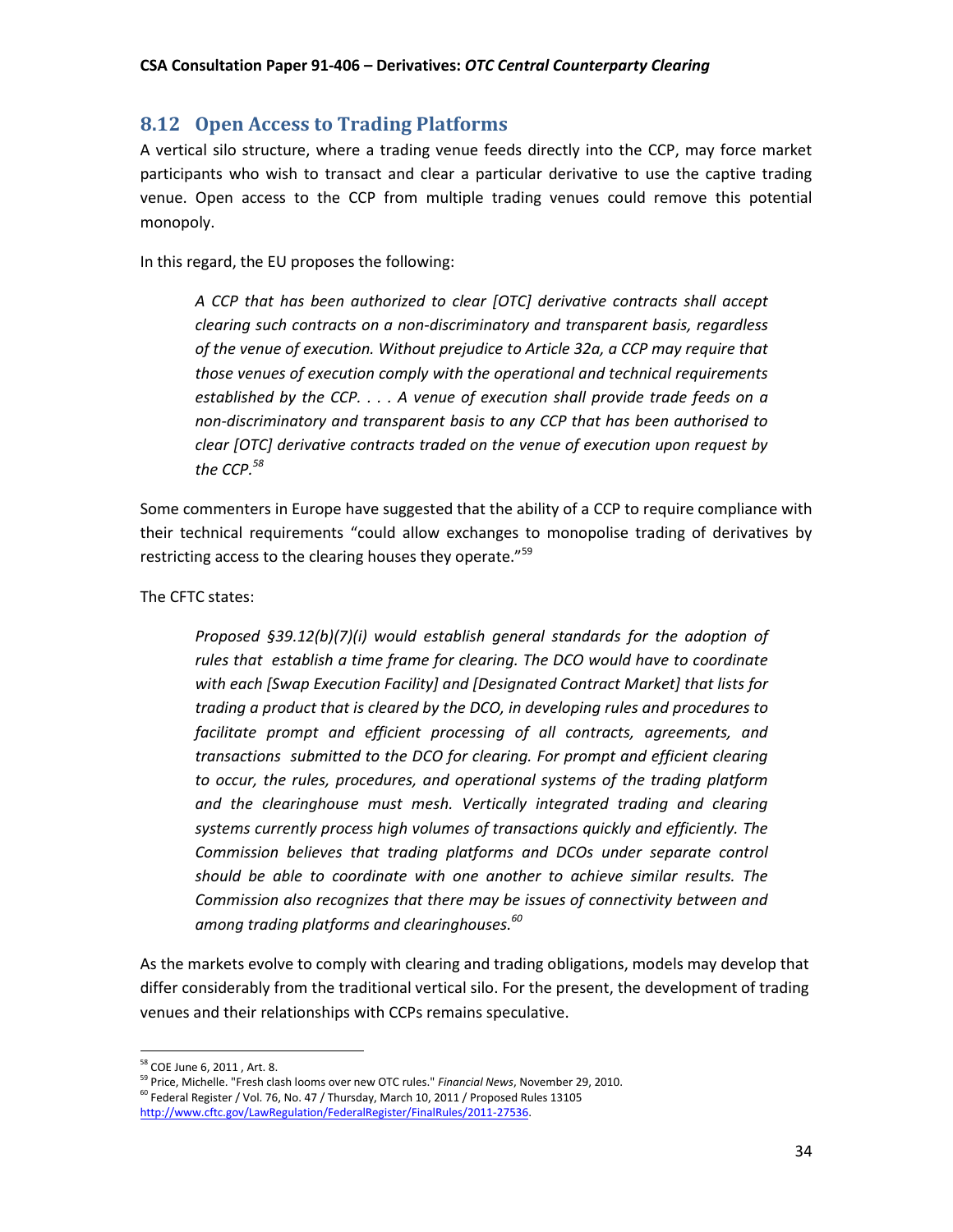# <span id="page-34-0"></span>**8.12 Open Access to Trading Platforms**

A vertical silo structure, where a trading venue feeds directly into the CCP, may force market participants who wish to transact and clear a particular derivative to use the captive trading venue. Open access to the CCP from multiple trading venues could remove this potential monopoly.

In this regard, the EU proposes the following:

*A CCP that has been authorized to clear [OTC] derivative contracts shall accept clearing such contracts on a non-discriminatory and transparent basis, regardless of the venue of execution. Without prejudice to Article 32a, a CCP may require that those venues of execution comply with the operational and technical requirements established by the CCP. . . . A venue of execution shall provide trade feeds on a non-discriminatory and transparent basis to any CCP that has been authorised to clear [OTC] derivative contracts traded on the venue of execution upon request by the CCP.<sup>58</sup>*

Some commenters in Europe have suggested that the ability of a CCP to require compliance with their technical requirements "could allow exchanges to monopolise trading of derivatives by restricting access to the clearing houses they operate."<sup>59</sup>

## The CFTC states:

*Proposed §39.12(b)(7)(i) would establish general standards for the adoption of rules that establish a time frame for clearing. The DCO would have to coordinate with each [Swap Execution Facility] and [Designated Contract Market] that lists for trading a product that is cleared by the DCO, in developing rules and procedures to facilitate prompt and efficient processing of all contracts, agreements, and transactions submitted to the DCO for clearing. For prompt and efficient clearing to occur, the rules, procedures, and operational systems of the trading platform* and the clearinghouse must mesh. Vertically integrated trading and clearing *systems currently process high volumes of transactions quickly and efficiently. The Commission believes that trading platforms and DCOs under separate control should be able to coordinate with one another to achieve similar results. The Commission also recognizes that there may be issues of connectivity between and among trading platforms and clearinghouses.<sup>60</sup>*

As the markets evolve to comply with clearing and trading obligations, models may develop that differ considerably from the traditional vertical silo. For the present, the development of trading venues and their relationships with CCPs remains speculative.

l

<sup>58</sup> COE June 6, 2011 , Art. 8.

<sup>59</sup> Price, Michelle. "Fresh clash looms over new OTC rules." *Financial News*, November 29, 2010.  $^{60}$  Federal Register / Vol. 76, No. 47 / Thursday, March 10, 2011 / Proposed Rules 13105

[http://www.cftc.gov/LawRegulation/FederalRegister/FinalRules/2011-27536.](http://www.cftc.gov/LawRegulation/FederalRegister/FinalRules/2011-27536)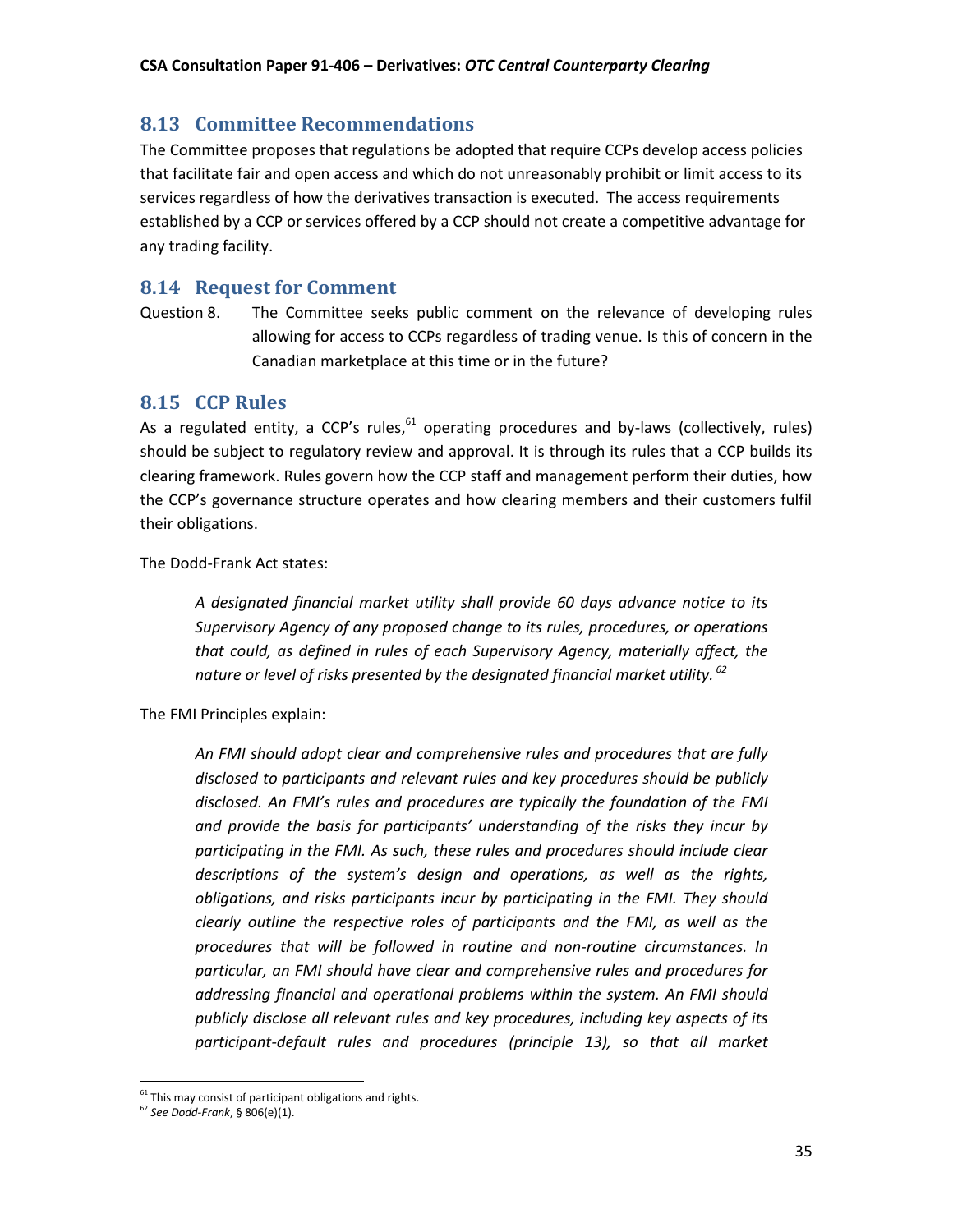# <span id="page-35-0"></span>**8.13 Committee Recommendations**

The Committee proposes that regulations be adopted that require CCPs develop access policies that facilitate fair and open access and which do not unreasonably prohibit or limit access to its services regardless of how the derivatives transaction is executed. The access requirements established by a CCP or services offered by a CCP should not create a competitive advantage for any trading facility.

# <span id="page-35-1"></span>**8.14 Request for Comment**

Question 8. The Committee seeks public comment on the relevance of developing rules allowing for access to CCPs regardless of trading venue. Is this of concern in the Canadian marketplace at this time or in the future?

# <span id="page-35-2"></span>**8.15 CCP Rules**

As a regulated entity, a CCP's rules, $^{61}$  operating procedures and by-laws (collectively, rules) should be subject to regulatory review and approval. It is through its rules that a CCP builds its clearing framework. Rules govern how the CCP staff and management perform their duties, how the CCP's governance structure operates and how clearing members and their customers fulfil their obligations.

The Dodd-Frank Act states:

*A designated financial market utility shall provide 60 days advance notice to its Supervisory Agency of any proposed change to its rules, procedures, or operations that could, as defined in rules of each Supervisory Agency, materially affect, the nature or level of risks presented by the designated financial market utility. <sup>62</sup>*

The FMI Principles explain:

*An FMI should adopt clear and comprehensive rules and procedures that are fully disclosed to participants and relevant rules and key procedures should be publicly disclosed. An FMI's rules and procedures are typically the foundation of the FMI and provide the basis for participants' understanding of the risks they incur by participating in the FMI. As such, these rules and procedures should include clear descriptions of the system's design and operations, as well as the rights, obligations, and risks participants incur by participating in the FMI. They should clearly outline the respective roles of participants and the FMI, as well as the procedures that will be followed in routine and non-routine circumstances. In particular, an FMI should have clear and comprehensive rules and procedures for addressing financial and operational problems within the system. An FMI should publicly disclose all relevant rules and key procedures, including key aspects of its participant-default rules and procedures (principle 13), so that all market* 

 $\overline{a}$ 

 $61$  This may consist of participant obligations and rights.

<sup>62</sup> *See Dodd-Frank*, § 806(e)(1).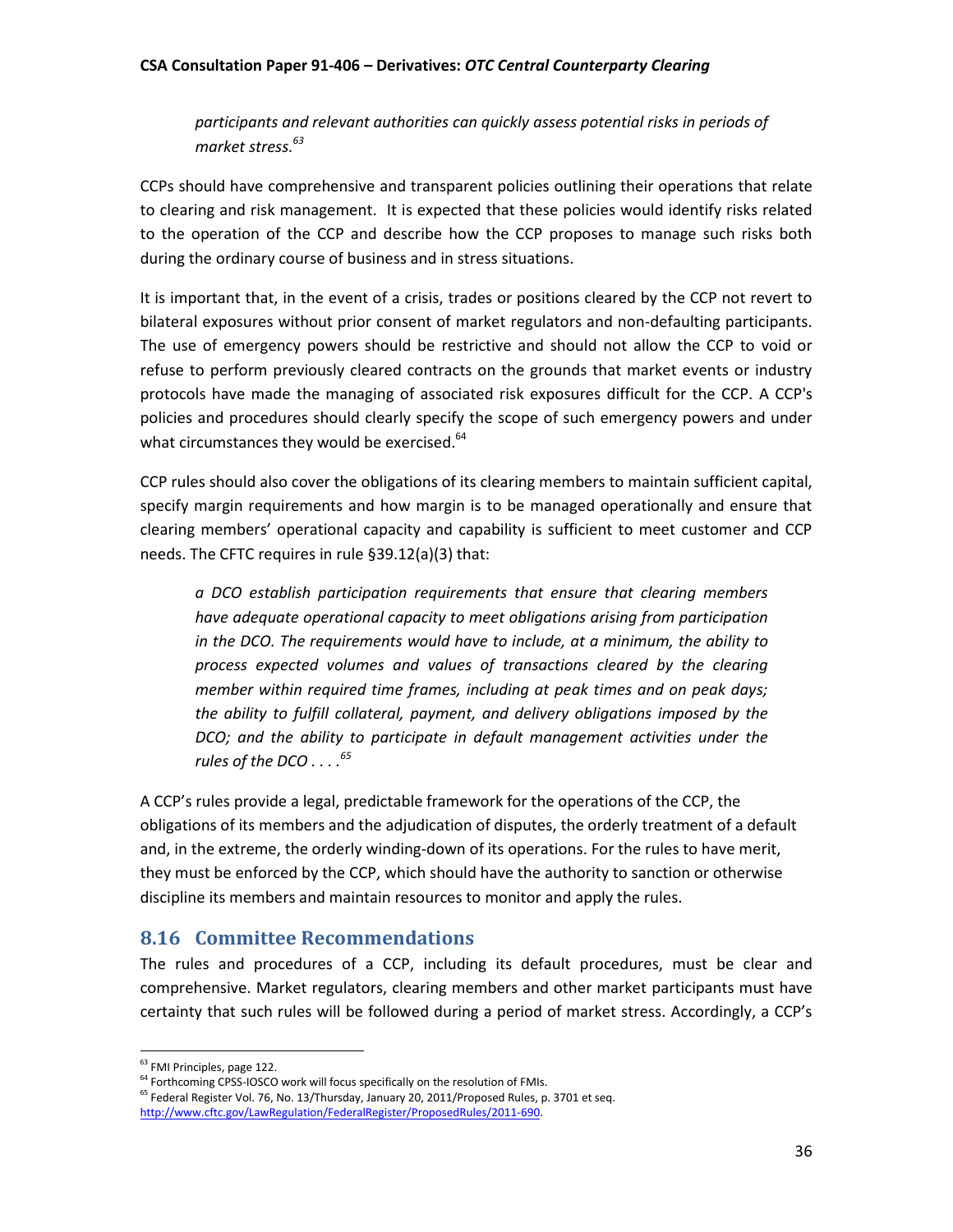*participants and relevant authorities can quickly assess potential risks in periods of market stress. 63*

CCPs should have comprehensive and transparent policies outlining their operations that relate to clearing and risk management. It is expected that these policies would identify risks related to the operation of the CCP and describe how the CCP proposes to manage such risks both during the ordinary course of business and in stress situations.

It is important that, in the event of a crisis, trades or positions cleared by the CCP not revert to bilateral exposures without prior consent of market regulators and non-defaulting participants. The use of emergency powers should be restrictive and should not allow the CCP to void or refuse to perform previously cleared contracts on the grounds that market events or industry protocols have made the managing of associated risk exposures difficult for the CCP. A CCP's policies and procedures should clearly specify the scope of such emergency powers and under what circumstances they would be exercised.<sup>64</sup>

CCP rules should also cover the obligations of its clearing members to maintain sufficient capital, specify margin requirements and how margin is to be managed operationally and ensure that clearing members' operational capacity and capability is sufficient to meet customer and CCP needs. The CFTC requires in rule §39.12(a)(3) that:

*a DCO establish participation requirements that ensure that clearing members have adequate operational capacity to meet obligations arising from participation in the DCO. The requirements would have to include, at a minimum, the ability to process expected volumes and values of transactions cleared by the clearing member within required time frames, including at peak times and on peak days; the ability to fulfill collateral, payment, and delivery obligations imposed by the DCO; and the ability to participate in default management activities under the rules of the DCO . . . . 65*

A CCP's rules provide a legal, predictable framework for the operations of the CCP, the obligations of its members and the adjudication of disputes, the orderly treatment of a default and, in the extreme, the orderly winding-down of its operations. For the rules to have merit, they must be enforced by the CCP, which should have the authority to sanction or otherwise discipline its members and maintain resources to monitor and apply the rules.

# <span id="page-36-0"></span>**8.16 Committee Recommendations**

The rules and procedures of a CCP, including its default procedures, must be clear and comprehensive. Market regulators, clearing members and other market participants must have certainty that such rules will be followed during a period of market stress. Accordingly, a CCP's

l

<sup>&</sup>lt;sup>63</sup> FMI Principles, page 122.

 $64$  Forthcoming CPSS-IOSCO work will focus specifically on the resolution of FMIs.

<sup>65</sup> Federal Register Vol. 76, No. 13/Thursday, January 20, 2011/Proposed Rules, p. 3701 et seq. [http://www.cftc.gov/LawRegulation/FederalRegister/ProposedRules/2011-690.](http://www.cftc.gov/LawRegulation/FederalRegister/ProposedRules/2011-690)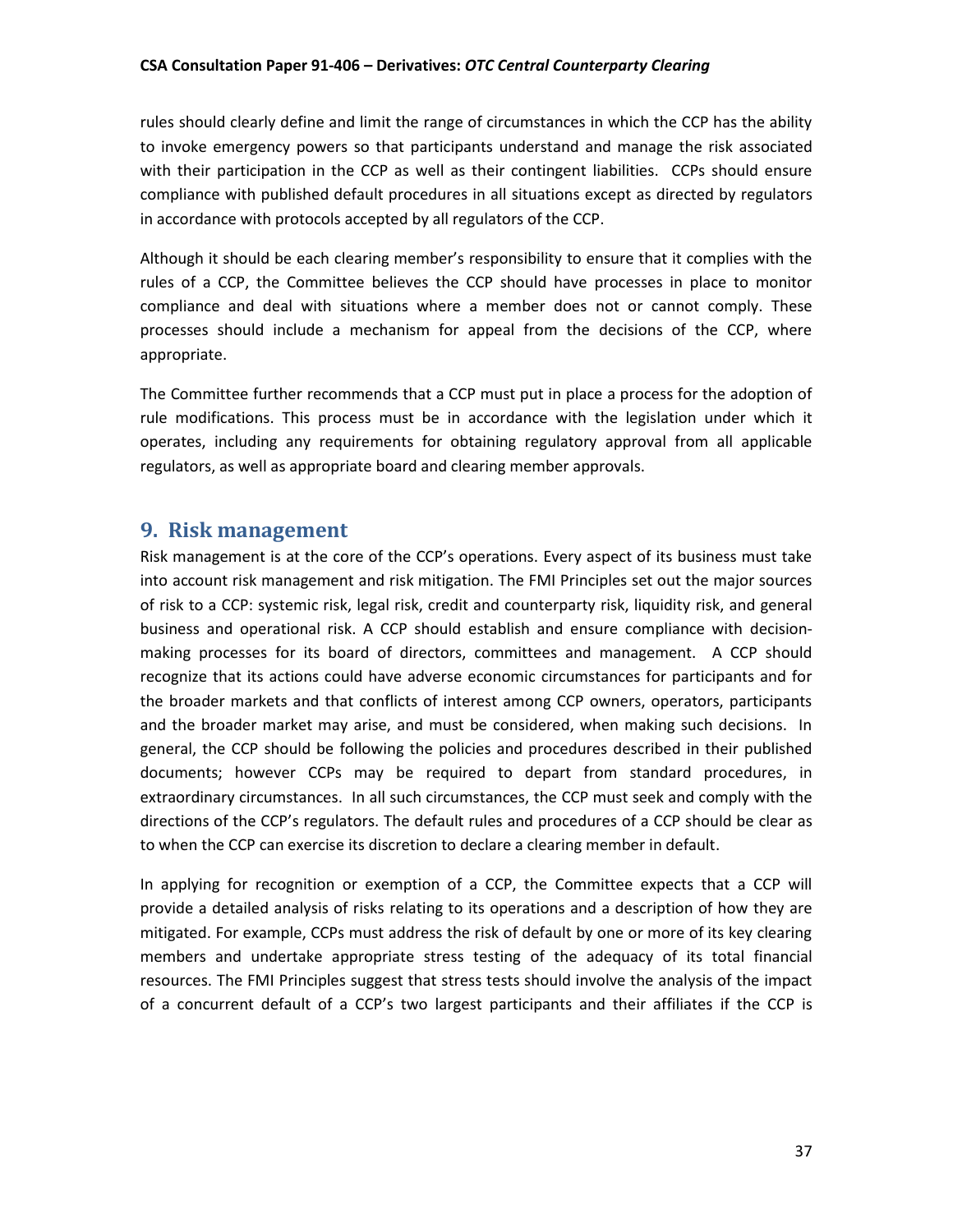rules should clearly define and limit the range of circumstances in which the CCP has the ability to invoke emergency powers so that participants understand and manage the risk associated with their participation in the CCP as well as their contingent liabilities. CCPs should ensure compliance with published default procedures in all situations except as directed by regulators in accordance with protocols accepted by all regulators of the CCP.

Although it should be each clearing member's responsibility to ensure that it complies with the rules of a CCP, the Committee believes the CCP should have processes in place to monitor compliance and deal with situations where a member does not or cannot comply. These processes should include a mechanism for appeal from the decisions of the CCP, where appropriate.

The Committee further recommends that a CCP must put in place a process for the adoption of rule modifications. This process must be in accordance with the legislation under which it operates, including any requirements for obtaining regulatory approval from all applicable regulators, as well as appropriate board and clearing member approvals.

# <span id="page-37-0"></span>**9. Risk management**

Risk management is at the core of the CCP's operations. Every aspect of its business must take into account risk management and risk mitigation. The FMI Principles set out the major sources of risk to a CCP: systemic risk, legal risk, credit and counterparty risk, liquidity risk, and general business and operational risk. A CCP should establish and ensure compliance with decisionmaking processes for its board of directors, committees and management. A CCP should recognize that its actions could have adverse economic circumstances for participants and for the broader markets and that conflicts of interest among CCP owners, operators, participants and the broader market may arise, and must be considered, when making such decisions. In general, the CCP should be following the policies and procedures described in their published documents; however CCPs may be required to depart from standard procedures, in extraordinary circumstances. In all such circumstances, the CCP must seek and comply with the directions of the CCP's regulators. The default rules and procedures of a CCP should be clear as to when the CCP can exercise its discretion to declare a clearing member in default.

In applying for recognition or exemption of a CCP, the Committee expects that a CCP will provide a detailed analysis of risks relating to its operations and a description of how they are mitigated. For example, CCPs must address the risk of default by one or more of its key clearing members and undertake appropriate stress testing of the adequacy of its total financial resources. The FMI Principles suggest that stress tests should involve the analysis of the impact of a concurrent default of a CCP's two largest participants and their affiliates if the CCP is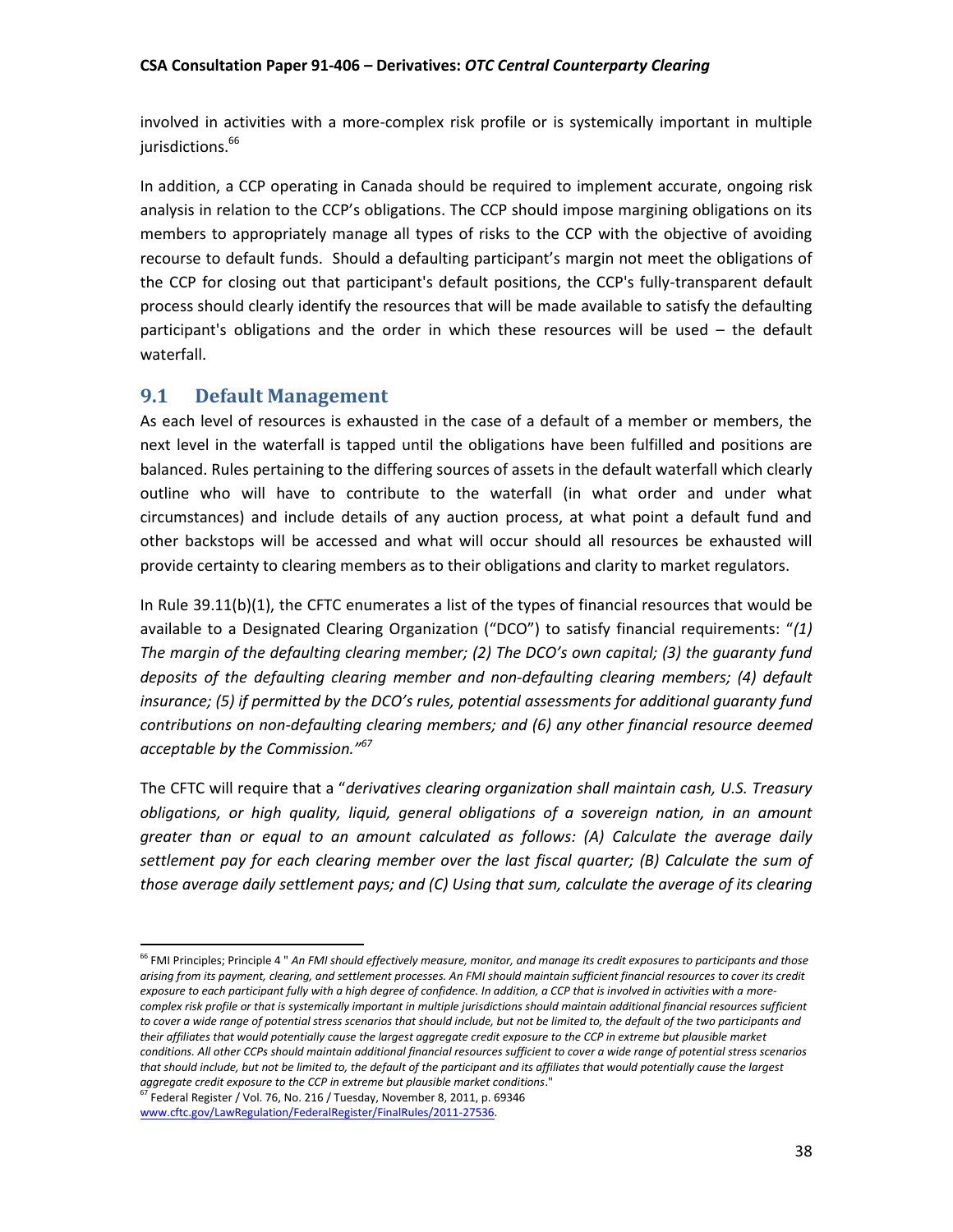involved in activities with a more-complex risk profile or is systemically important in multiple jurisdictions. 66

In addition, a CCP operating in Canada should be required to implement accurate, ongoing risk analysis in relation to the CCP's obligations. The CCP should impose margining obligations on its members to appropriately manage all types of risks to the CCP with the objective of avoiding recourse to default funds. Should a defaulting participant's margin not meet the obligations of the CCP for closing out that participant's default positions, the CCP's fully-transparent default process should clearly identify the resources that will be made available to satisfy the defaulting participant's obligations and the order in which these resources will be used – the default waterfall.

# <span id="page-38-0"></span>**9.1 Default Management**

As each level of resources is exhausted in the case of a default of a member or members, the next level in the waterfall is tapped until the obligations have been fulfilled and positions are balanced. Rules pertaining to the differing sources of assets in the default waterfall which clearly outline who will have to contribute to the waterfall (in what order and under what circumstances) and include details of any auction process, at what point a default fund and other backstops will be accessed and what will occur should all resources be exhausted will provide certainty to clearing members as to their obligations and clarity to market regulators.

In Rule 39.11(b)(1), the CFTC enumerates a list of the types of financial resources that would be available to a Designated Clearing Organization ("DCO") to satisfy financial requirements: "*(1) The margin of the defaulting clearing member; (2) The DCO's own capital; (3) the guaranty fund deposits of the defaulting clearing member and non-defaulting clearing members; (4) default insurance; (5) if permitted by the DCO's rules, potential assessments for additional guaranty fund contributions on non-defaulting clearing members; and (6) any other financial resource deemed acceptable by the Commission."<sup>67</sup>*

The CFTC will require that a "*derivatives clearing organization shall maintain cash, U.S. Treasury obligations, or high quality, liquid, general obligations of a sovereign nation, in an amount greater than or equal to an amount calculated as follows: (A) Calculate the average daily settlement pay for each clearing member over the last fiscal quarter; (B) Calculate the sum of those average daily settlement pays; and (C) Using that sum, calculate the average of its clearing* 

 $67$  Federal Register / Vol. 76, No. 216 / Tuesday, November 8, 2011, p. 69346

 $\overline{\phantom{a}}$ 

<sup>66</sup> FMI Principles; Principle 4 " *An FMI should effectively measure, monitor, and manage its credit exposures to participants and those arising from its payment, clearing, and settlement processes. An FMI should maintain sufficient financial resources to cover its credit exposure to each participant fully with a high degree of confidence. In addition, a CCP that is involved in activities with a more*complex risk profile or that is systemically important in multiple jurisdictions should maintain additional financial resources sufficient *to cover a wide range of potential stress scenarios that should include, but not be limited to, the default of the two participants and their affiliates that would potentially cause the largest aggregate credit exposure to the CCP in extreme but plausible market conditions. All other CCPs should maintain additional financial resources sufficient to cover a wide range of potential stress scenarios that should include, but not be limited to, the default of the participant and its affiliates that would potentially cause the largest aggregate credit exposure to the CCP in extreme but plausible market conditions*."

[www.cftc.gov/LawRegulation/FederalRegister/FinalRules/2011-27536.](http://www.cftc.gov/LawRegulation/FederalRegister/FinalRules/2011-27536)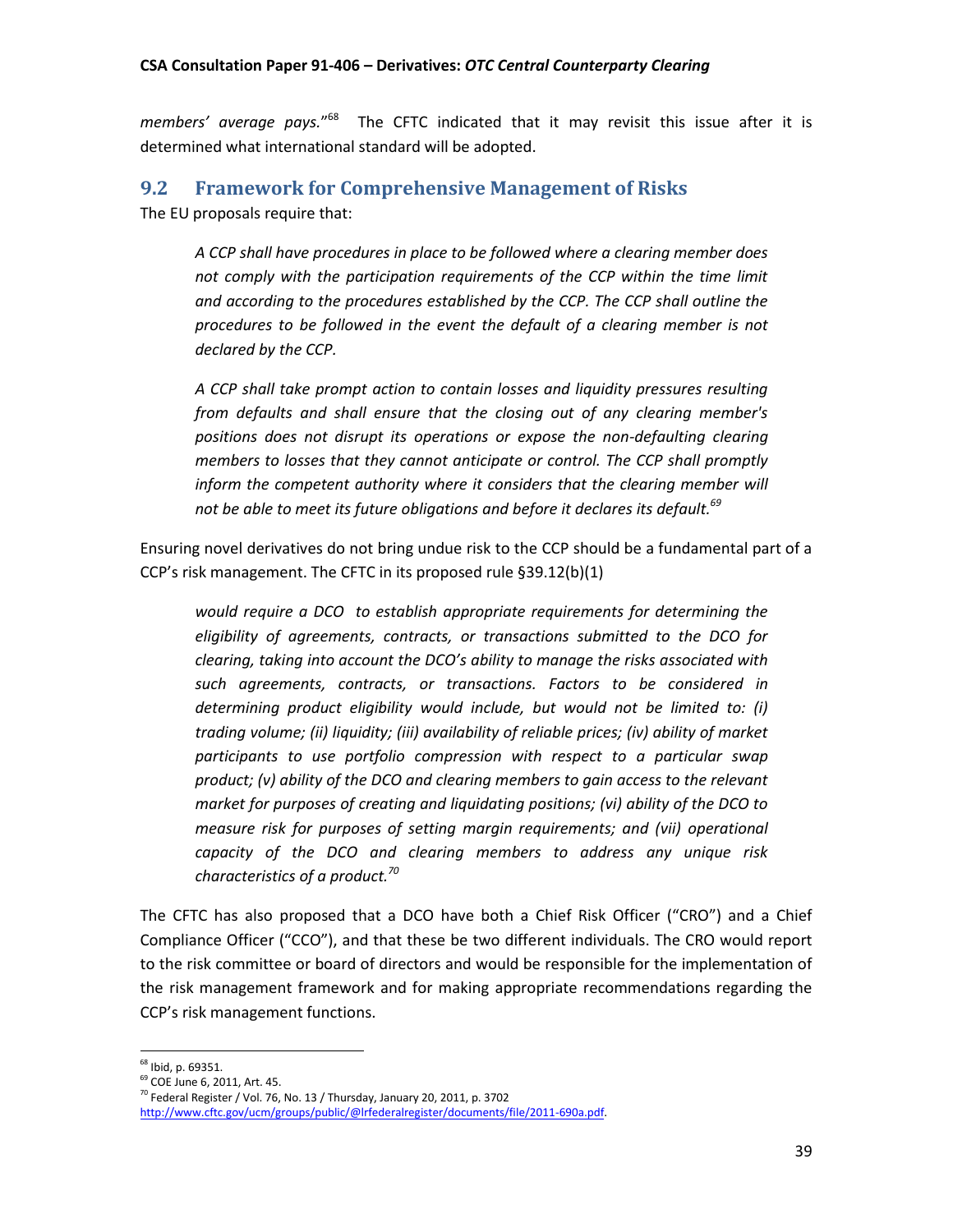*members' average pays.*" 68 The CFTC indicated that it may revisit this issue after it is determined what international standard will be adopted.

# <span id="page-39-0"></span>**9.2 Framework for Comprehensive Management of Risks**

The EU proposals require that:

*A CCP shall have procedures in place to be followed where a clearing member does not comply with the participation requirements of the CCP within the time limit and according to the procedures established by the CCP. The CCP shall outline the procedures to be followed in the event the default of a clearing member is not declared by the CCP.* 

*A CCP shall take prompt action to contain losses and liquidity pressures resulting from defaults and shall ensure that the closing out of any clearing member's positions does not disrupt its operations or expose the non-defaulting clearing members to losses that they cannot anticipate or control. The CCP shall promptly inform the competent authority where it considers that the clearing member will not be able to meet its future obligations and before it declares its default. 69*

Ensuring novel derivatives do not bring undue risk to the CCP should be a fundamental part of a CCP's risk management. The CFTC in its proposed rule §39.12(b)(1)

*would require a DCO to establish appropriate requirements for determining the eligibility of agreements, contracts, or transactions submitted to the DCO for clearing, taking into account the DCO's ability to manage the risks associated with such agreements, contracts, or transactions. Factors to be considered in determining product eligibility would include, but would not be limited to: (i) trading volume; (ii) liquidity; (iii) availability of reliable prices; (iv) ability of market participants to use portfolio compression with respect to a particular swap product; (v) ability of the DCO and clearing members to gain access to the relevant market for purposes of creating and liquidating positions; (vi) ability of the DCO to measure risk for purposes of setting margin requirements; and (vii) operational capacity of the DCO and clearing members to address any unique risk characteristics of a product.<sup>70</sup>*

The CFTC has also proposed that a DCO have both a Chief Risk Officer ("CRO") and a Chief Compliance Officer ("CCO"), and that these be two different individuals. The CRO would report to the risk committee or board of directors and would be responsible for the implementation of the risk management framework and for making appropriate recommendations regarding the CCP's risk management functions.

l

<sup>&</sup>lt;sup>68</sup> Ibid, p. 69351.

<sup>69</sup> COE June 6, 2011, Art. 45.

 $70$  Federal Register / Vol. 76, No. 13 / Thursday, January 20, 2011, p. 3702 [http://www.cftc.gov/ucm/groups/public/@lrfederalregister/documents/file/2011-690a.pdf.](http://www.cftc.gov/ucm/groups/public/@lrfederalregister/documents/file/2011-690a.pdf)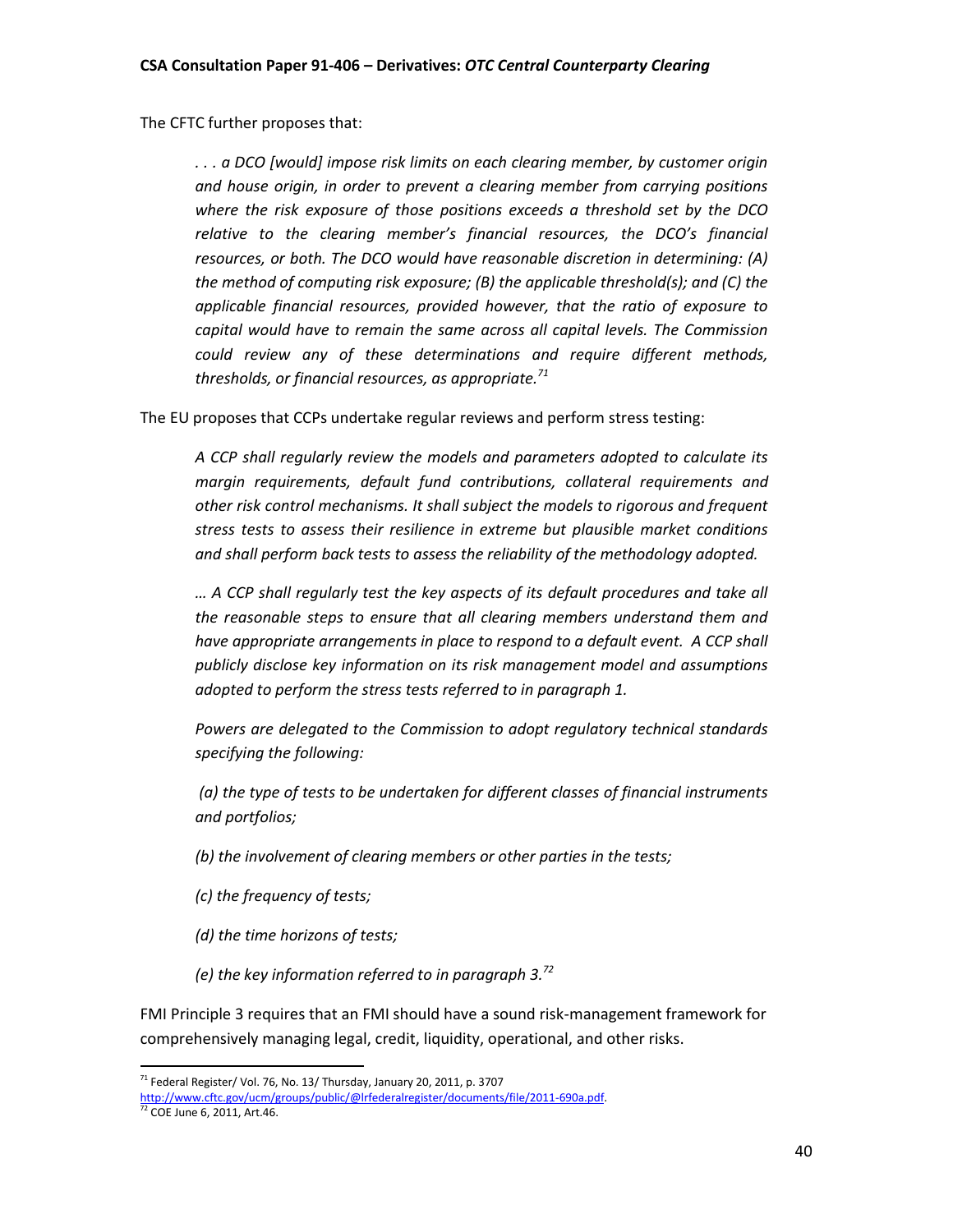The CFTC further proposes that:

*. . . a DCO [would] impose risk limits on each clearing member, by customer origin and house origin, in order to prevent a clearing member from carrying positions where the risk exposure of those positions exceeds a threshold set by the DCO relative to the clearing member's financial resources, the DCO's financial resources, or both. The DCO would have reasonable discretion in determining: (A) the method of computing risk exposure; (B) the applicable threshold(s); and (C) the applicable financial resources, provided however, that the ratio of exposure to capital would have to remain the same across all capital levels. The Commission could review any of these determinations and require different methods, thresholds, or financial resources, as appropriate.<sup>71</sup>*

The EU proposes that CCPs undertake regular reviews and perform stress testing:

*A CCP shall regularly review the models and parameters adopted to calculate its margin requirements, default fund contributions, collateral requirements and other risk control mechanisms. It shall subject the models to rigorous and frequent stress tests to assess their resilience in extreme but plausible market conditions and shall perform back tests to assess the reliability of the methodology adopted.* 

*… A CCP shall regularly test the key aspects of its default procedures and take all the reasonable steps to ensure that all clearing members understand them and have appropriate arrangements in place to respond to a default event. A CCP shall publicly disclose key information on its risk management model and assumptions adopted to perform the stress tests referred to in paragraph 1.*

*Powers are delegated to the Commission to adopt regulatory technical standards specifying the following:*

*(a) the type of tests to be undertaken for different classes of financial instruments and portfolios;*

*(b) the involvement of clearing members or other parties in the tests;*

*(c) the frequency of tests;*

*(d) the time horizons of tests;*

*(e) the key information referred to in paragraph 3.<sup>72</sup>*

FMI Principle 3 requires that an FMI should have a sound risk-management framework for comprehensively managing legal, credit, liquidity, operational, and other risks.

l

 $71$  Federal Register/ Vol. 76, No. 13/ Thursday, January 20, 2011, p. 3707

[http://www.cftc.gov/ucm/groups/public/@lrfederalregister/documents/file/2011-690a.pdf.](http://www.cftc.gov/ucm/groups/public/@lrfederalregister/documents/file/2011-690a.pdf)

 $72$  COE June 6, 2011, Art.46.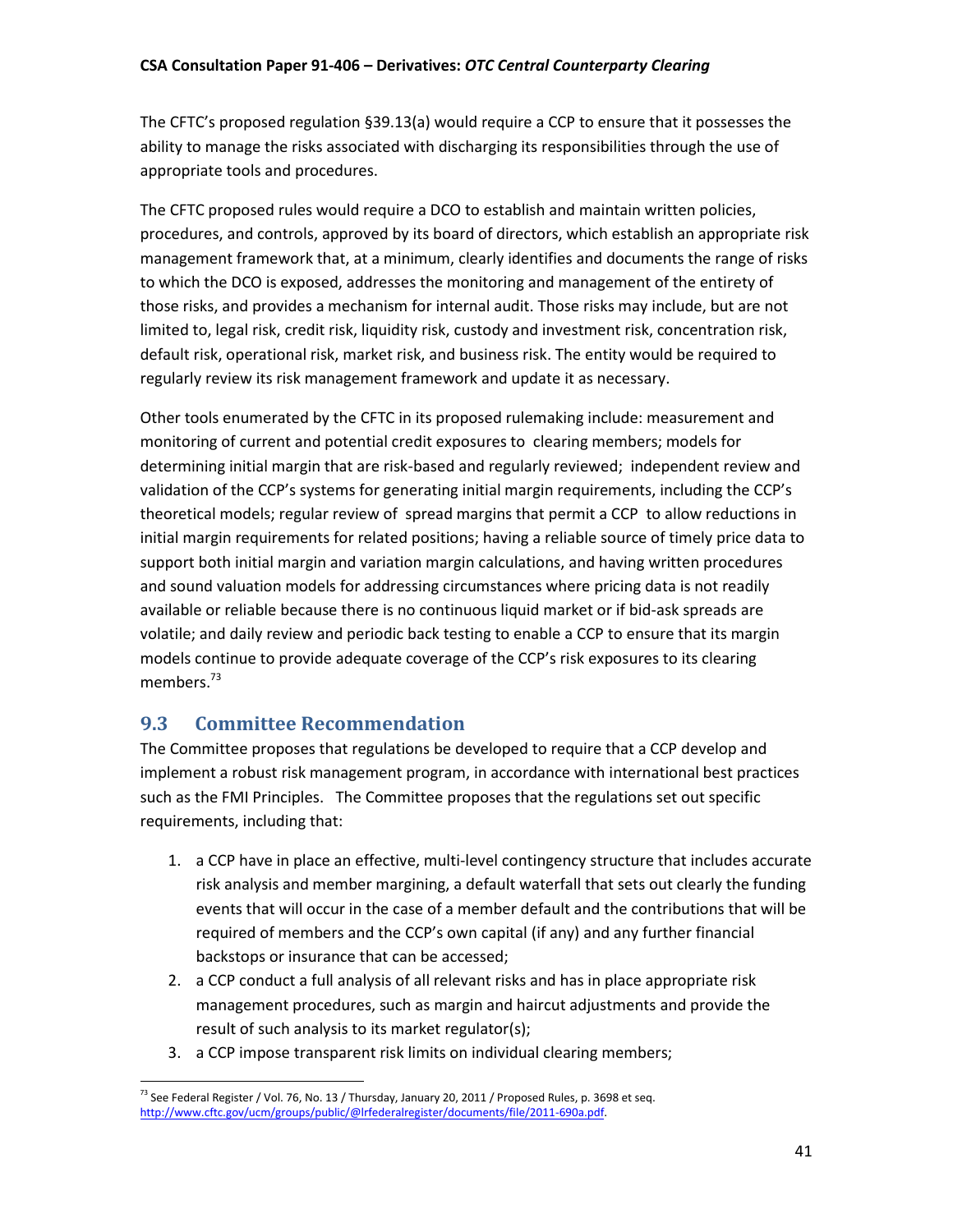The CFTC's proposed regulation §39.13(a) would require a CCP to ensure that it possesses the ability to manage the risks associated with discharging its responsibilities through the use of appropriate tools and procedures.

The CFTC proposed rules would require a DCO to establish and maintain written policies, procedures, and controls, approved by its board of directors, which establish an appropriate risk management framework that, at a minimum, clearly identifies and documents the range of risks to which the DCO is exposed, addresses the monitoring and management of the entirety of those risks, and provides a mechanism for internal audit. Those risks may include, but are not limited to, legal risk, credit risk, liquidity risk, custody and investment risk, concentration risk, default risk, operational risk, market risk, and business risk. The entity would be required to regularly review its risk management framework and update it as necessary.

Other tools enumerated by the CFTC in its proposed rulemaking include: measurement and monitoring of current and potential credit exposures to clearing members; models for determining initial margin that are risk-based and regularly reviewed; independent review and validation of the CCP's systems for generating initial margin requirements, including the CCP's theoretical models; regular review of spread margins that permit a CCP to allow reductions in initial margin requirements for related positions; having a reliable source of timely price data to support both initial margin and variation margin calculations, and having written procedures and sound valuation models for addressing circumstances where pricing data is not readily available or reliable because there is no continuous liquid market or if bid-ask spreads are volatile; and daily review and periodic back testing to enable a CCP to ensure that its margin models continue to provide adequate coverage of the CCP's risk exposures to its clearing members.<sup>73</sup>

# <span id="page-41-0"></span>**9.3 Committee Recommendation**

The Committee proposes that regulations be developed to require that a CCP develop and implement a robust risk management program, in accordance with international best practices such as the FMI Principles. The Committee proposes that the regulations set out specific requirements, including that:

- 1. a CCP have in place an effective, multi-level contingency structure that includes accurate risk analysis and member margining, a default waterfall that sets out clearly the funding events that will occur in the case of a member default and the contributions that will be required of members and the CCP's own capital (if any) and any further financial backstops or insurance that can be accessed;
- 2. a CCP conduct a full analysis of all relevant risks and has in place appropriate risk management procedures, such as margin and haircut adjustments and provide the result of such analysis to its market regulator(s);
- 3. a CCP impose transparent risk limits on individual clearing members;

 $\overline{a}$  $^{73}$  See Federal Register / Vol. 76, No. 13 / Thursday, January 20, 2011 / Proposed Rules, p. 3698 et seq. [http://www.cftc.gov/ucm/groups/public/@lrfederalregister/documents/file/2011-690a.pdf.](http://www.cftc.gov/ucm/groups/public/@lrfederalregister/documents/file/2011-690a.pdf)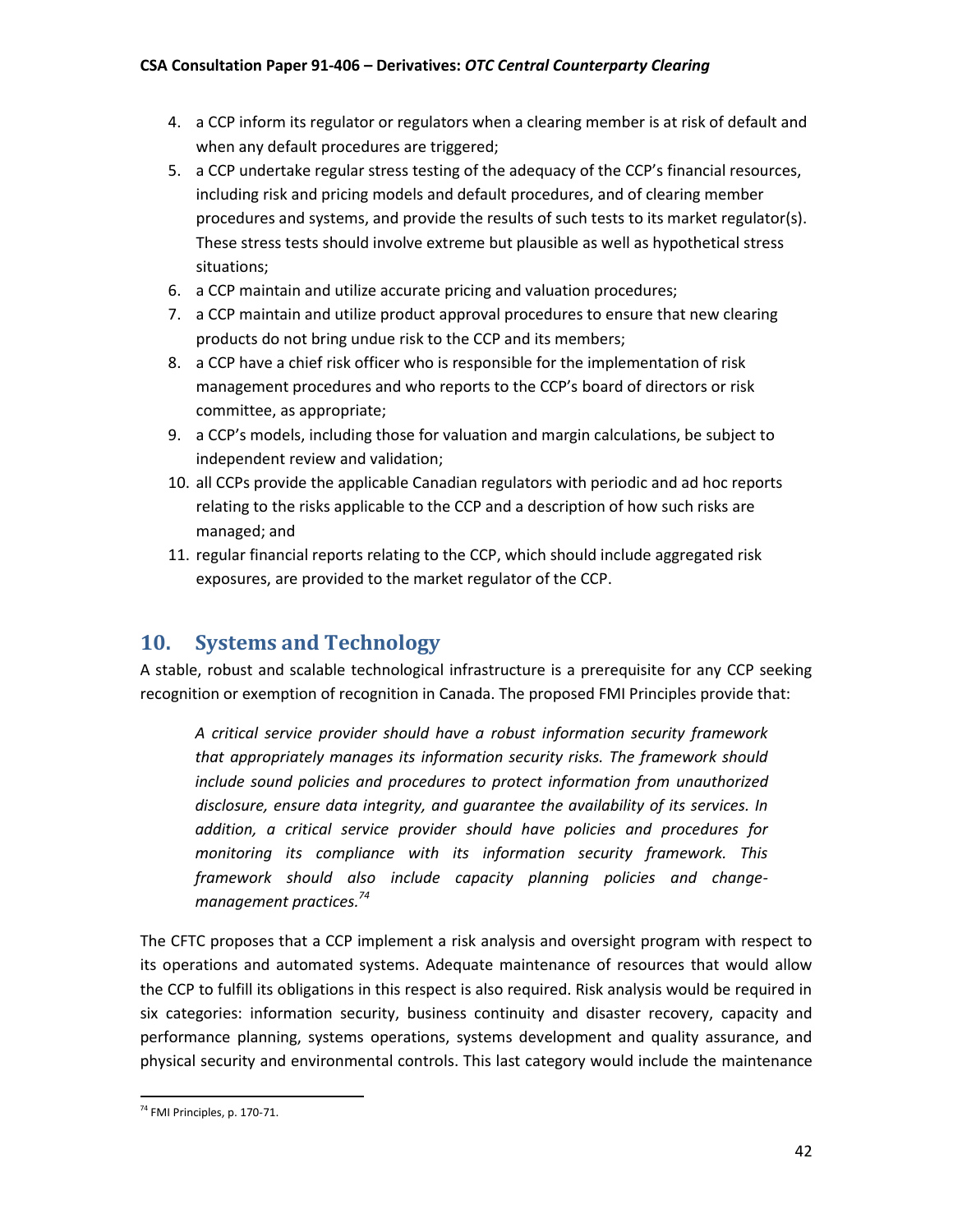- 4. a CCP inform its regulator or regulators when a clearing member is at risk of default and when any default procedures are triggered;
- 5. a CCP undertake regular stress testing of the adequacy of the CCP's financial resources, including risk and pricing models and default procedures, and of clearing member procedures and systems, and provide the results of such tests to its market regulator(s). These stress tests should involve extreme but plausible as well as hypothetical stress situations;
- 6. a CCP maintain and utilize accurate pricing and valuation procedures;
- 7. a CCP maintain and utilize product approval procedures to ensure that new clearing products do not bring undue risk to the CCP and its members;
- 8. a CCP have a chief risk officer who is responsible for the implementation of risk management procedures and who reports to the CCP's board of directors or risk committee, as appropriate;
- 9. a CCP's models, including those for valuation and margin calculations, be subject to independent review and validation;
- 10. all CCPs provide the applicable Canadian regulators with periodic and ad hoc reports relating to the risks applicable to the CCP and a description of how such risks are managed; and
- 11. regular financial reports relating to the CCP, which should include aggregated risk exposures, are provided to the market regulator of the CCP.

# <span id="page-42-0"></span>**10. Systems and Technology**

A stable, robust and scalable technological infrastructure is a prerequisite for any CCP seeking recognition or exemption of recognition in Canada. The proposed FMI Principles provide that:

*A critical service provider should have a robust information security framework that appropriately manages its information security risks. The framework should include sound policies and procedures to protect information from unauthorized disclosure, ensure data integrity, and guarantee the availability of its services. In addition, a critical service provider should have policies and procedures for monitoring its compliance with its information security framework. This framework should also include capacity planning policies and changemanagement practices.<sup>74</sup>*

The CFTC proposes that a CCP implement a risk analysis and oversight program with respect to its operations and automated systems. Adequate maintenance of resources that would allow the CCP to fulfill its obligations in this respect is also required. Risk analysis would be required in six categories: information security, business continuity and disaster recovery, capacity and performance planning, systems operations, systems development and quality assurance, and physical security and environmental controls. This last category would include the maintenance

 $\overline{\phantom{a}}$ <sup>74</sup> FMI Principles, p. 170-71.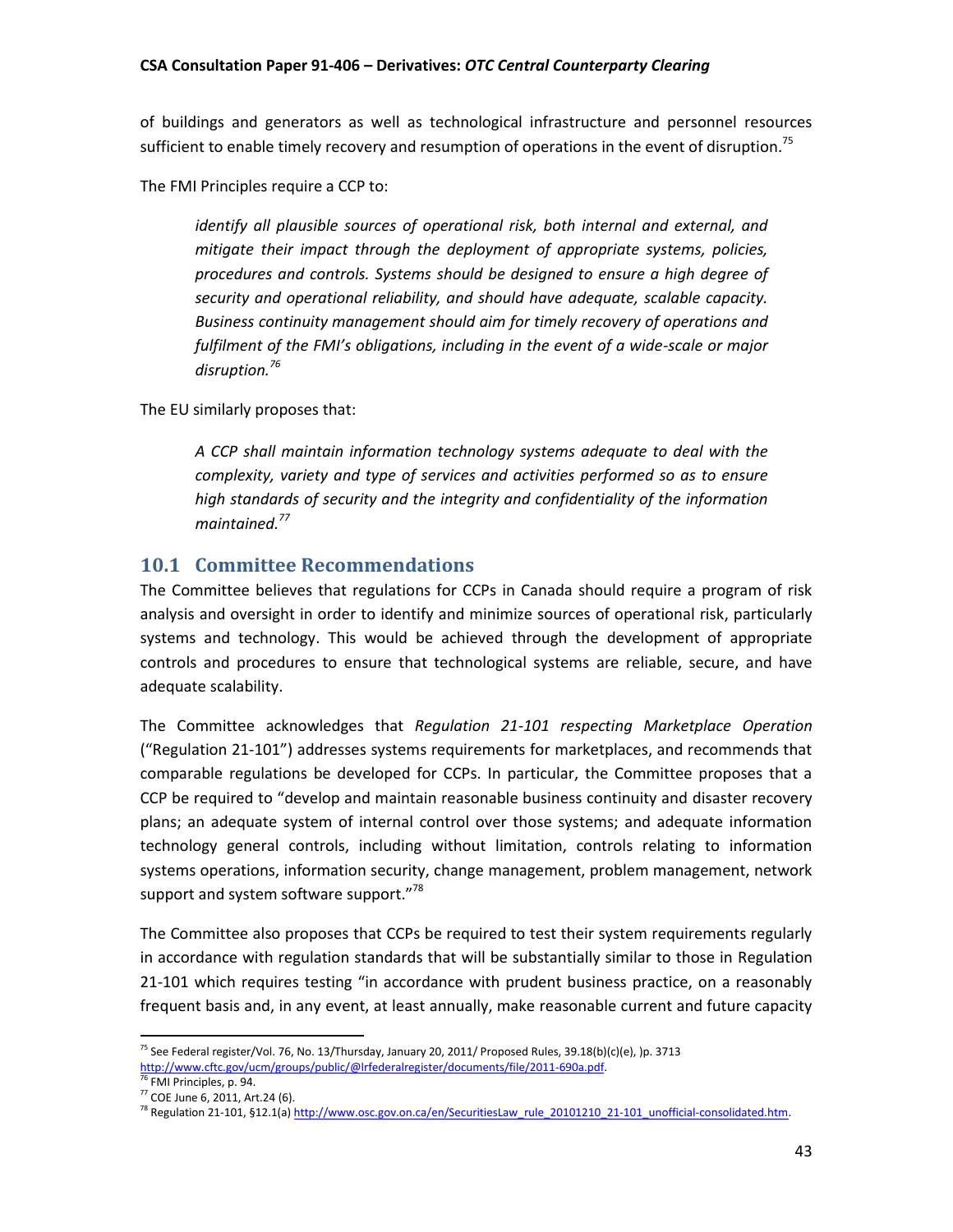of buildings and generators as well as technological infrastructure and personnel resources sufficient to enable timely recovery and resumption of operations in the event of disruption.<sup>75</sup>

The FMI Principles require a CCP to:

*identify all plausible sources of operational risk, both internal and external, and mitigate their impact through the deployment of appropriate systems, policies, procedures and controls. Systems should be designed to ensure a high degree of security and operational reliability, and should have adequate, scalable capacity. Business continuity management should aim for timely recovery of operations and fulfilment of the FMI's obligations, including in the event of a wide-scale or major disruption.<sup>76</sup>*

The EU similarly proposes that:

*A CCP shall maintain information technology systems adequate to deal with the complexity, variety and type of services and activities performed so as to ensure high standards of security and the integrity and confidentiality of the information maintained.<sup>77</sup>*

# <span id="page-43-0"></span>**10.1 Committee Recommendations**

The Committee believes that regulations for CCPs in Canada should require a program of risk analysis and oversight in order to identify and minimize sources of operational risk, particularly systems and technology. This would be achieved through the development of appropriate controls and procedures to ensure that technological systems are reliable, secure, and have adequate scalability.

The Committee acknowledges that *Regulation 21-101 respecting Marketplace Operation*  ("Regulation 21-101") addresses systems requirements for marketplaces, and recommends that comparable regulations be developed for CCPs. In particular, the Committee proposes that a CCP be required to "develop and maintain reasonable business continuity and disaster recovery plans; an adequate system of internal control over those systems; and adequate information technology general controls, including without limitation, controls relating to information systems operations, information security, change management, problem management, network support and system software support."<sup>78</sup>

The Committee also proposes that CCPs be required to test their system requirements regularly in accordance with regulation standards that will be substantially similar to those in Regulation 21-101 which requires testing "in accordance with prudent business practice, on a reasonably frequent basis and, in any event, at least annually, make reasonable current and future capacity

 $\overline{a}$ 

<sup>&</sup>lt;sup>75</sup> See Federal register/Vol. 76, No. 13/Thursday, January 20, 2011/ Proposed Rules, 39.18(b)(c)(e), )p. 3713 [http://www.cftc.gov/ucm/groups/public/@lrfederalregister/documents/file/2011-690a.pdf.](http://www.cftc.gov/ucm/groups/public/@lrfederalregister/documents/file/2011-690a.pdf)

<sup>&</sup>lt;sup>76</sup> FMI Principles, p. 94.

<sup>77</sup> COE June 6, 2011, Art.24 (6).

<sup>&</sup>lt;sup>78</sup> Regulation 21-101, §12.1(a[\) http://www.osc.gov.on.ca/en/SecuritiesLaw\\_rule\\_20101210\\_21-101\\_unofficial-consolidated.htm.](http://www.osc.gov.on.ca/en/SecuritiesLaw_rule_20101210_21-101_unofficial-consolidated.htm)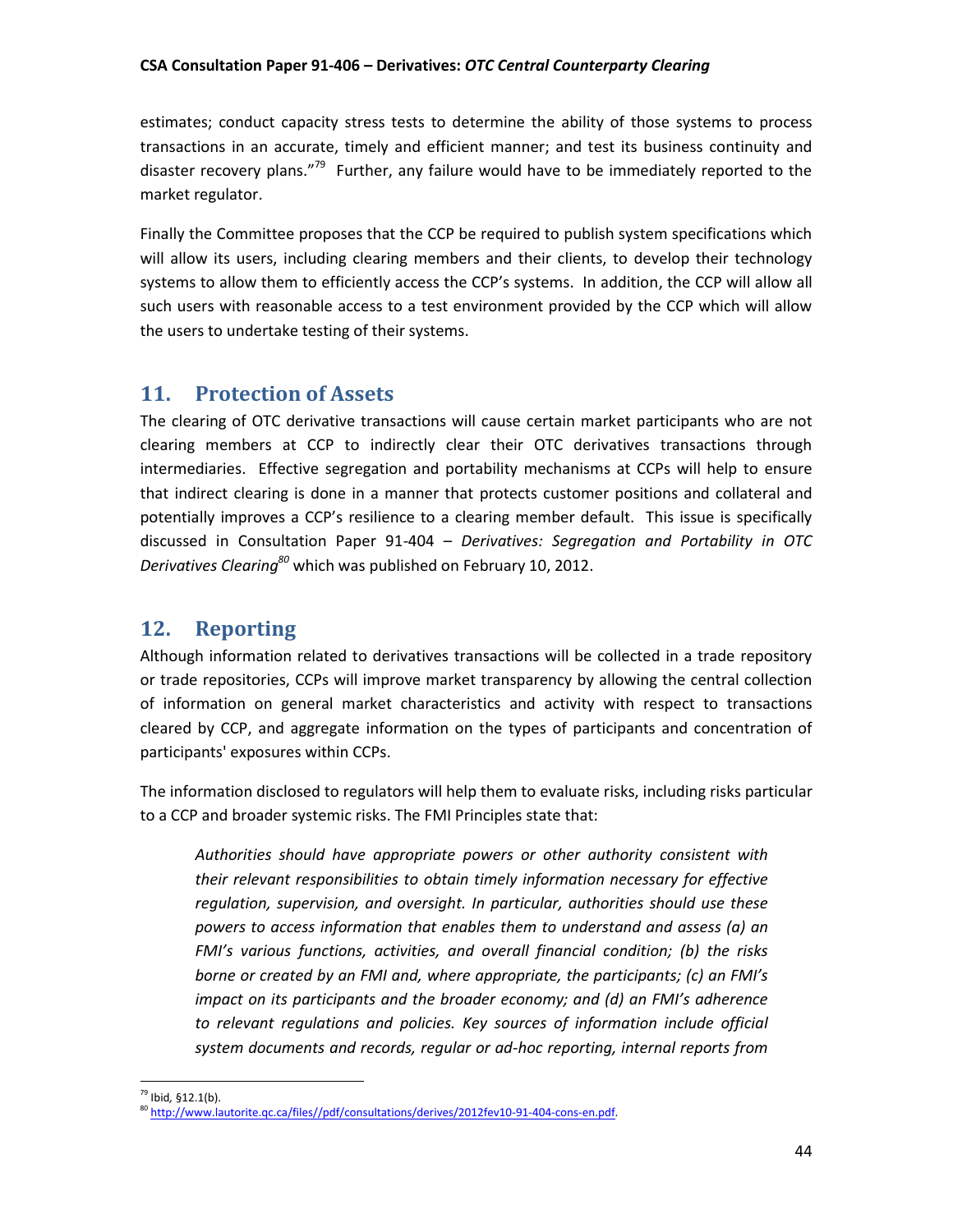estimates; conduct capacity stress tests to determine the ability of those systems to process transactions in an accurate, timely and efficient manner; and test its business continuity and disaster recovery plans."<sup>79</sup> Further, any failure would have to be immediately reported to the market regulator.

Finally the Committee proposes that the CCP be required to publish system specifications which will allow its users, including clearing members and their clients, to develop their technology systems to allow them to efficiently access the CCP's systems. In addition, the CCP will allow all such users with reasonable access to a test environment provided by the CCP which will allow the users to undertake testing of their systems.

# <span id="page-44-0"></span>**11. Protection of Assets**

The clearing of OTC derivative transactions will cause certain market participants who are not clearing members at CCP to indirectly clear their OTC derivatives transactions through intermediaries. Effective segregation and portability mechanisms at CCPs will help to ensure that indirect clearing is done in a manner that protects customer positions and collateral and potentially improves a CCP's resilience to a clearing member default. This issue is specifically discussed in Consultation Paper 91-404 – *Derivatives: Segregation and Portability in OTC Derivatives Clearing<sup>80</sup>* which was published on February 10, 2012.

# <span id="page-44-1"></span>**12. Reporting**

Although information related to derivatives transactions will be collected in a trade repository or trade repositories, CCPs will improve market transparency by allowing the central collection of information on general market characteristics and activity with respect to transactions cleared by CCP, and aggregate information on the types of participants and concentration of participants' exposures within CCPs.

The information disclosed to regulators will help them to evaluate risks, including risks particular to a CCP and broader systemic risks. The FMI Principles state that:

*Authorities should have appropriate powers or other authority consistent with their relevant responsibilities to obtain timely information necessary for effective regulation, supervision, and oversight. In particular, authorities should use these powers to access information that enables them to understand and assess (a) an FMI's various functions, activities, and overall financial condition; (b) the risks borne or created by an FMI and, where appropriate, the participants; (c) an FMI's impact on its participants and the broader economy; and (d) an FMI's adherence to relevant regulations and policies. Key sources of information include official system documents and records, regular or ad-hoc reporting, internal reports from* 

 $\overline{a}$ <sup>79</sup> Ibid*,* §12.1(b).

<sup>80</sup> [http://www.lautorite.qc.ca/files//pdf/consultations/derives/2012fev10-91-404-cons-en.pdf.](http://www.lautorite.qc.ca/files/pdf/consultations/derives/2012fev10-91-404-cons-en.pdf)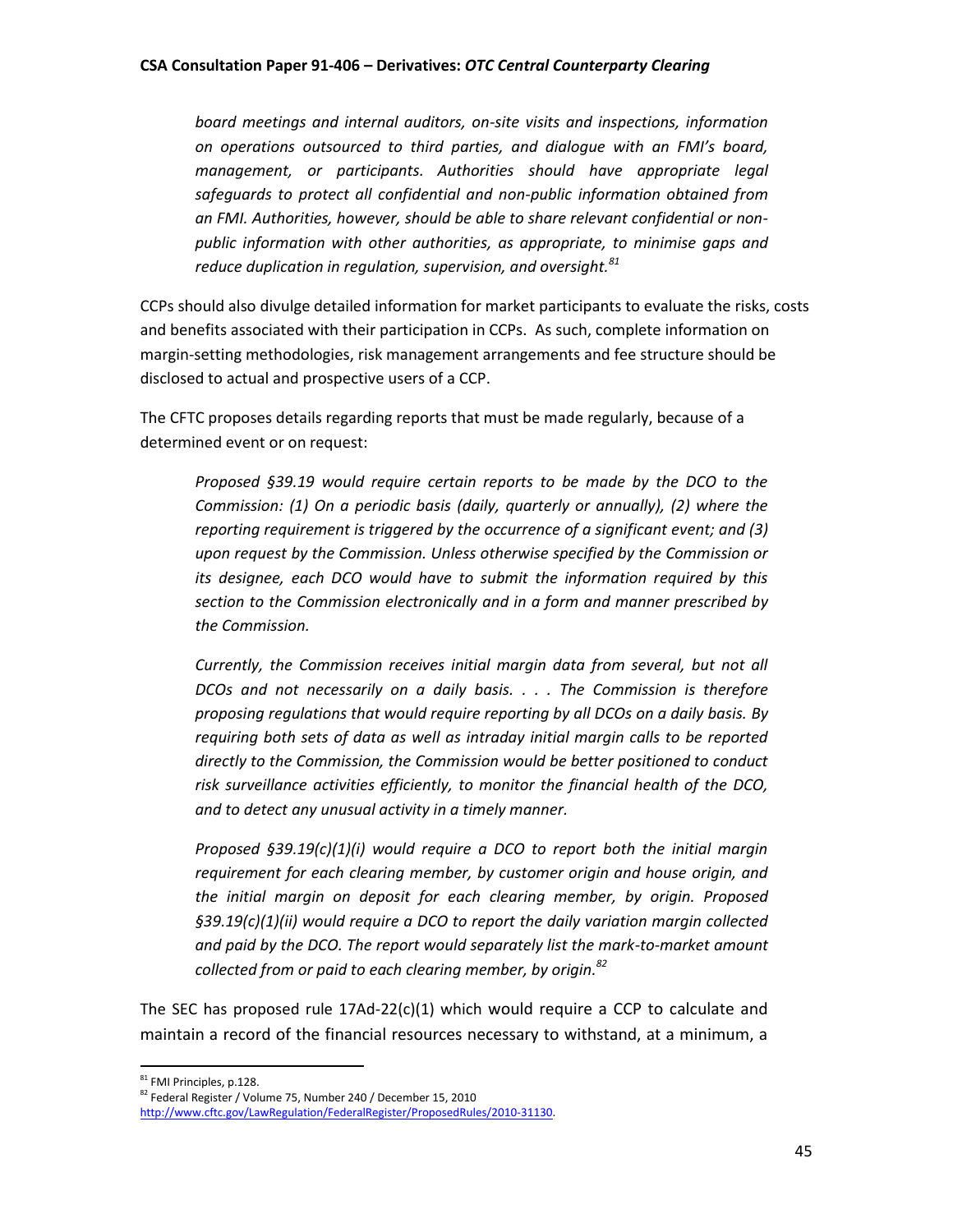*board meetings and internal auditors, on-site visits and inspections, information on operations outsourced to third parties, and dialogue with an FMI's board, management, or participants. Authorities should have appropriate legal safeguards to protect all confidential and non-public information obtained from an FMI. Authorities, however, should be able to share relevant confidential or nonpublic information with other authorities, as appropriate, to minimise gaps and reduce duplication in regulation, supervision, and oversight.<sup>81</sup>*

CCPs should also divulge detailed information for market participants to evaluate the risks, costs and benefits associated with their participation in CCPs. As such, complete information on margin-setting methodologies, risk management arrangements and fee structure should be disclosed to actual and prospective users of a CCP.

The CFTC proposes details regarding reports that must be made regularly, because of a determined event or on request:

*Proposed §39.19 would require certain reports to be made by the DCO to the Commission: (1) On a periodic basis (daily, quarterly or annually), (2) where the reporting requirement is triggered by the occurrence of a significant event; and (3) upon request by the Commission. Unless otherwise specified by the Commission or its designee, each DCO would have to submit the information required by this section to the Commission electronically and in a form and manner prescribed by the Commission.*

*Currently, the Commission receives initial margin data from several, but not all DCOs and not necessarily on a daily basis. . . . The Commission is therefore proposing regulations that would require reporting by all DCOs on a daily basis. By requiring both sets of data as well as intraday initial margin calls to be reported directly to the Commission, the Commission would be better positioned to conduct risk surveillance activities efficiently, to monitor the financial health of the DCO, and to detect any unusual activity in a timely manner.*

*Proposed §39.19(c)(1)(i) would require a DCO to report both the initial margin requirement for each clearing member, by customer origin and house origin, and the initial margin on deposit for each clearing member, by origin. Proposed §39.19(c)(1)(ii) would require a DCO to report the daily variation margin collected and paid by the DCO. The report would separately list the mark-to-market amount collected from or paid to each clearing member, by origin. 82*

The SEC has proposed rule  $17Ad-22(c)(1)$  which would require a CCP to calculate and maintain a record of the financial resources necessary to withstand, at a minimum, a

l

<sup>&</sup>lt;sup>81</sup> FMI Principles, p.128.

<sup>82</sup> Federal Register / Volume 75, Number 240 / December 15, 2010

[http://www.cftc.gov/LawRegulation/FederalRegister/ProposedRules/2010-31130.](http://www.cftc.gov/LawRegulation/FederalRegister/ProposedRules/2010-31130)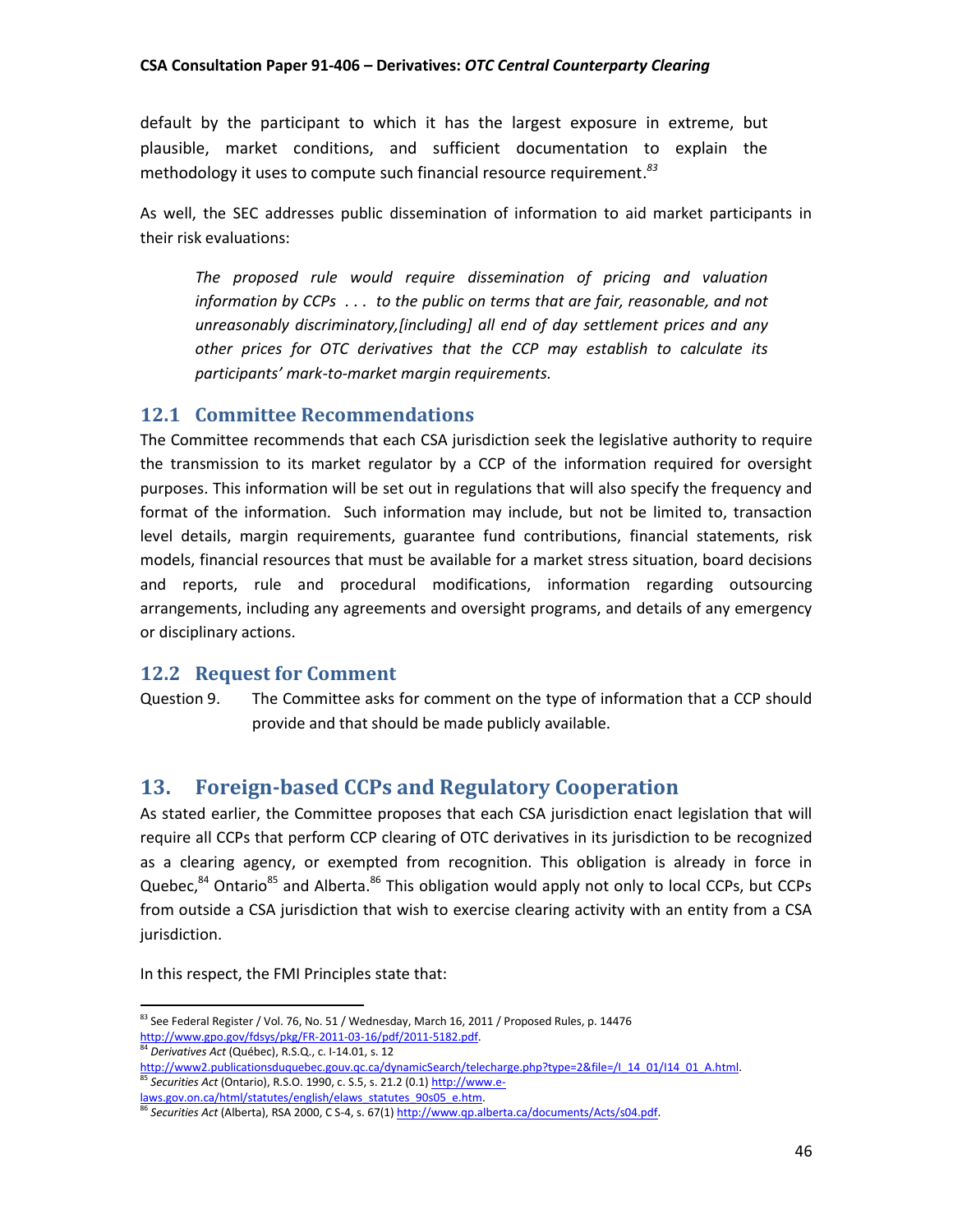default by the participant to which it has the largest exposure in extreme, but plausible, market conditions, and sufficient documentation to explain the methodology it uses to compute such financial resource requirement. *83*

As well, the SEC addresses public dissemination of information to aid market participants in their risk evaluations:

*The proposed rule would require dissemination of pricing and valuation information by CCPs . . . to the public on terms that are fair, reasonable, and not unreasonably discriminatory,[including] all end of day settlement prices and any other prices for OTC derivatives that the CCP may establish to calculate its participants' mark-to-market margin requirements.* 

# <span id="page-46-0"></span>**12.1 Committee Recommendations**

The Committee recommends that each CSA jurisdiction seek the legislative authority to require the transmission to its market regulator by a CCP of the information required for oversight purposes. This information will be set out in regulations that will also specify the frequency and format of the information. Such information may include, but not be limited to, transaction level details, margin requirements, guarantee fund contributions, financial statements, risk models, financial resources that must be available for a market stress situation, board decisions and reports, rule and procedural modifications, information regarding outsourcing arrangements, including any agreements and oversight programs, and details of any emergency or disciplinary actions.

# <span id="page-46-1"></span>**12.2 Request for Comment**

Question 9. The Committee asks for comment on the type of information that a CCP should provide and that should be made publicly available.

# <span id="page-46-2"></span>**13. Foreign-based CCPs and Regulatory Cooperation**

As stated earlier, the Committee proposes that each CSA jurisdiction enact legislation that will require all CCPs that perform CCP clearing of OTC derivatives in its jurisdiction to be recognized as a clearing agency, or exempted from recognition. This obligation is already in force in Quebec,<sup>84</sup> Ontario<sup>85</sup> and Alberta.<sup>86</sup> This obligation would apply not only to local CCPs, but CCPs from outside a CSA jurisdiction that wish to exercise clearing activity with an entity from a CSA jurisdiction.

In this respect, the FMI Principles state that:

 $\overline{\phantom{a}}$ 

<sup>&</sup>lt;sup>83</sup> See Federal Register / Vol. 76, No. 51 / Wednesday, March 16, 2011 / Proposed Rules, p. 14476 [http://www.gpo.gov/fdsys/pkg/FR-2011-03-16/pdf/2011-5182.pdf.](http://www.gpo.gov/fdsys/pkg/FR-2011-03-16/pdf/2011-5182.pdf) <sup>84</sup> *Derivatives Act* (Québec), R.S.Q., c. I-14.01, s. 12

[http://www2.publicationsduquebec.gouv.qc.ca/dynamicSearch/telecharge.php?type=2&file=/I\\_14\\_01/I14\\_01\\_A.html.](http://www2.publicationsduquebec.gouv.qc.ca/dynamicSearch/telecharge.php?type=2&file=/I_14_01/I14_01_A.html) <sup>85</sup> *Securities Act* (Ontario), R.S.O. 1990, c. S.5, s. 21.2 (0.1[\) http://www.e-](http://www.e-laws.gov.on.ca/html/statutes/english/elaws_statutes_90s05_e.htm)

[laws.gov.on.ca/html/statutes/english/elaws\\_statutes\\_90s05\\_e.htm.](http://www.e-laws.gov.on.ca/html/statutes/english/elaws_statutes_90s05_e.htm)

<sup>86</sup> *Securities Act* (Alberta), RSA 2000, C S-4, s. 67(1[\) http://www.qp.alberta.ca/documents/Acts/s04.pdf.](http://www.qp.alberta.ca/documents/Acts/s04.pdf)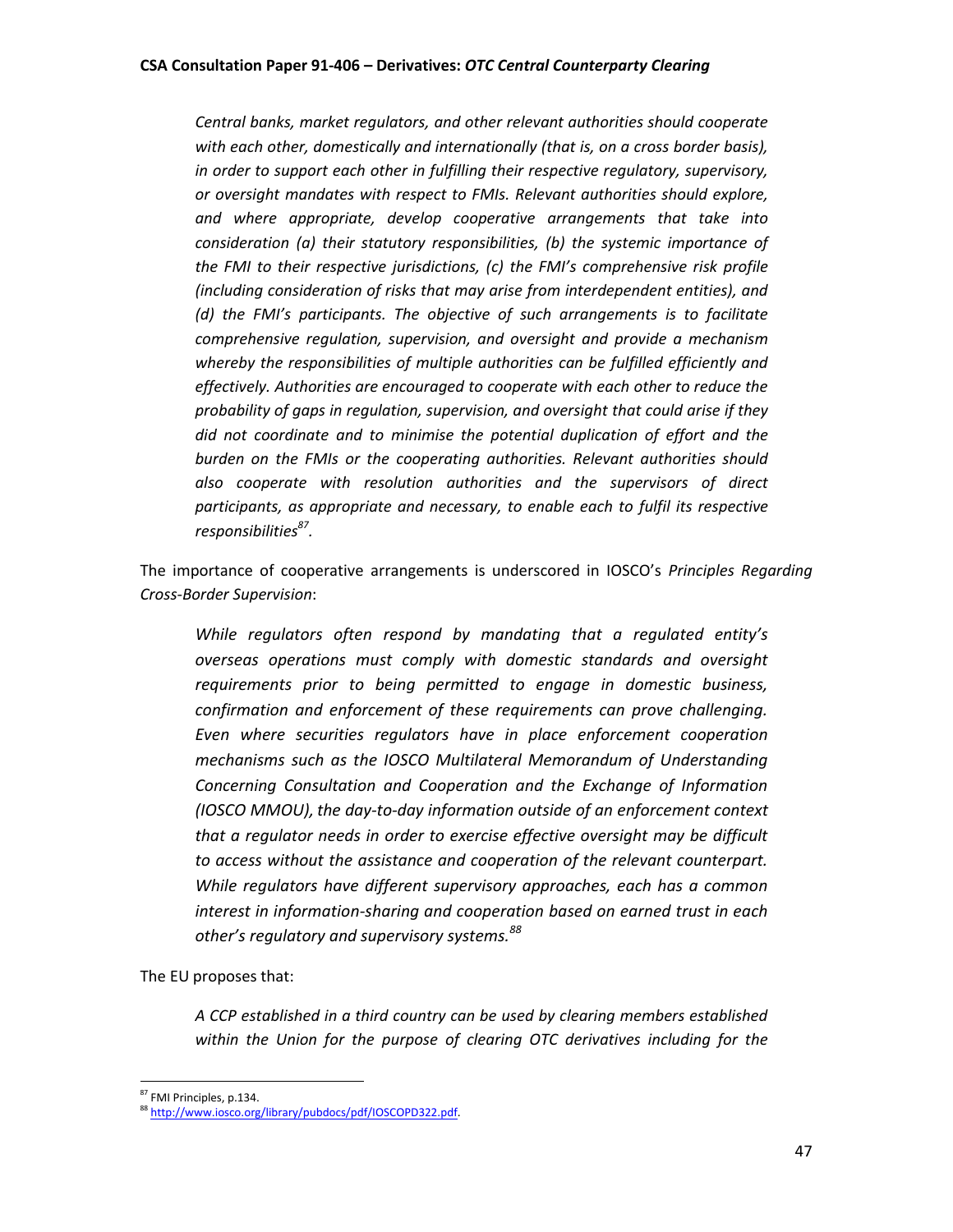*Central banks, market regulators, and other relevant authorities should cooperate with each other, domestically and internationally (that is, on a cross border basis), in order to support each other in fulfilling their respective regulatory, supervisory, or oversight mandates with respect to FMIs. Relevant authorities should explore, and where appropriate, develop cooperative arrangements that take into consideration (a) their statutory responsibilities, (b) the systemic importance of the FMI to their respective jurisdictions, (c) the FMI's comprehensive risk profile (including consideration of risks that may arise from interdependent entities), and (d) the FMI's participants. The objective of such arrangements is to facilitate comprehensive regulation, supervision, and oversight and provide a mechanism whereby the responsibilities of multiple authorities can be fulfilled efficiently and effectively. Authorities are encouraged to cooperate with each other to reduce the probability of gaps in regulation, supervision, and oversight that could arise if they did not coordinate and to minimise the potential duplication of effort and the burden on the FMIs or the cooperating authorities. Relevant authorities should also cooperate with resolution authorities and the supervisors of direct participants, as appropriate and necessary, to enable each to fulfil its respective responsibilities<sup>87</sup> .* 

The importance of cooperative arrangements is underscored in IOSCO's *Principles Regarding Cross-Border Supervision*:

*While regulators often respond by mandating that a regulated entity's overseas operations must comply with domestic standards and oversight requirements prior to being permitted to engage in domestic business, confirmation and enforcement of these requirements can prove challenging. Even where securities regulators have in place enforcement cooperation mechanisms such as the IOSCO Multilateral Memorandum of Understanding Concerning Consultation and Cooperation and the Exchange of Information (IOSCO MMOU), the day-to-day information outside of an enforcement context that a regulator needs in order to exercise effective oversight may be difficult to access without the assistance and cooperation of the relevant counterpart. While regulators have different supervisory approaches, each has a common interest in information-sharing and cooperation based on earned trust in each other's regulatory and supervisory systems.<sup>88</sup>*

The EU proposes that:

*A CCP established in a third country can be used by clearing members established within the Union for the purpose of clearing OTC derivatives including for the* 

 $\overline{a}$ 

<sup>&</sup>lt;sup>87</sup> FMI Principles, p.134.

<sup>88</sup> [http://www.iosco.org/library/pubdocs/pdf/IOSCOPD322.pdf.](http://www.iosco.org/library/pubdocs/pdf/IOSCOPD322.pdf)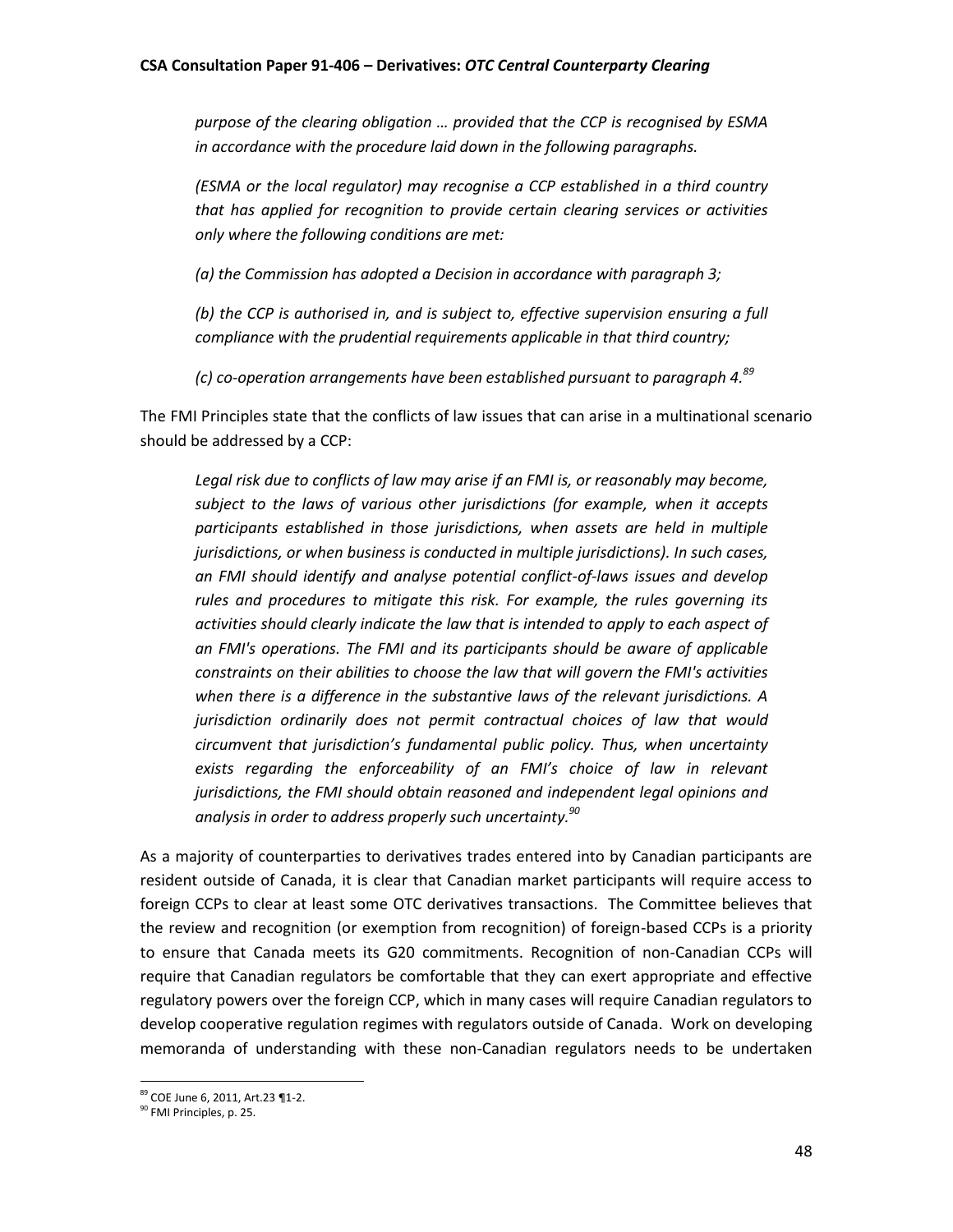*purpose of the clearing obligation … provided that the CCP is recognised by ESMA in accordance with the procedure laid down in the following paragraphs.*

*(ESMA or the local regulator) may recognise a CCP established in a third country that has applied for recognition to provide certain clearing services or activities only where the following conditions are met:*

*(a) the Commission has adopted a Decision in accordance with paragraph 3;*

*(b) the CCP is authorised in, and is subject to, effective supervision ensuring a full compliance with the prudential requirements applicable in that third country;*

*(c) co-operation arrangements have been established pursuant to paragraph 4.<sup>89</sup>*

The FMI Principles state that the conflicts of law issues that can arise in a multinational scenario should be addressed by a CCP:

*Legal risk due to conflicts of law may arise if an FMI is, or reasonably may become, subject to the laws of various other jurisdictions (for example, when it accepts participants established in those jurisdictions, when assets are held in multiple jurisdictions, or when business is conducted in multiple jurisdictions). In such cases, an FMI should identify and analyse potential conflict-of-laws issues and develop rules and procedures to mitigate this risk. For example, the rules governing its activities should clearly indicate the law that is intended to apply to each aspect of an FMI's operations. The FMI and its participants should be aware of applicable constraints on their abilities to choose the law that will govern the FMI's activities when there is a difference in the substantive laws of the relevant jurisdictions. A jurisdiction ordinarily does not permit contractual choices of law that would circumvent that jurisdiction's fundamental public policy. Thus, when uncertainty*  exists regarding the enforceability of an FMI's choice of law in relevant *jurisdictions, the FMI should obtain reasoned and independent legal opinions and analysis in order to address properly such uncertainty. 90*

As a majority of counterparties to derivatives trades entered into by Canadian participants are resident outside of Canada, it is clear that Canadian market participants will require access to foreign CCPs to clear at least some OTC derivatives transactions. The Committee believes that the review and recognition (or exemption from recognition) of foreign-based CCPs is a priority to ensure that Canada meets its G20 commitments. Recognition of non-Canadian CCPs will require that Canadian regulators be comfortable that they can exert appropriate and effective regulatory powers over the foreign CCP, which in many cases will require Canadian regulators to develop cooperative regulation regimes with regulators outside of Canada. Work on developing memoranda of understanding with these non-Canadian regulators needs to be undertaken

 $\overline{a}$ 

<sup>89</sup> COE June 6, 2011, Art.23 ¶1-2.

<sup>90</sup> FMI Principles, p. 25.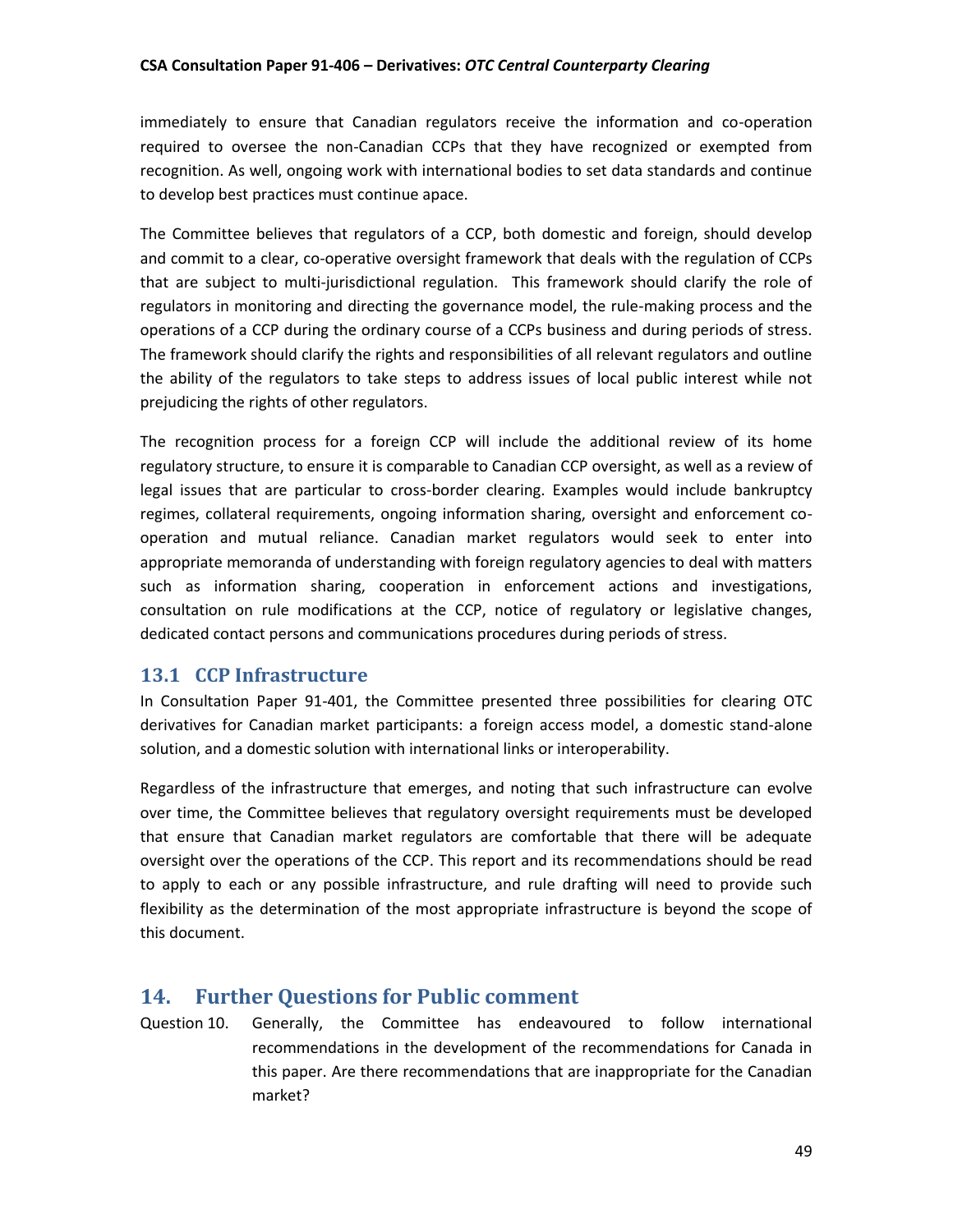immediately to ensure that Canadian regulators receive the information and co-operation required to oversee the non-Canadian CCPs that they have recognized or exempted from recognition. As well, ongoing work with international bodies to set data standards and continue to develop best practices must continue apace.

The Committee believes that regulators of a CCP, both domestic and foreign, should develop and commit to a clear, co-operative oversight framework that deals with the regulation of CCPs that are subject to multi-jurisdictional regulation. This framework should clarify the role of regulators in monitoring and directing the governance model, the rule-making process and the operations of a CCP during the ordinary course of a CCPs business and during periods of stress. The framework should clarify the rights and responsibilities of all relevant regulators and outline the ability of the regulators to take steps to address issues of local public interest while not prejudicing the rights of other regulators.

The recognition process for a foreign CCP will include the additional review of its home regulatory structure, to ensure it is comparable to Canadian CCP oversight, as well as a review of legal issues that are particular to cross-border clearing. Examples would include bankruptcy regimes, collateral requirements, ongoing information sharing, oversight and enforcement cooperation and mutual reliance. Canadian market regulators would seek to enter into appropriate memoranda of understanding with foreign regulatory agencies to deal with matters such as information sharing, cooperation in enforcement actions and investigations, consultation on rule modifications at the CCP, notice of regulatory or legislative changes, dedicated contact persons and communications procedures during periods of stress.

# <span id="page-49-0"></span>**13.1 CCP Infrastructure**

In Consultation Paper 91-401, the Committee presented three possibilities for clearing OTC derivatives for Canadian market participants: a foreign access model, a domestic stand-alone solution, and a domestic solution with international links or interoperability.

Regardless of the infrastructure that emerges, and noting that such infrastructure can evolve over time, the Committee believes that regulatory oversight requirements must be developed that ensure that Canadian market regulators are comfortable that there will be adequate oversight over the operations of the CCP. This report and its recommendations should be read to apply to each or any possible infrastructure, and rule drafting will need to provide such flexibility as the determination of the most appropriate infrastructure is beyond the scope of this document.

# <span id="page-49-1"></span>**14. Further Questions for Public comment**

Question 10. Generally, the Committee has endeavoured to follow international recommendations in the development of the recommendations for Canada in this paper. Are there recommendations that are inappropriate for the Canadian market?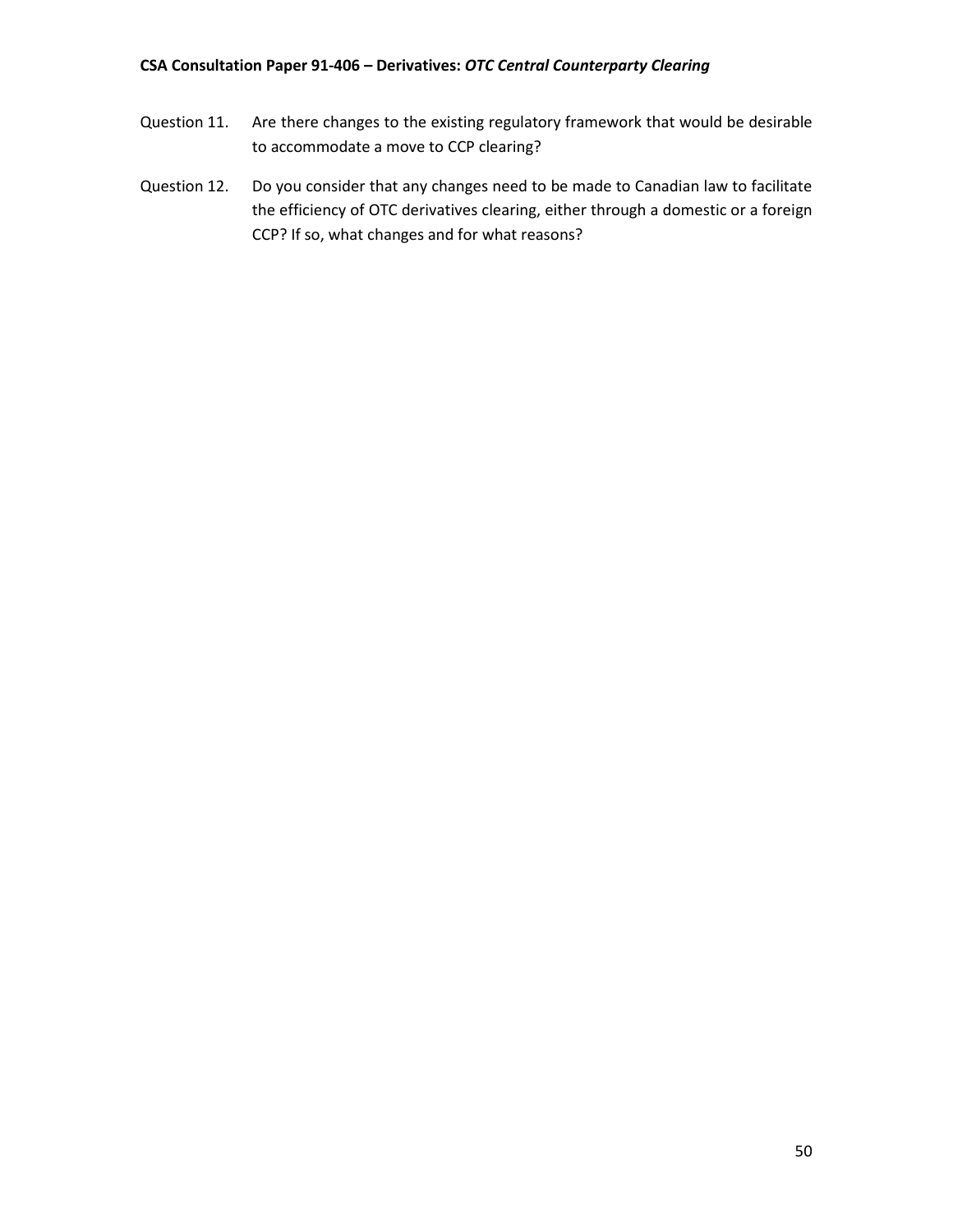- Question 11. Are there changes to the existing regulatory framework that would be desirable to accommodate a move to CCP clearing?
- Question 12. Do you consider that any changes need to be made to Canadian law to facilitate the efficiency of OTC derivatives clearing, either through a domestic or a foreign CCP? If so, what changes and for what reasons?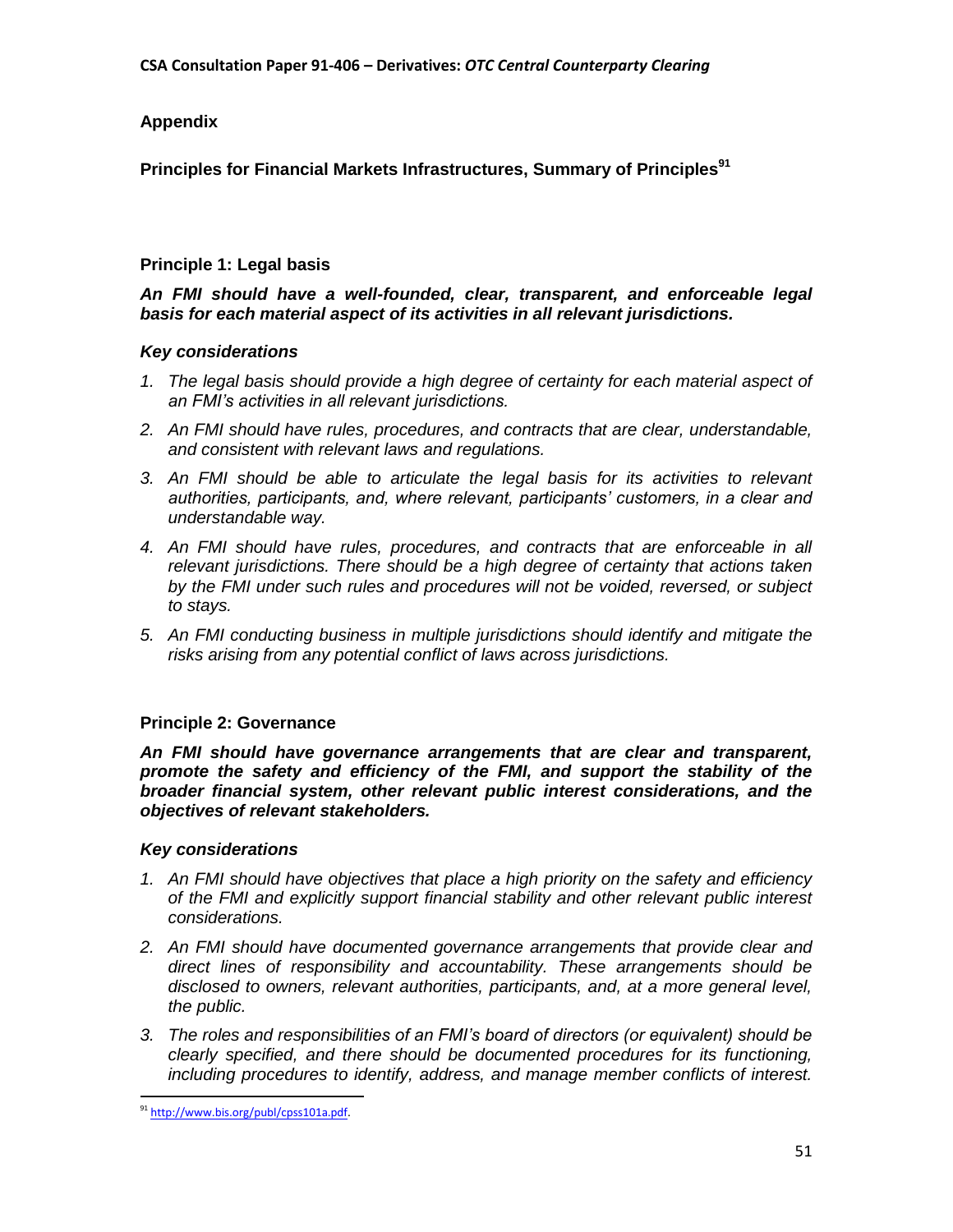# **Appendix**

**Principles for Financial Markets Infrastructures, Summary of Principles<sup>91</sup>**

# **Principle 1: Legal basis**

## *An FMI should have a well-founded, clear, transparent, and enforceable legal basis for each material aspect of its activities in all relevant jurisdictions.*

# *Key considerations*

- 1. The legal basis should provide a high degree of certainty for each material aspect of *an FMI's activities in all relevant jurisdictions.*
- *2. An FMI should have rules, procedures, and contracts that are clear, understandable, and consistent with relevant laws and regulations.*
- *3. An FMI should be able to articulate the legal basis for its activities to relevant authorities, participants, and, where relevant, participants' customers, in a clear and understandable way.*
- *4. An FMI should have rules, procedures, and contracts that are enforceable in all relevant jurisdictions. There should be a high degree of certainty that actions taken by the FMI under such rules and procedures will not be voided, reversed, or subject to stays.*
- *5. An FMI conducting business in multiple jurisdictions should identify and mitigate the risks arising from any potential conflict of laws across jurisdictions.*

# **Principle 2: Governance**

*An FMI should have governance arrangements that are clear and transparent, promote the safety and efficiency of the FMI, and support the stability of the broader financial system, other relevant public interest considerations, and the objectives of relevant stakeholders.* 

- *1. An FMI should have objectives that place a high priority on the safety and efficiency of the FMI and explicitly support financial stability and other relevant public interest considerations.*
- *2. An FMI should have documented governance arrangements that provide clear and direct lines of responsibility and accountability. These arrangements should be disclosed to owners, relevant authorities, participants, and, at a more general level, the public.*
- *3. The roles and responsibilities of an FMI's board of directors (or equivalent) should be clearly specified, and there should be documented procedures for its functioning, including procedures to identify, address, and manage member conflicts of interest.*

 $\overline{\phantom{a}}$ <sup>91</sup> [http://www.bis.org/publ/cpss101a.pdf.](http://www.bis.org/publ/cpss101a.pdf)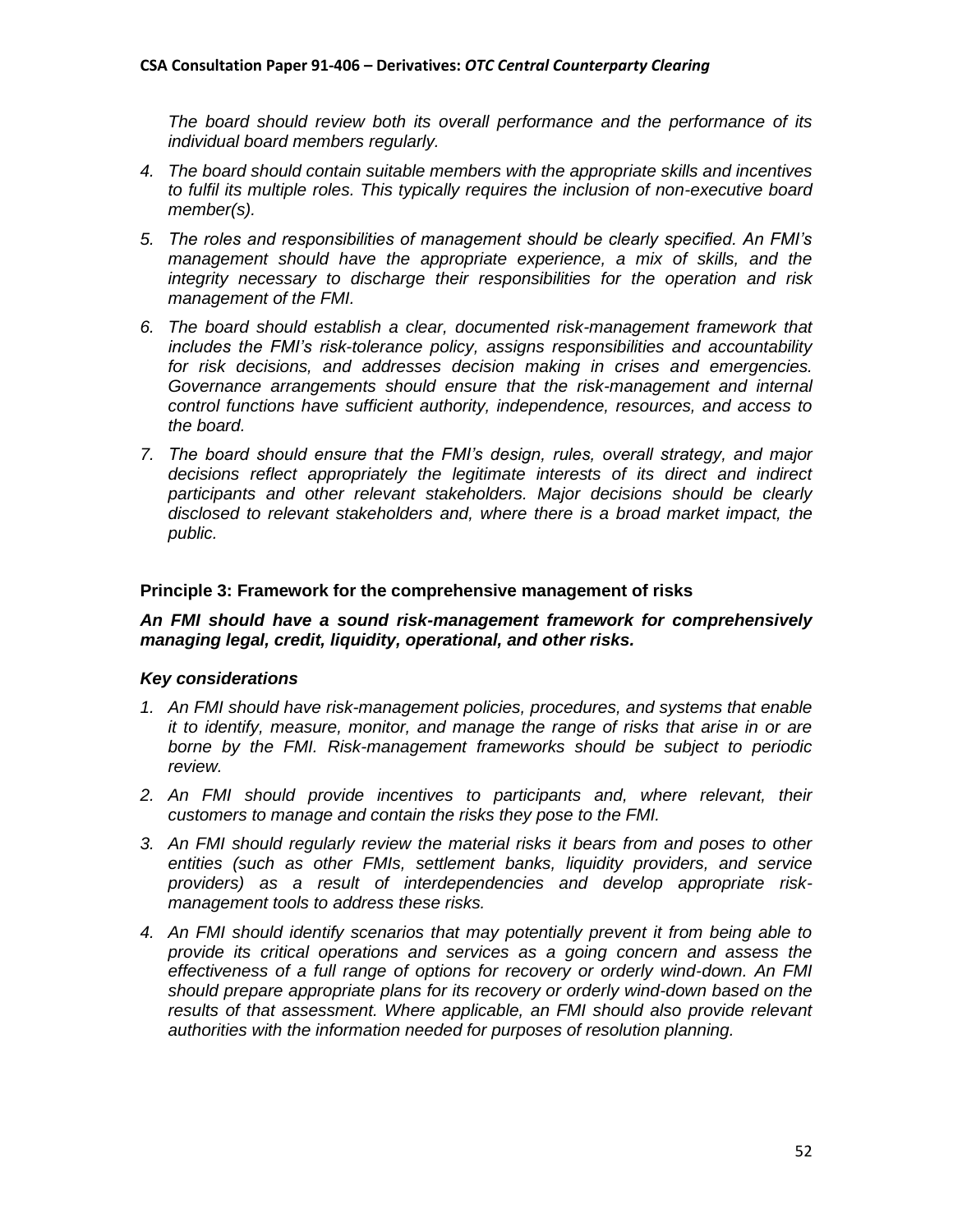*The board should review both its overall performance and the performance of its individual board members regularly.* 

- *4. The board should contain suitable members with the appropriate skills and incentives to fulfil its multiple roles. This typically requires the inclusion of non-executive board member(s).*
- *5. The roles and responsibilities of management should be clearly specified. An FMI's management should have the appropriate experience, a mix of skills, and the integrity necessary to discharge their responsibilities for the operation and risk management of the FMI.*
- *6. The board should establish a clear, documented risk-management framework that includes the FMI's risk-tolerance policy, assigns responsibilities and accountability for risk decisions, and addresses decision making in crises and emergencies.*  Governance arrangements should ensure that the risk-management and internal *control functions have sufficient authority, independence, resources, and access to the board.*
- *7. The board should ensure that the FMI's design, rules, overall strategy, and major decisions reflect appropriately the legitimate interests of its direct and indirect participants and other relevant stakeholders. Major decisions should be clearly disclosed to relevant stakeholders and, where there is a broad market impact, the public.*

## **Principle 3: Framework for the comprehensive management of risks**

## *An FMI should have a sound risk-management framework for comprehensively managing legal, credit, liquidity, operational, and other risks.*

- *1. An FMI should have risk-management policies, procedures, and systems that enable it to identify, measure, monitor, and manage the range of risks that arise in or are borne by the FMI. Risk-management frameworks should be subject to periodic review.*
- *2. An FMI should provide incentives to participants and, where relevant, their customers to manage and contain the risks they pose to the FMI.*
- *3. An FMI should regularly review the material risks it bears from and poses to other entities (such as other FMIs, settlement banks, liquidity providers, and service providers) as a result of interdependencies and develop appropriate riskmanagement tools to address these risks.*
- *4. An FMI should identify scenarios that may potentially prevent it from being able to provide its critical operations and services as a going concern and assess the effectiveness of a full range of options for recovery or orderly wind-down. An FMI should prepare appropriate plans for its recovery or orderly wind-down based on the*  results of that assessment. Where applicable, an FMI should also provide relevant *authorities with the information needed for purposes of resolution planning.*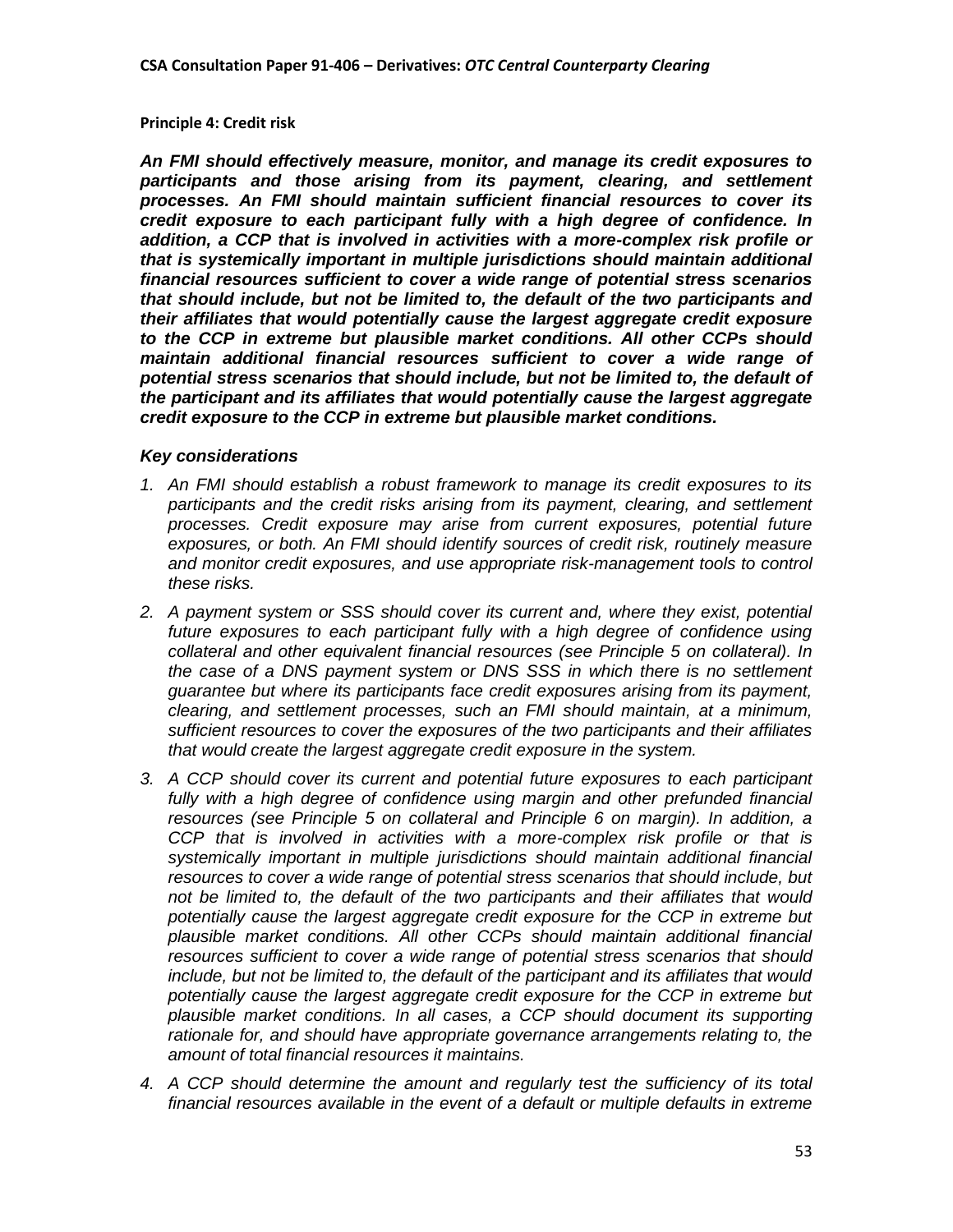#### **Principle 4: Credit risk**

*An FMI should effectively measure, monitor, and manage its credit exposures to participants and those arising from its payment, clearing, and settlement processes. An FMI should maintain sufficient financial resources to cover its credit exposure to each participant fully with a high degree of confidence. In addition, a CCP that is involved in activities with a more-complex risk profile or that is systemically important in multiple jurisdictions should maintain additional financial resources sufficient to cover a wide range of potential stress scenarios that should include, but not be limited to, the default of the two participants and their affiliates that would potentially cause the largest aggregate credit exposure to the CCP in extreme but plausible market conditions. All other CCPs should maintain additional financial resources sufficient to cover a wide range of potential stress scenarios that should include, but not be limited to, the default of the participant and its affiliates that would potentially cause the largest aggregate credit exposure to the CCP in extreme but plausible market conditions.* 

- *1. An FMI should establish a robust framework to manage its credit exposures to its participants and the credit risks arising from its payment, clearing, and settlement processes. Credit exposure may arise from current exposures, potential future exposures, or both. An FMI should identify sources of credit risk, routinely measure and monitor credit exposures, and use appropriate risk-management tools to control these risks.*
- *2. A payment system or SSS should cover its current and, where they exist, potential future exposures to each participant fully with a high degree of confidence using collateral and other equivalent financial resources (see Principle 5 on collateral). In the case of a DNS payment system or DNS SSS in which there is no settlement guarantee but where its participants face credit exposures arising from its payment, clearing, and settlement processes, such an FMI should maintain, at a minimum, sufficient resources to cover the exposures of the two participants and their affiliates that would create the largest aggregate credit exposure in the system.*
- *3. A CCP should cover its current and potential future exposures to each participant*  fully with a high degree of confidence using margin and other prefunded financial *resources (see Principle 5 on collateral and Principle 6 on margin). In addition, a CCP that is involved in activities with a more-complex risk profile or that is systemically important in multiple jurisdictions should maintain additional financial resources to cover a wide range of potential stress scenarios that should include, but not be limited to, the default of the two participants and their affiliates that would potentially cause the largest aggregate credit exposure for the CCP in extreme but plausible market conditions. All other CCPs should maintain additional financial resources sufficient to cover a wide range of potential stress scenarios that should include, but not be limited to, the default of the participant and its affiliates that would potentially cause the largest aggregate credit exposure for the CCP in extreme but plausible market conditions. In all cases, a CCP should document its supporting rationale for, and should have appropriate governance arrangements relating to, the amount of total financial resources it maintains.*
- *4. A CCP should determine the amount and regularly test the sufficiency of its total financial resources available in the event of a default or multiple defaults in extreme*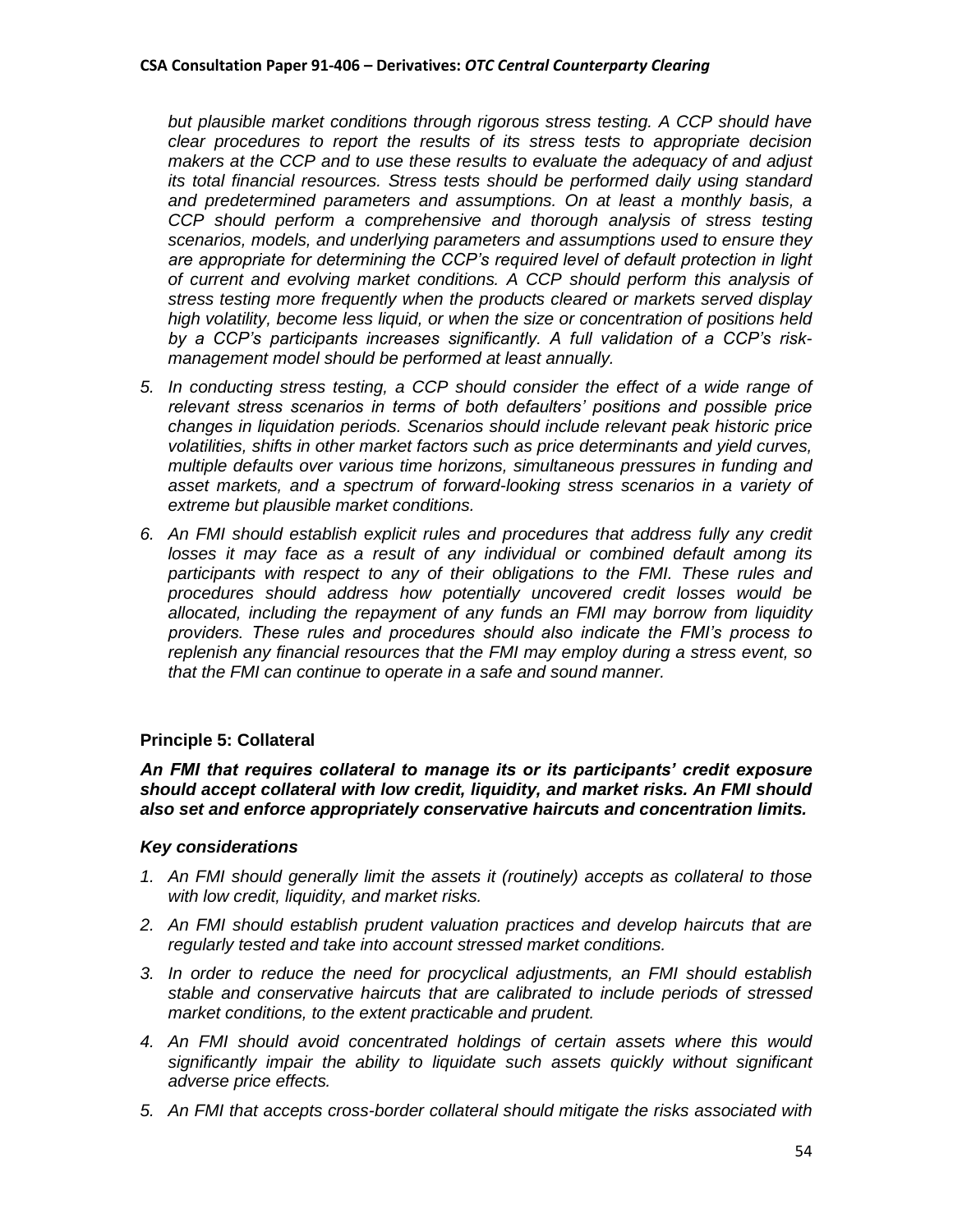*but plausible market conditions through rigorous stress testing. A CCP should have clear procedures to report the results of its stress tests to appropriate decision makers at the CCP and to use these results to evaluate the adequacy of and adjust its total financial resources. Stress tests should be performed daily using standard and predetermined parameters and assumptions. On at least a monthly basis, a CCP should perform a comprehensive and thorough analysis of stress testing scenarios, models, and underlying parameters and assumptions used to ensure they are appropriate for determining the CCP's required level of default protection in light of current and evolving market conditions. A CCP should perform this analysis of stress testing more frequently when the products cleared or markets served display high volatility, become less liquid, or when the size or concentration of positions held by a CCP's participants increases significantly. A full validation of a CCP's riskmanagement model should be performed at least annually.* 

- *5. In conducting stress testing, a CCP should consider the effect of a wide range of relevant stress scenarios in terms of both defaulters' positions and possible price changes in liquidation periods. Scenarios should include relevant peak historic price volatilities, shifts in other market factors such as price determinants and yield curves, multiple defaults over various time horizons, simultaneous pressures in funding and asset markets, and a spectrum of forward-looking stress scenarios in a variety of extreme but plausible market conditions.*
- *6. An FMI should establish explicit rules and procedures that address fully any credit losses it may face as a result of any individual or combined default among its participants with respect to any of their obligations to the FMI. These rules and procedures should address how potentially uncovered credit losses would be allocated, including the repayment of any funds an FMI may borrow from liquidity providers. These rules and procedures should also indicate the FMI's process to replenish any financial resources that the FMI may employ during a stress event, so that the FMI can continue to operate in a safe and sound manner.*

# **Principle 5: Collateral**

*An FMI that requires collateral to manage its or its participants' credit exposure should accept collateral with low credit, liquidity, and market risks. An FMI should also set and enforce appropriately conservative haircuts and concentration limits.* 

- *1. An FMI should generally limit the assets it (routinely) accepts as collateral to those with low credit, liquidity, and market risks.*
- *2. An FMI should establish prudent valuation practices and develop haircuts that are regularly tested and take into account stressed market conditions.*
- *3. In order to reduce the need for procyclical adjustments, an FMI should establish stable and conservative haircuts that are calibrated to include periods of stressed market conditions, to the extent practicable and prudent.*
- *4. An FMI should avoid concentrated holdings of certain assets where this would significantly impair the ability to liquidate such assets quickly without significant adverse price effects.*
- *5. An FMI that accepts cross-border collateral should mitigate the risks associated with*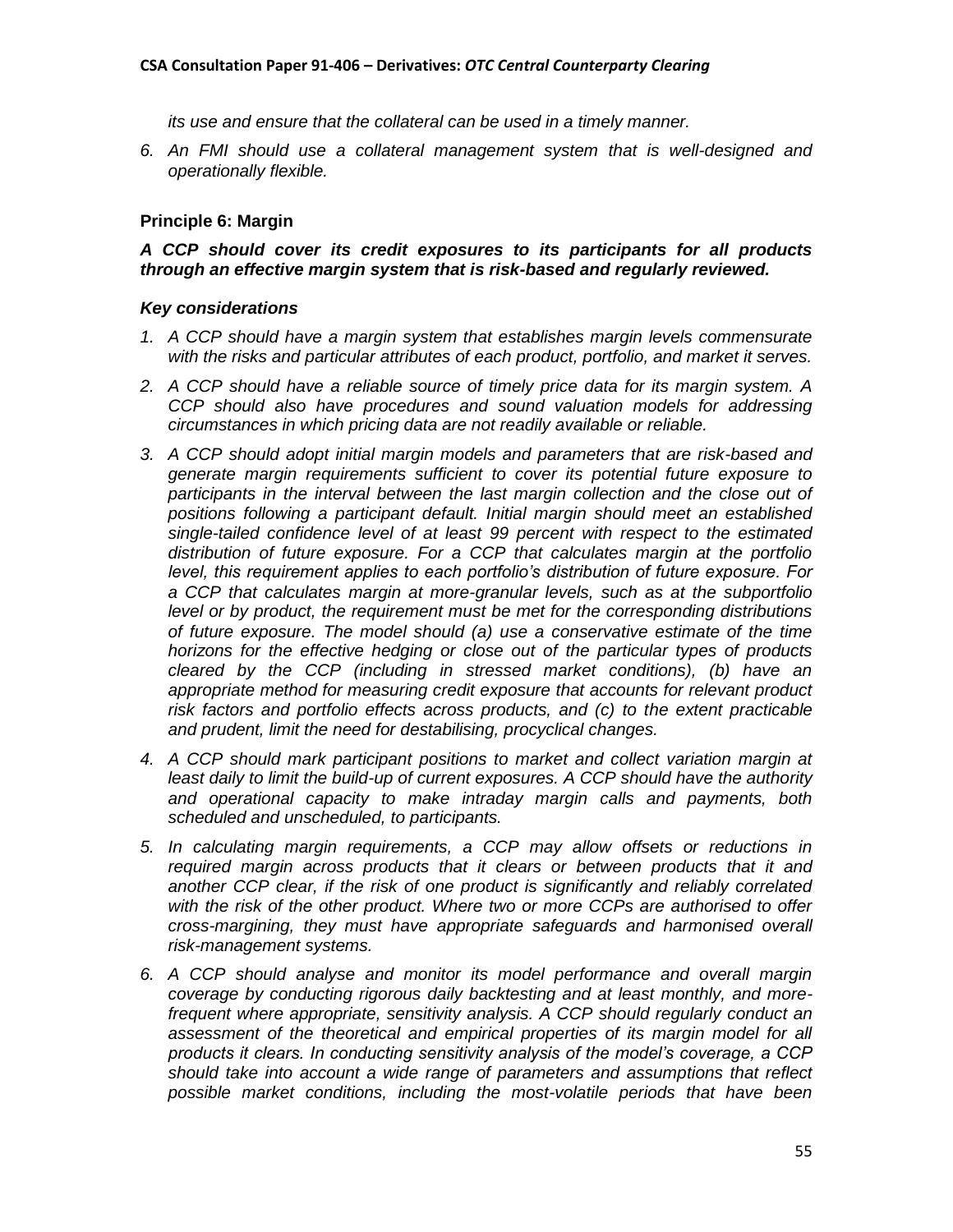*its use and ensure that the collateral can be used in a timely manner.* 

*6. An FMI should use a collateral management system that is well-designed and operationally flexible.*

## **Principle 6: Margin**

*A CCP should cover its credit exposures to its participants for all products through an effective margin system that is risk-based and regularly reviewed.* 

- *1. A CCP should have a margin system that establishes margin levels commensurate with the risks and particular attributes of each product, portfolio, and market it serves.*
- *2. A CCP should have a reliable source of timely price data for its margin system. A CCP should also have procedures and sound valuation models for addressing circumstances in which pricing data are not readily available or reliable.*
- *3. A CCP should adopt initial margin models and parameters that are risk-based and generate margin requirements sufficient to cover its potential future exposure to participants in the interval between the last margin collection and the close out of positions following a participant default. Initial margin should meet an established single-tailed confidence level of at least 99 percent with respect to the estimated distribution of future exposure. For a CCP that calculates margin at the portfolio level, this requirement applies to each portfolio's distribution of future exposure. For a CCP that calculates margin at more-granular levels, such as at the subportfolio level or by product, the requirement must be met for the corresponding distributions of future exposure. The model should (a) use a conservative estimate of the time horizons for the effective hedging or close out of the particular types of products cleared by the CCP (including in stressed market conditions), (b) have an appropriate method for measuring credit exposure that accounts for relevant product risk factors and portfolio effects across products, and (c) to the extent practicable and prudent, limit the need for destabilising, procyclical changes.*
- *4. A CCP should mark participant positions to market and collect variation margin at least daily to limit the build-up of current exposures. A CCP should have the authority and operational capacity to make intraday margin calls and payments, both scheduled and unscheduled, to participants.*
- *5. In calculating margin requirements, a CCP may allow offsets or reductions in required margin across products that it clears or between products that it and another CCP clear, if the risk of one product is significantly and reliably correlated with the risk of the other product. Where two or more CCPs are authorised to offer cross-margining, they must have appropriate safeguards and harmonised overall risk-management systems.*
- *6. A CCP should analyse and monitor its model performance and overall margin coverage by conducting rigorous daily backtesting and at least monthly, and morefrequent where appropriate, sensitivity analysis. A CCP should regularly conduct an assessment of the theoretical and empirical properties of its margin model for all products it clears. In conducting sensitivity analysis of the model's coverage, a CCP should take into account a wide range of parameters and assumptions that reflect possible market conditions, including the most-volatile periods that have been*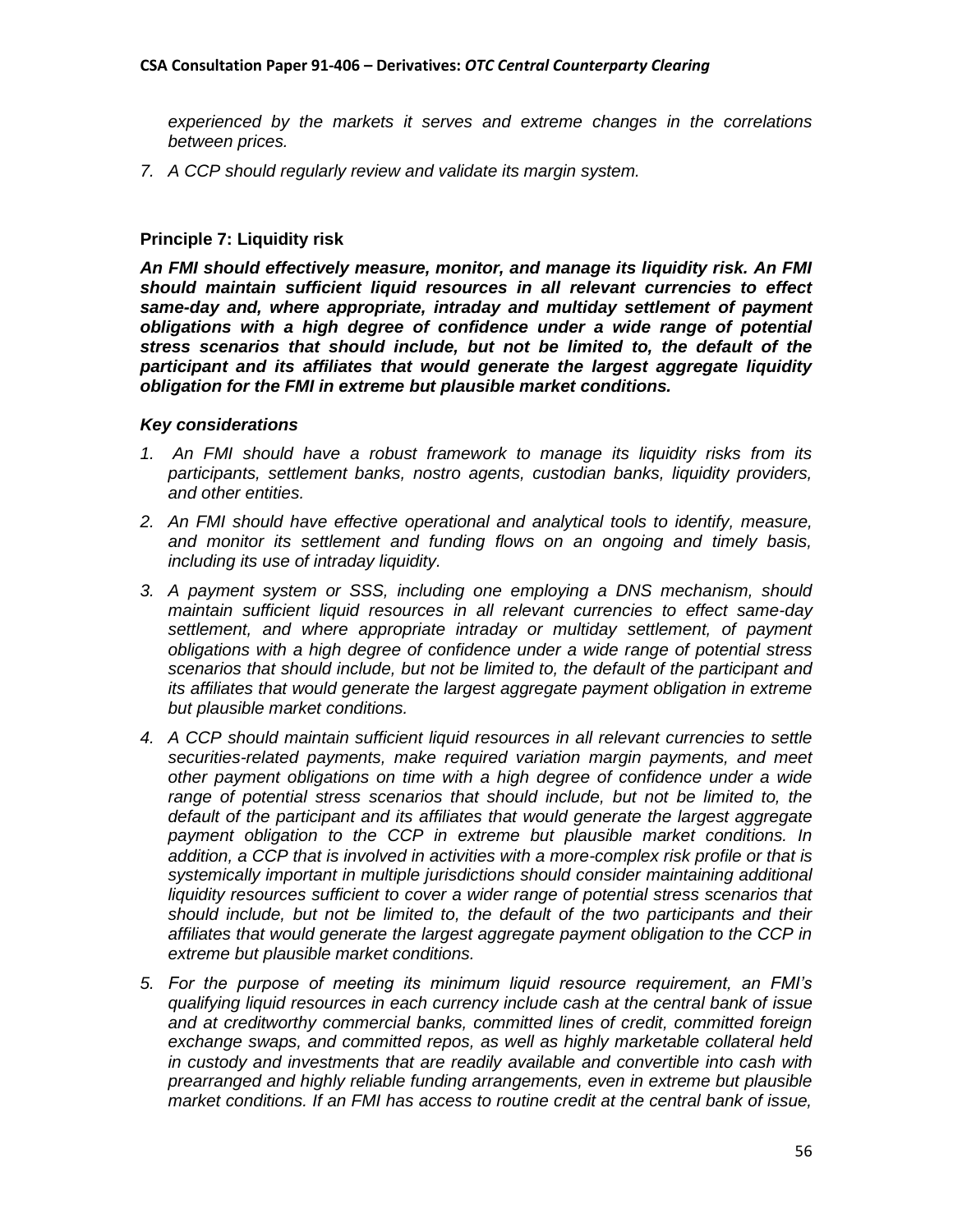*experienced by the markets it serves and extreme changes in the correlations between prices.* 

*7. A CCP should regularly review and validate its margin system.*

## **Principle 7: Liquidity risk**

*An FMI should effectively measure, monitor, and manage its liquidity risk. An FMI should maintain sufficient liquid resources in all relevant currencies to effect same-day and, where appropriate, intraday and multiday settlement of payment obligations with a high degree of confidence under a wide range of potential stress scenarios that should include, but not be limited to, the default of the participant and its affiliates that would generate the largest aggregate liquidity obligation for the FMI in extreme but plausible market conditions.* 

- *1. An FMI should have a robust framework to manage its liquidity risks from its participants, settlement banks, nostro agents, custodian banks, liquidity providers, and other entities.*
- *2. An FMI should have effective operational and analytical tools to identify, measure, and monitor its settlement and funding flows on an ongoing and timely basis, including its use of intraday liquidity.*
- *3. A payment system or SSS, including one employing a DNS mechanism, should maintain sufficient liquid resources in all relevant currencies to effect same-day settlement, and where appropriate intraday or multiday settlement, of payment obligations with a high degree of confidence under a wide range of potential stress scenarios that should include, but not be limited to, the default of the participant and its affiliates that would generate the largest aggregate payment obligation in extreme but plausible market conditions.*
- *4. A CCP should maintain sufficient liquid resources in all relevant currencies to settle securities-related payments, make required variation margin payments, and meet other payment obligations on time with a high degree of confidence under a wide*  range of potential stress scenarios that should include, but not be limited to, the *default of the participant and its affiliates that would generate the largest aggregate payment obligation to the CCP in extreme but plausible market conditions. In addition, a CCP that is involved in activities with a more-complex risk profile or that is systemically important in multiple jurisdictions should consider maintaining additional liquidity resources sufficient to cover a wider range of potential stress scenarios that should include, but not be limited to, the default of the two participants and their affiliates that would generate the largest aggregate payment obligation to the CCP in extreme but plausible market conditions.*
- *5. For the purpose of meeting its minimum liquid resource requirement, an FMI's qualifying liquid resources in each currency include cash at the central bank of issue and at creditworthy commercial banks, committed lines of credit, committed foreign exchange swaps, and committed repos, as well as highly marketable collateral held in custody and investments that are readily available and convertible into cash with prearranged and highly reliable funding arrangements, even in extreme but plausible market conditions. If an FMI has access to routine credit at the central bank of issue,*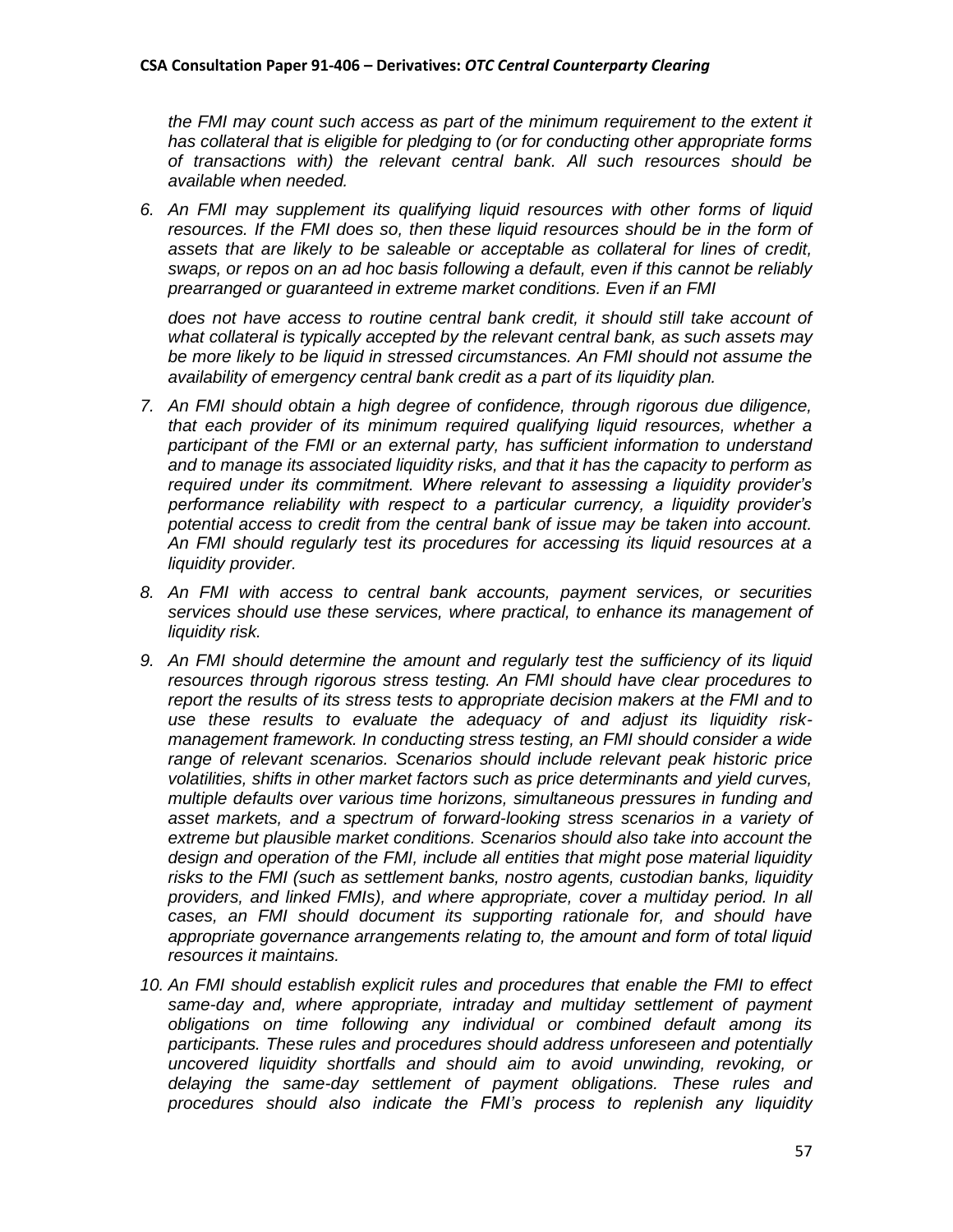*the FMI may count such access as part of the minimum requirement to the extent it has collateral that is eligible for pledging to (or for conducting other appropriate forms of transactions with) the relevant central bank. All such resources should be available when needed.* 

*6. An FMI may supplement its qualifying liquid resources with other forms of liquid*  resources. If the FMI does so, then these liquid resources should be in the form of *assets that are likely to be saleable or acceptable as collateral for lines of credit, swaps, or repos on an ad hoc basis following a default, even if this cannot be reliably prearranged or guaranteed in extreme market conditions. Even if an FMI* 

does not have access to routine central bank credit, it should still take account of *what collateral is typically accepted by the relevant central bank, as such assets may be more likely to be liquid in stressed circumstances. An FMI should not assume the availability of emergency central bank credit as a part of its liquidity plan.* 

- *7. An FMI should obtain a high degree of confidence, through rigorous due diligence, that each provider of its minimum required qualifying liquid resources, whether a participant of the FMI or an external party, has sufficient information to understand and to manage its associated liquidity risks, and that it has the capacity to perform as required under its commitment. Where relevant to assessing a liquidity provider's performance reliability with respect to a particular currency, a liquidity provider's potential access to credit from the central bank of issue may be taken into account. An FMI should regularly test its procedures for accessing its liquid resources at a liquidity provider.*
- *8. An FMI with access to central bank accounts, payment services, or securities services should use these services, where practical, to enhance its management of liquidity risk.*
- *9. An FMI should determine the amount and regularly test the sufficiency of its liquid resources through rigorous stress testing. An FMI should have clear procedures to report the results of its stress tests to appropriate decision makers at the FMI and to use these results to evaluate the adequacy of and adjust its liquidity riskmanagement framework. In conducting stress testing, an FMI should consider a wide range of relevant scenarios. Scenarios should include relevant peak historic price volatilities, shifts in other market factors such as price determinants and yield curves, multiple defaults over various time horizons, simultaneous pressures in funding and asset markets, and a spectrum of forward-looking stress scenarios in a variety of extreme but plausible market conditions. Scenarios should also take into account the design and operation of the FMI, include all entities that might pose material liquidity risks to the FMI (such as settlement banks, nostro agents, custodian banks, liquidity providers, and linked FMIs), and where appropriate, cover a multiday period. In all cases, an FMI should document its supporting rationale for, and should have appropriate governance arrangements relating to, the amount and form of total liquid resources it maintains.*
- *10. An FMI should establish explicit rules and procedures that enable the FMI to effect same-day and, where appropriate, intraday and multiday settlement of payment obligations on time following any individual or combined default among its participants. These rules and procedures should address unforeseen and potentially uncovered liquidity shortfalls and should aim to avoid unwinding, revoking, or delaying the same-day settlement of payment obligations. These rules and procedures should also indicate the FMI's process to replenish any liquidity*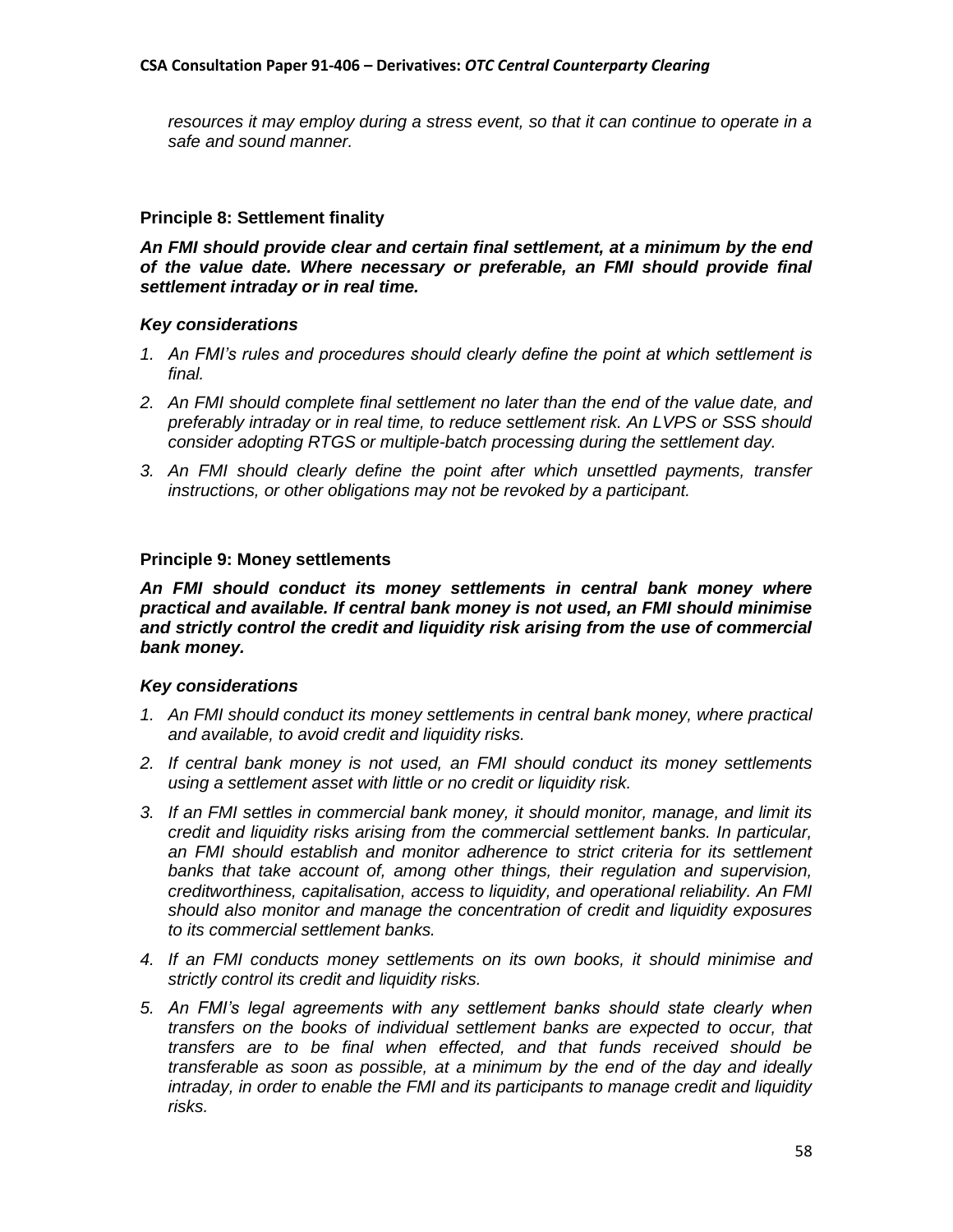*resources it may employ during a stress event, so that it can continue to operate in a safe and sound manner.*

## **Principle 8: Settlement finality**

*An FMI should provide clear and certain final settlement, at a minimum by the end of the value date. Where necessary or preferable, an FMI should provide final settlement intraday or in real time.* 

## *Key considerations*

- *1. An FMI's rules and procedures should clearly define the point at which settlement is final.*
- *2. An FMI should complete final settlement no later than the end of the value date, and preferably intraday or in real time, to reduce settlement risk. An LVPS or SSS should consider adopting RTGS or multiple-batch processing during the settlement day.*
- *3. An FMI should clearly define the point after which unsettled payments, transfer instructions, or other obligations may not be revoked by a participant.*

## **Principle 9: Money settlements**

*An FMI should conduct its money settlements in central bank money where practical and available. If central bank money is not used, an FMI should minimise and strictly control the credit and liquidity risk arising from the use of commercial bank money.* 

- *1. An FMI should conduct its money settlements in central bank money, where practical and available, to avoid credit and liquidity risks.*
- *2. If central bank money is not used, an FMI should conduct its money settlements using a settlement asset with little or no credit or liquidity risk.*
- *3. If an FMI settles in commercial bank money, it should monitor, manage, and limit its credit and liquidity risks arising from the commercial settlement banks. In particular, an FMI should establish and monitor adherence to strict criteria for its settlement banks that take account of, among other things, their regulation and supervision, creditworthiness, capitalisation, access to liquidity, and operational reliability. An FMI should also monitor and manage the concentration of credit and liquidity exposures to its commercial settlement banks.*
- *4. If an FMI conducts money settlements on its own books, it should minimise and strictly control its credit and liquidity risks.*
- *5. An FMI's legal agreements with any settlement banks should state clearly when transfers on the books of individual settlement banks are expected to occur, that transfers are to be final when effected, and that funds received should be transferable as soon as possible, at a minimum by the end of the day and ideally intraday, in order to enable the FMI and its participants to manage credit and liquidity risks.*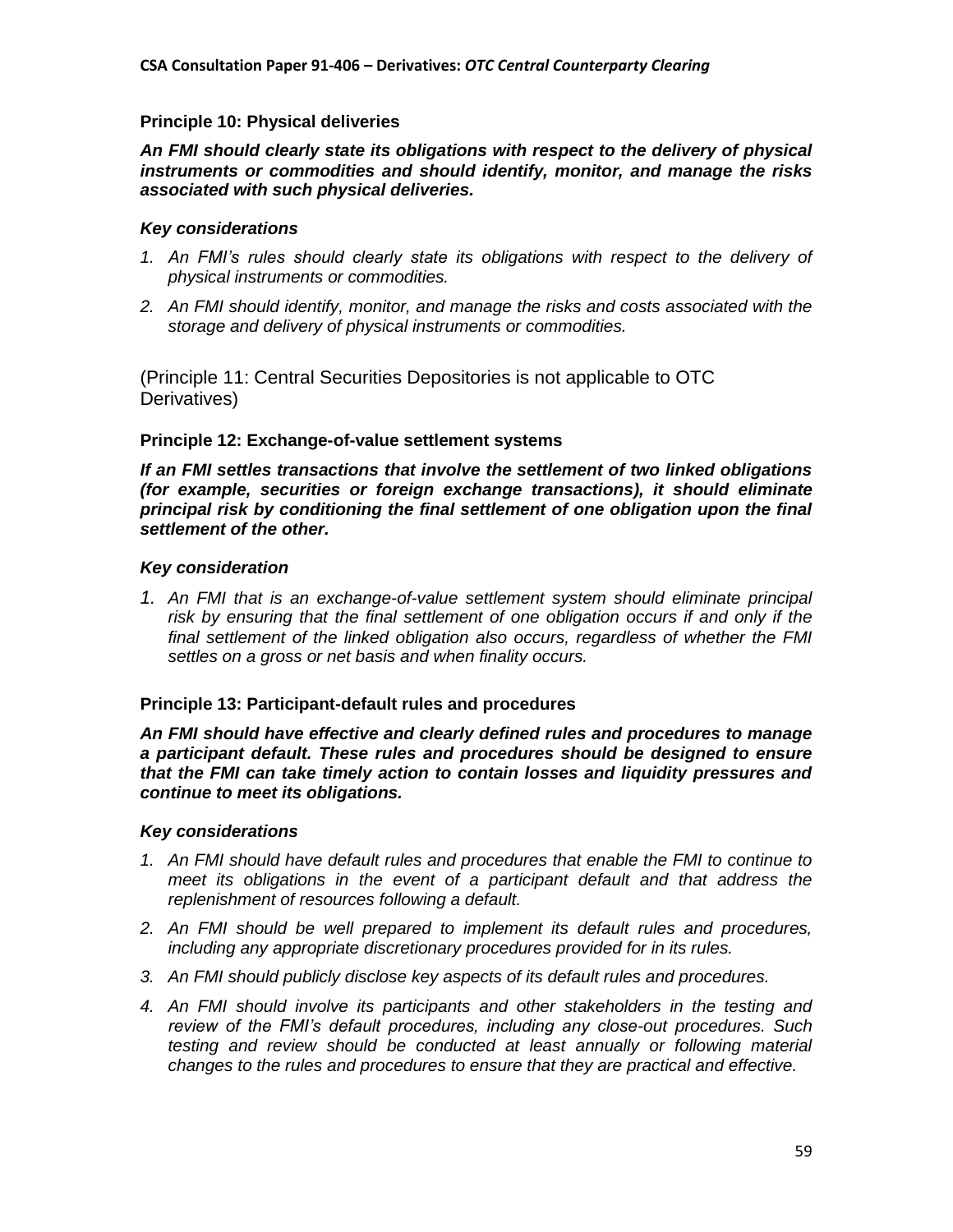## **Principle 10: Physical deliveries**

*An FMI should clearly state its obligations with respect to the delivery of physical instruments or commodities and should identify, monitor, and manage the risks associated with such physical deliveries.* 

## *Key considerations*

- 1. An FMI's rules should clearly state its obligations with respect to the delivery of *physical instruments or commodities.*
- *2. An FMI should identify, monitor, and manage the risks and costs associated with the storage and delivery of physical instruments or commodities.*

(Principle 11: Central Securities Depositories is not applicable to OTC Derivatives)

## **Principle 12: Exchange-of-value settlement systems**

*If an FMI settles transactions that involve the settlement of two linked obligations (for example, securities or foreign exchange transactions), it should eliminate principal risk by conditioning the final settlement of one obligation upon the final settlement of the other.* 

## *Key consideration*

1. An FMI that is an exchange-of-value settlement system should eliminate principal *risk by ensuring that the final settlement of one obligation occurs if and only if the final settlement of the linked obligation also occurs, regardless of whether the FMI settles on a gross or net basis and when finality occurs.*

## **Principle 13: Participant-default rules and procedures**

*An FMI should have effective and clearly defined rules and procedures to manage a participant default. These rules and procedures should be designed to ensure that the FMI can take timely action to contain losses and liquidity pressures and continue to meet its obligations.* 

- *1. An FMI should have default rules and procedures that enable the FMI to continue to meet its obligations in the event of a participant default and that address the replenishment of resources following a default.*
- *2. An FMI should be well prepared to implement its default rules and procedures, including any appropriate discretionary procedures provided for in its rules.*
- *3. An FMI should publicly disclose key aspects of its default rules and procedures.*
- *4. An FMI should involve its participants and other stakeholders in the testing and review of the FMI's default procedures, including any close-out procedures. Such testing and review should be conducted at least annually or following material changes to the rules and procedures to ensure that they are practical and effective.*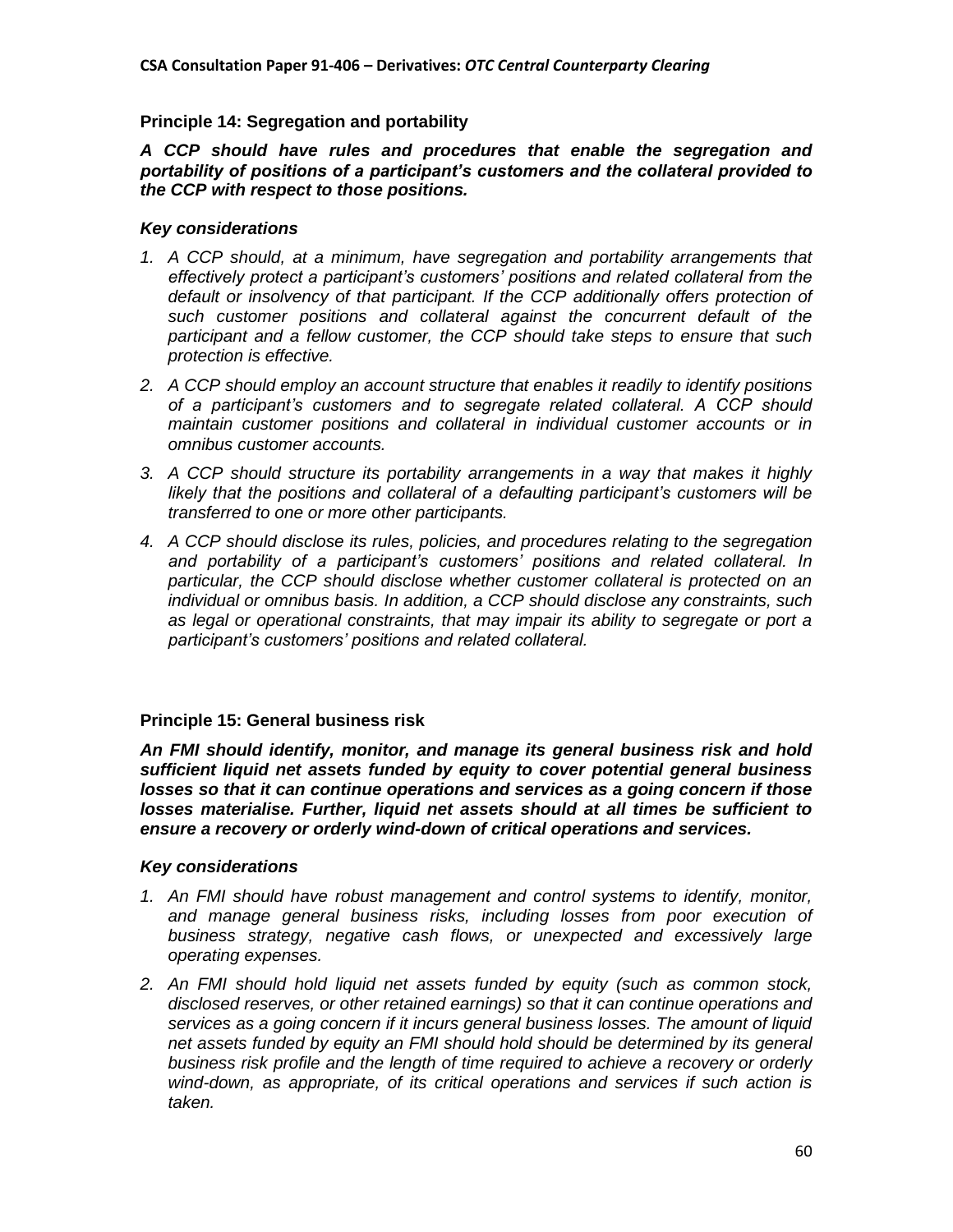## **Principle 14: Segregation and portability**

*A CCP should have rules and procedures that enable the segregation and portability of positions of a participant's customers and the collateral provided to the CCP with respect to those positions.* 

## *Key considerations*

- *1. A CCP should, at a minimum, have segregation and portability arrangements that effectively protect a participant's customers' positions and related collateral from the*  default or insolvency of that participant. If the CCP additionally offers protection of *such customer positions and collateral against the concurrent default of the participant and a fellow customer, the CCP should take steps to ensure that such protection is effective.*
- *2. A CCP should employ an account structure that enables it readily to identify positions of a participant's customers and to segregate related collateral. A CCP should maintain customer positions and collateral in individual customer accounts or in omnibus customer accounts.*
- *3. A CCP should structure its portability arrangements in a way that makes it highly likely that the positions and collateral of a defaulting participant's customers will be transferred to one or more other participants.*
- *4. A CCP should disclose its rules, policies, and procedures relating to the segregation and portability of a participant's customers' positions and related collateral. In particular, the CCP should disclose whether customer collateral is protected on an individual or omnibus basis. In addition, a CCP should disclose any constraints, such as legal or operational constraints, that may impair its ability to segregate or port a participant's customers' positions and related collateral.*

## **Principle 15: General business risk**

*An FMI should identify, monitor, and manage its general business risk and hold sufficient liquid net assets funded by equity to cover potential general business losses so that it can continue operations and services as a going concern if those losses materialise. Further, liquid net assets should at all times be sufficient to ensure a recovery or orderly wind-down of critical operations and services.* 

- 1. An FMI should have robust management and control systems to identify, monitor, *and manage general business risks, including losses from poor execution of business strategy, negative cash flows, or unexpected and excessively large operating expenses.*
- *2. An FMI should hold liquid net assets funded by equity (such as common stock, disclosed reserves, or other retained earnings) so that it can continue operations and services as a going concern if it incurs general business losses. The amount of liquid net assets funded by equity an FMI should hold should be determined by its general business risk profile and the length of time required to achieve a recovery or orderly wind-down, as appropriate, of its critical operations and services if such action is taken.*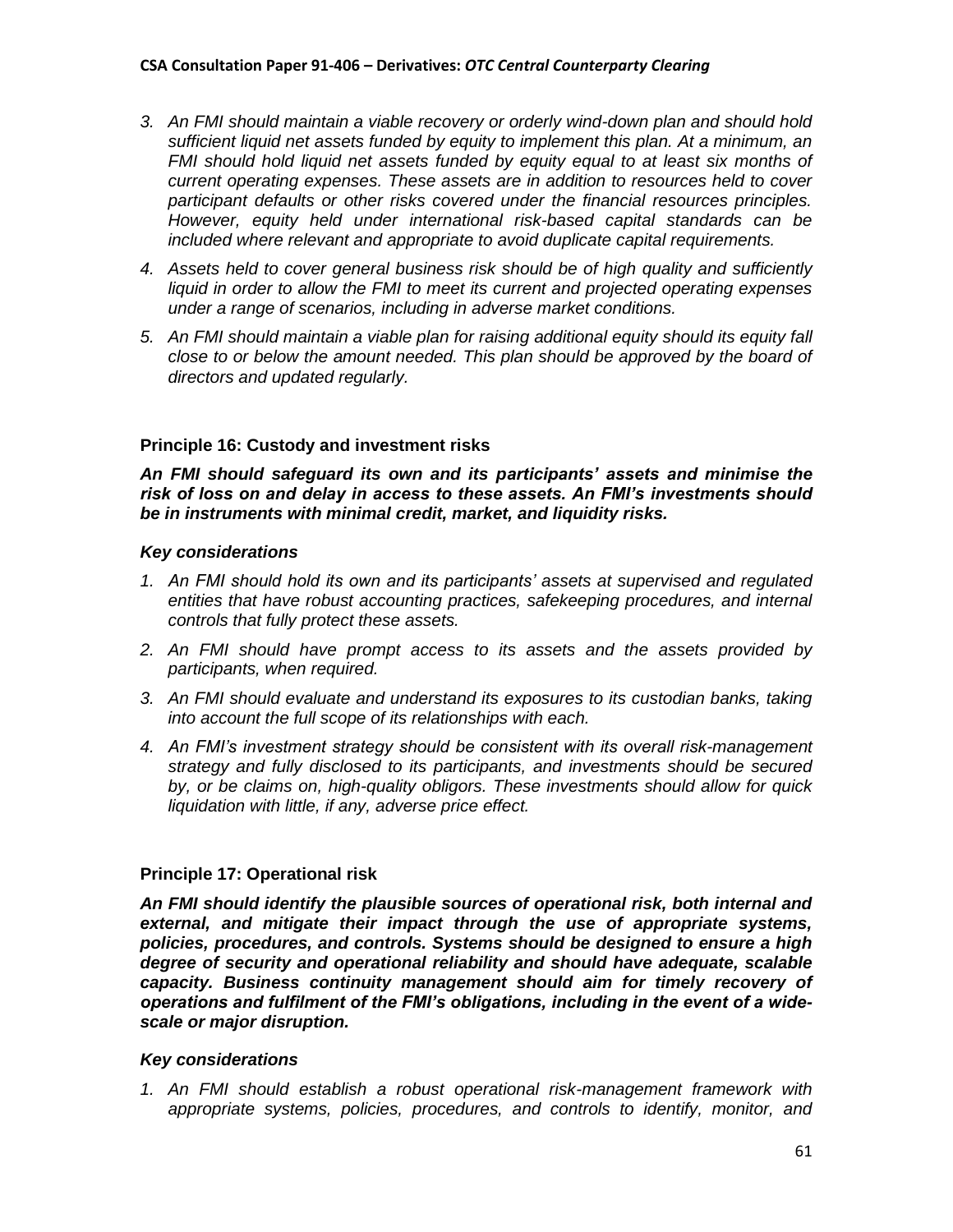- *3. An FMI should maintain a viable recovery or orderly wind-down plan and should hold sufficient liquid net assets funded by equity to implement this plan. At a minimum, an FMI should hold liquid net assets funded by equity equal to at least six months of current operating expenses. These assets are in addition to resources held to cover participant defaults or other risks covered under the financial resources principles. However, equity held under international risk-based capital standards can be included where relevant and appropriate to avoid duplicate capital requirements.*
- *4. Assets held to cover general business risk should be of high quality and sufficiently liquid in order to allow the FMI to meet its current and projected operating expenses under a range of scenarios, including in adverse market conditions.*
- *5. An FMI should maintain a viable plan for raising additional equity should its equity fall close to or below the amount needed. This plan should be approved by the board of directors and updated regularly.*

## **Principle 16: Custody and investment risks**

*An FMI should safeguard its own and its participants' assets and minimise the risk of loss on and delay in access to these assets. An FMI's investments should be in instruments with minimal credit, market, and liquidity risks.* 

## *Key considerations*

- *1. An FMI should hold its own and its participants' assets at supervised and regulated entities that have robust accounting practices, safekeeping procedures, and internal controls that fully protect these assets.*
- *2. An FMI should have prompt access to its assets and the assets provided by participants, when required.*
- *3. An FMI should evaluate and understand its exposures to its custodian banks, taking into account the full scope of its relationships with each.*
- *4. An FMI's investment strategy should be consistent with its overall risk-management strategy and fully disclosed to its participants, and investments should be secured by, or be claims on, high-quality obligors. These investments should allow for quick liquidation with little, if any, adverse price effect.*

## **Principle 17: Operational risk**

*An FMI should identify the plausible sources of operational risk, both internal and external, and mitigate their impact through the use of appropriate systems, policies, procedures, and controls. Systems should be designed to ensure a high degree of security and operational reliability and should have adequate, scalable capacity. Business continuity management should aim for timely recovery of operations and fulfilment of the FMI's obligations, including in the event of a widescale or major disruption.* 

## *Key considerations*

*1. An FMI should establish a robust operational risk-management framework with appropriate systems, policies, procedures, and controls to identify, monitor, and*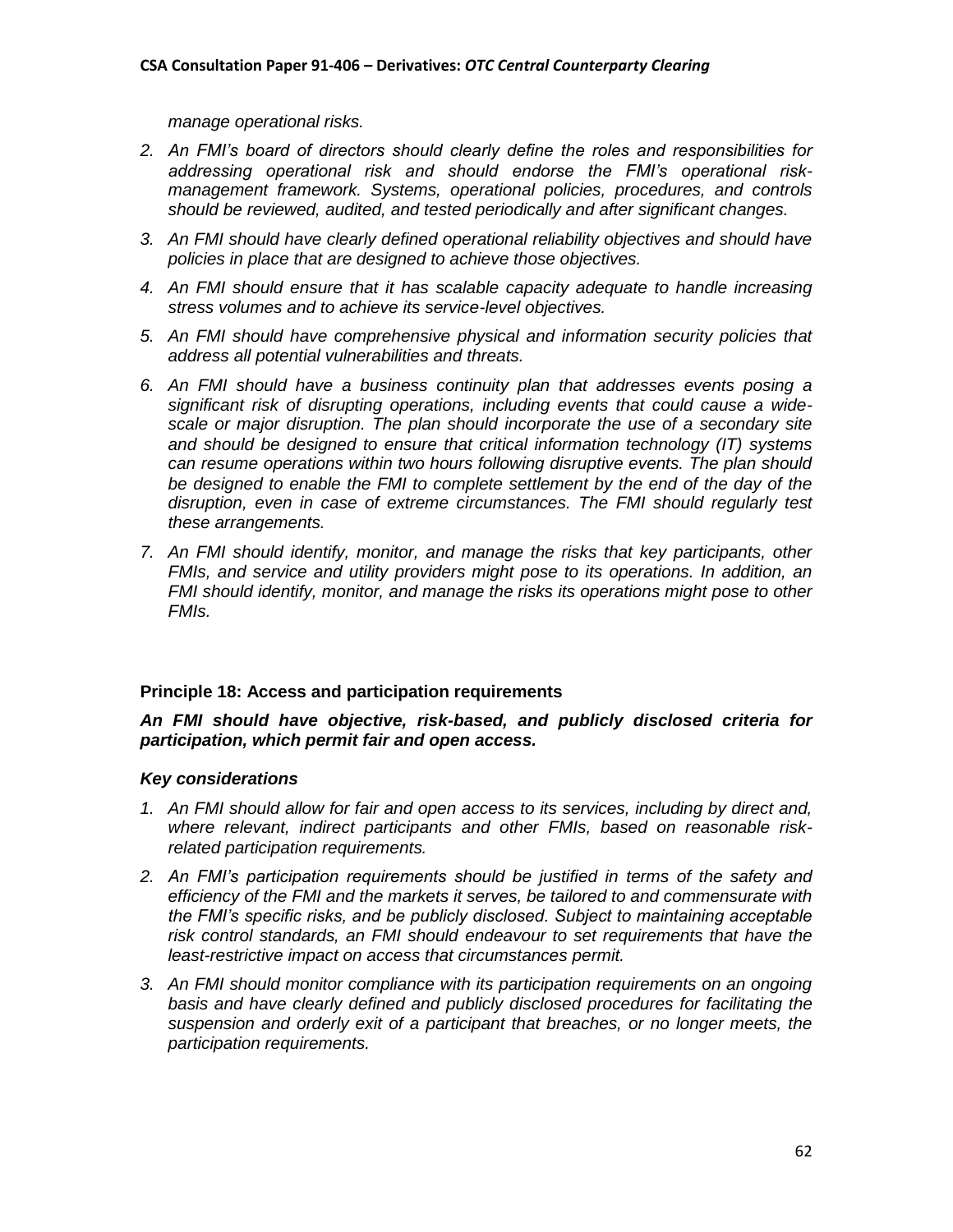*manage operational risks.* 

- *2. An FMI's board of directors should clearly define the roles and responsibilities for addressing operational risk and should endorse the FMI's operational riskmanagement framework. Systems, operational policies, procedures, and controls should be reviewed, audited, and tested periodically and after significant changes.*
- *3. An FMI should have clearly defined operational reliability objectives and should have policies in place that are designed to achieve those objectives.*
- *4. An FMI should ensure that it has scalable capacity adequate to handle increasing stress volumes and to achieve its service-level objectives.*
- *5. An FMI should have comprehensive physical and information security policies that address all potential vulnerabilities and threats.*
- *6. An FMI should have a business continuity plan that addresses events posing a significant risk of disrupting operations, including events that could cause a widescale or major disruption. The plan should incorporate the use of a secondary site and should be designed to ensure that critical information technology (IT) systems can resume operations within two hours following disruptive events. The plan should be designed to enable the FMI to complete settlement by the end of the day of the disruption, even in case of extreme circumstances. The FMI should regularly test these arrangements.*
- *7. An FMI should identify, monitor, and manage the risks that key participants, other FMIs, and service and utility providers might pose to its operations. In addition, an FMI should identify, monitor, and manage the risks its operations might pose to other FMIs.*

# **Principle 18: Access and participation requirements**

*An FMI should have objective, risk-based, and publicly disclosed criteria for participation, which permit fair and open access.* 

- *1. An FMI should allow for fair and open access to its services, including by direct and, where relevant, indirect participants and other FMIs, based on reasonable riskrelated participation requirements.*
- *2. An FMI's participation requirements should be justified in terms of the safety and efficiency of the FMI and the markets it serves, be tailored to and commensurate with the FMI's specific risks, and be publicly disclosed. Subject to maintaining acceptable risk control standards, an FMI should endeavour to set requirements that have the least-restrictive impact on access that circumstances permit.*
- *3. An FMI should monitor compliance with its participation requirements on an ongoing basis and have clearly defined and publicly disclosed procedures for facilitating the suspension and orderly exit of a participant that breaches, or no longer meets, the participation requirements.*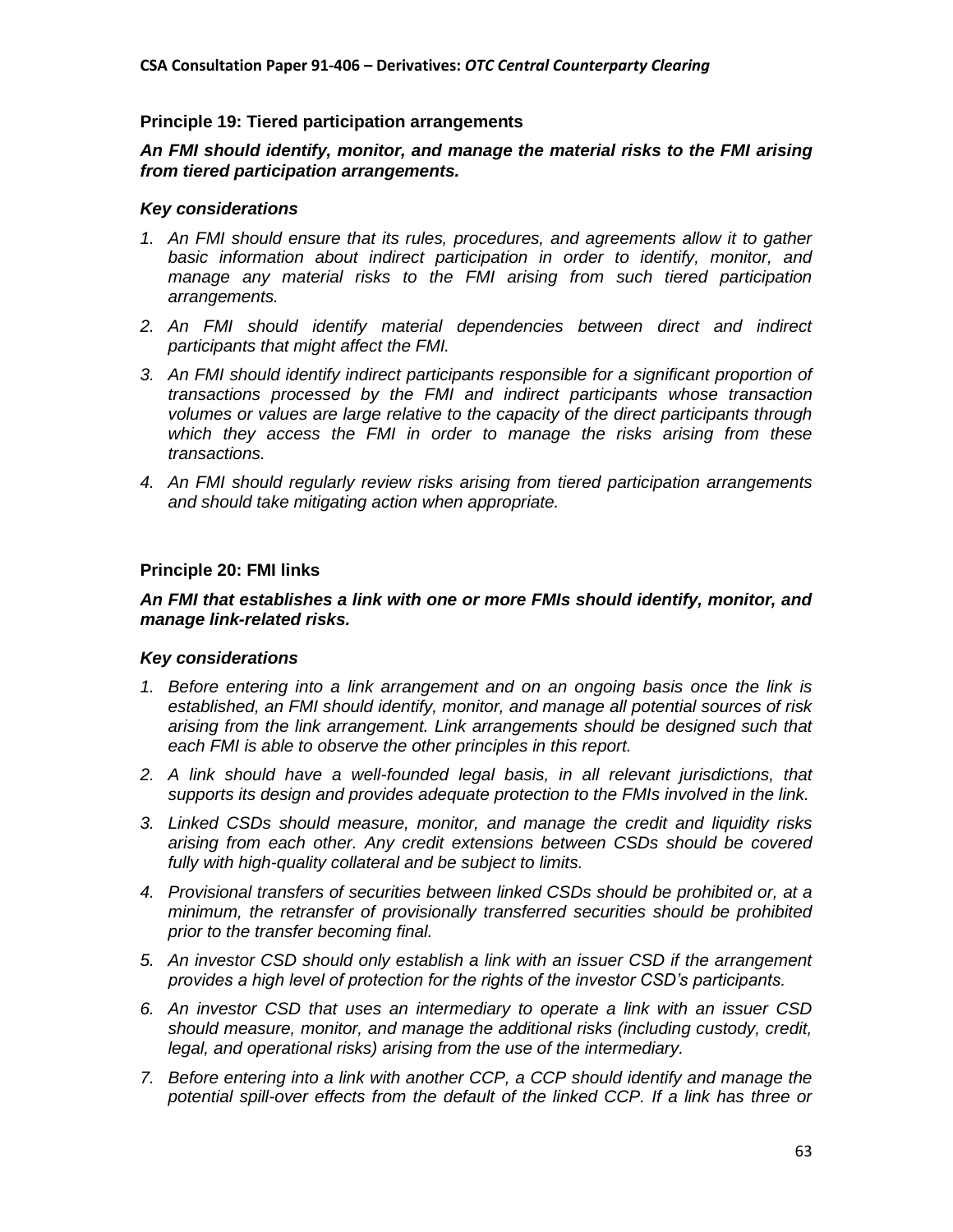## **Principle 19: Tiered participation arrangements**

*An FMI should identify, monitor, and manage the material risks to the FMI arising from tiered participation arrangements.* 

## *Key considerations*

- *1. An FMI should ensure that its rules, procedures, and agreements allow it to gather basic information about indirect participation in order to identify, monitor, and manage any material risks to the FMI arising from such tiered participation arrangements.*
- *2. An FMI should identify material dependencies between direct and indirect participants that might affect the FMI.*
- *3. An FMI should identify indirect participants responsible for a significant proportion of transactions processed by the FMI and indirect participants whose transaction volumes or values are large relative to the capacity of the direct participants through which they access the FMI in order to manage the risks arising from these transactions.*
- *4. An FMI should regularly review risks arising from tiered participation arrangements and should take mitigating action when appropriate.*

## **Principle 20: FMI links**

## *An FMI that establishes a link with one or more FMIs should identify, monitor, and manage link-related risks.*

- *1. Before entering into a link arrangement and on an ongoing basis once the link is established, an FMI should identify, monitor, and manage all potential sources of risk arising from the link arrangement. Link arrangements should be designed such that each FMI is able to observe the other principles in this report.*
- *2. A link should have a well-founded legal basis, in all relevant jurisdictions, that supports its design and provides adequate protection to the FMIs involved in the link.*
- *3. Linked CSDs should measure, monitor, and manage the credit and liquidity risks arising from each other. Any credit extensions between CSDs should be covered fully with high-quality collateral and be subject to limits.*
- *4. Provisional transfers of securities between linked CSDs should be prohibited or, at a minimum, the retransfer of provisionally transferred securities should be prohibited prior to the transfer becoming final.*
- *5. An investor CSD should only establish a link with an issuer CSD if the arrangement provides a high level of protection for the rights of the investor CSD's participants.*
- *6. An investor CSD that uses an intermediary to operate a link with an issuer CSD should measure, monitor, and manage the additional risks (including custody, credit, legal, and operational risks) arising from the use of the intermediary.*
- *7. Before entering into a link with another CCP, a CCP should identify and manage the potential spill-over effects from the default of the linked CCP. If a link has three or*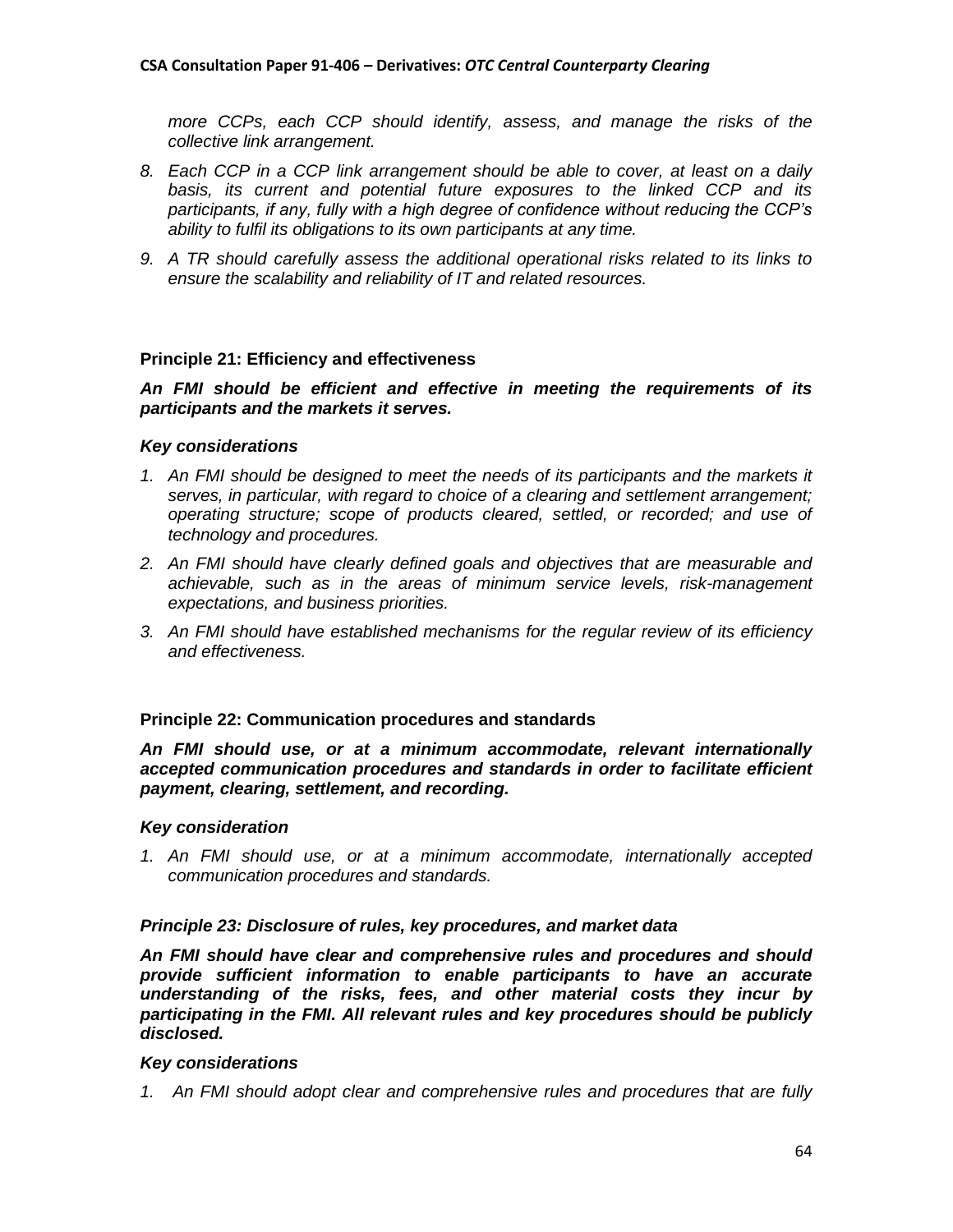*more CCPs, each CCP should identify, assess, and manage the risks of the collective link arrangement.* 

- *8. Each CCP in a CCP link arrangement should be able to cover, at least on a daily basis, its current and potential future exposures to the linked CCP and its participants, if any, fully with a high degree of confidence without reducing the CCP's ability to fulfil its obligations to its own participants at any time.*
- *9. A TR should carefully assess the additional operational risks related to its links to ensure the scalability and reliability of IT and related resources.*

### **Principle 21: Efficiency and effectiveness**

*An FMI should be efficient and effective in meeting the requirements of its participants and the markets it serves.* 

### *Key considerations*

- 1. An FMI should be designed to meet the needs of its participants and the markets it *serves, in particular, with regard to choice of a clearing and settlement arrangement; operating structure; scope of products cleared, settled, or recorded; and use of technology and procedures.*
- *2. An FMI should have clearly defined goals and objectives that are measurable and achievable, such as in the areas of minimum service levels, risk-management expectations, and business priorities.*
- *3. An FMI should have established mechanisms for the regular review of its efficiency and effectiveness.*

## **Principle 22: Communication procedures and standards**

*An FMI should use, or at a minimum accommodate, relevant internationally accepted communication procedures and standards in order to facilitate efficient payment, clearing, settlement, and recording.* 

#### *Key consideration*

*1. An FMI should use, or at a minimum accommodate, internationally accepted communication procedures and standards.*

#### *Principle 23: Disclosure of rules, key procedures, and market data*

*An FMI should have clear and comprehensive rules and procedures and should provide sufficient information to enable participants to have an accurate understanding of the risks, fees, and other material costs they incur by participating in the FMI. All relevant rules and key procedures should be publicly disclosed.* 

#### *Key considerations*

*1. An FMI should adopt clear and comprehensive rules and procedures that are fully*